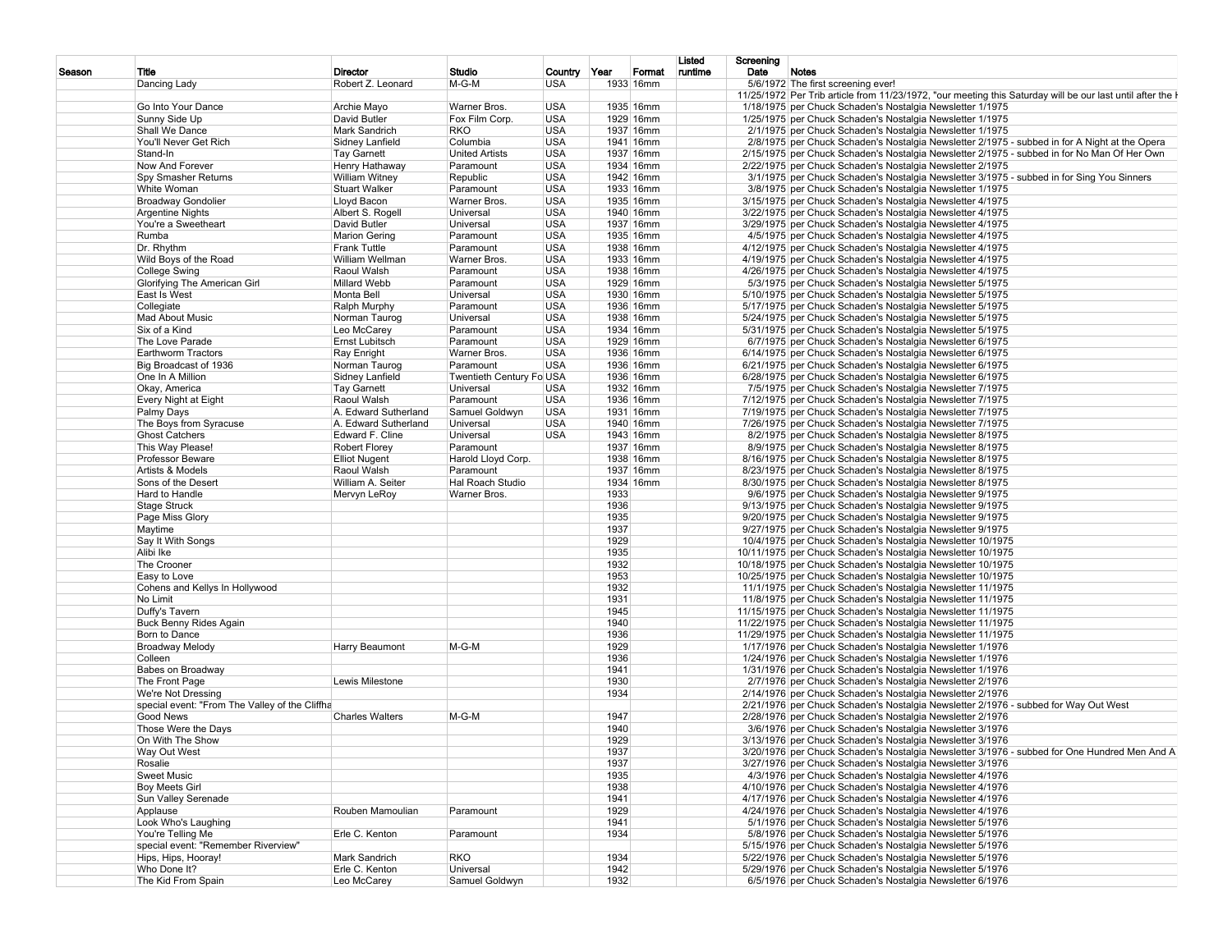|        |                                                |                               |                          |                            |      |                     | Listed  | Screening                                                                                                  |
|--------|------------------------------------------------|-------------------------------|--------------------------|----------------------------|------|---------------------|---------|------------------------------------------------------------------------------------------------------------|
| Season | Title<br>Dancing Lady                          | Director<br>Robert Z. Leonard | Studio<br>$M-G-M$        | Country Year<br><b>USA</b> |      | Format<br>1933 16mm | runtime | Date<br>Notes<br>5/6/1972 The first screening ever!                                                        |
|        |                                                |                               |                          |                            |      |                     |         | 11/25/1972 Per Trib article from 11/23/1972, "our meeting this Saturday will be our last until after the I |
|        | Go Into Your Dance                             | Archie Mayo                   | Warner Bros.             | <b>USA</b>                 |      | 1935 16mm           |         | 1/18/1975 per Chuck Schaden's Nostalgia Newsletter 1/1975                                                  |
|        | Sunny Side Up                                  | David Butler                  | Fox Film Corp.           | <b>USA</b>                 |      | 1929 16mm           |         | 1/25/1975 per Chuck Schaden's Nostalgia Newsletter 1/1975                                                  |
|        | Shall We Dance                                 | Mark Sandrich                 | <b>RKO</b>               | <b>USA</b>                 |      | 1937 16mm           |         | 2/1/1975 per Chuck Schaden's Nostalgia Newsletter 1/1975                                                   |
|        | You'll Never Get Rich                          | Sidney Lanfield               | Columbia                 | <b>USA</b>                 |      | 1941 16mm           |         | 2/8/1975 per Chuck Schaden's Nostalgia Newsletter 2/1975 - subbed in for A Night at the Opera              |
|        | Stand-In                                       | <b>Tay Garnett</b>            | <b>United Artists</b>    | <b>USA</b>                 |      | 1937 16mm           |         | 2/15/1975 per Chuck Schaden's Nostalgia Newsletter 2/1975 - subbed in for No Man Of Her Own                |
|        | Now And Forever                                | Henry Hathaway                | Paramount                | <b>USA</b>                 |      | 1934 16mm           |         | 2/22/1975 per Chuck Schaden's Nostalgia Newsletter 2/1975                                                  |
|        | Spy Smasher Returns                            | <b>William Witney</b>         | Republic                 | <b>USA</b>                 |      | 1942 16mm           |         | 3/1/1975 per Chuck Schaden's Nostalgia Newsletter 3/1975 - subbed in for Sing You Sinners                  |
|        | White Woman                                    | <b>Stuart Walker</b>          | Paramount                | <b>USA</b>                 |      | 1933 16mm           |         | 3/8/1975 per Chuck Schaden's Nostalgia Newsletter 1/1975                                                   |
|        | <b>Broadway Gondolier</b>                      | Lloyd Bacon                   | Warner Bros.             | <b>USA</b>                 |      | 1935 16mm           |         | 3/15/1975 per Chuck Schaden's Nostalgia Newsletter 4/1975                                                  |
|        | <b>Argentine Nights</b>                        | Albert S. Rogell              | Universal                | <b>USA</b>                 |      | 1940 16mm           |         | 3/22/1975 per Chuck Schaden's Nostalgia Newsletter 4/1975                                                  |
|        | You're a Sweetheart                            | David Butler                  | Universal                | <b>USA</b>                 |      | 1937 16mm           |         | 3/29/1975 per Chuck Schaden's Nostalgia Newsletter 4/1975                                                  |
|        | Rumba                                          | <b>Marion Gering</b>          | Paramount                | <b>USA</b>                 |      | 1935 16mm           |         | 4/5/1975 per Chuck Schaden's Nostalgia Newsletter 4/1975                                                   |
|        | Dr. Rhythm                                     | <b>Frank Tuttle</b>           | Paramount                | <b>USA</b>                 |      | 1938 16mm           |         | 4/12/1975 per Chuck Schaden's Nostalgia Newsletter 4/1975                                                  |
|        | Wild Boys of the Road                          | William Wellman               | Warner Bros.             | <b>USA</b>                 |      | 1933 16mm           |         | 4/19/1975 per Chuck Schaden's Nostalgia Newsletter 4/1975                                                  |
|        | College Swing                                  | Raoul Walsh                   | Paramount                | <b>USA</b>                 |      | 1938 16mm           |         | 4/26/1975 per Chuck Schaden's Nostalgia Newsletter 4/1975                                                  |
|        | Glorifying The American Girl                   | Millard Webb                  | Paramount                | <b>USA</b>                 |      | 1929 16mm           |         | 5/3/1975 per Chuck Schaden's Nostalgia Newsletter 5/1975                                                   |
|        | East Is West                                   | Monta Bell                    | Universal                | <b>USA</b>                 |      | 1930 16mm           |         | 5/10/1975 per Chuck Schaden's Nostalgia Newsletter 5/1975                                                  |
|        | Collegiate                                     | Ralph Murphy                  | Paramount                | <b>USA</b>                 |      | 1936 16mm           |         | 5/17/1975 per Chuck Schaden's Nostalgia Newsletter 5/1975                                                  |
|        | Mad About Music                                | Norman Taurog                 | Universal                | <b>USA</b>                 |      | 1938 16mm           |         | 5/24/1975 per Chuck Schaden's Nostalgia Newsletter 5/1975                                                  |
|        | Six of a Kind                                  | Leo McCarey                   | Paramount                | <b>USA</b>                 |      | 1934 16mm           |         | 5/31/1975 per Chuck Schaden's Nostalgia Newsletter 5/1975                                                  |
|        | The Love Parade                                | Ernst Lubitsch                | Paramount                | <b>USA</b>                 |      | 1929 16mm           |         | 6/7/1975 per Chuck Schaden's Nostalgia Newsletter 6/1975                                                   |
|        | Earthworm Tractors                             | Ray Enright                   | Warner Bros.             | <b>USA</b>                 |      | 1936 16mm           |         | 6/14/1975 per Chuck Schaden's Nostalgia Newsletter 6/1975                                                  |
|        | Big Broadcast of 1936                          | Norman Taurog                 | Paramount                | <b>USA</b>                 |      | 1936 16mm           |         | 6/21/1975 per Chuck Schaden's Nostalgia Newsletter 6/1975                                                  |
|        | One In A Million                               | Sidney Lanfield               | Twentieth Century Fo USA |                            |      | 1936 16mm           |         | 6/28/1975 per Chuck Schaden's Nostalgia Newsletter 6/1975                                                  |
|        | Okay, America                                  | <b>Tay Garnett</b>            | Universal                | <b>USA</b>                 |      | 1932 16mm           |         | 7/5/1975 per Chuck Schaden's Nostalgia Newsletter 7/1975                                                   |
|        | Every Night at Eight                           | Raoul Walsh                   | Paramount                | <b>USA</b>                 |      | 1936 16mm           |         | 7/12/1975 per Chuck Schaden's Nostalgia Newsletter 7/1975                                                  |
|        | Palmy Days                                     | A. Edward Sutherland          | Samuel Goldwyn           | <b>USA</b>                 |      | 1931 16mm           |         | 7/19/1975 per Chuck Schaden's Nostalgia Newsletter 7/1975                                                  |
|        | The Boys from Syracuse                         | A. Edward Sutherland          | Universal                | <b>USA</b>                 |      | 1940 16mm           |         | 7/26/1975 per Chuck Schaden's Nostalgia Newsletter 7/1975                                                  |
|        | <b>Ghost Catchers</b>                          | Edward F. Cline               | Universal                | <b>USA</b>                 |      | 1943 16mm           |         | 8/2/1975 per Chuck Schaden's Nostalgia Newsletter 8/1975                                                   |
|        |                                                | <b>Robert Florey</b>          | Paramount                |                            |      | 1937 16mm           |         | 8/9/1975 per Chuck Schaden's Nostalgia Newsletter 8/1975                                                   |
|        | This Way Please!<br>Professor Beware           | <b>Elliot Nugent</b>          | Harold Lloyd Corp.       |                            |      | 1938 16mm           |         | 8/16/1975 per Chuck Schaden's Nostalgia Newsletter 8/1975                                                  |
|        | Artists & Models                               |                               |                          |                            |      |                     |         |                                                                                                            |
|        |                                                | Raoul Walsh                   | Paramount                |                            |      | 1937 16mm           |         | 8/23/1975 per Chuck Schaden's Nostalgia Newsletter 8/1975                                                  |
|        | Sons of the Desert                             | William A. Seiter             | Hal Roach Studio         |                            |      | 1934 16mm           |         | 8/30/1975 per Chuck Schaden's Nostalgia Newsletter 8/1975                                                  |
|        | Hard to Handle                                 | Mervyn LeRoy                  | Warner Bros.             |                            | 1933 |                     |         | 9/6/1975 per Chuck Schaden's Nostalgia Newsletter 9/1975                                                   |
|        | Stage Struck                                   |                               |                          |                            | 1936 |                     |         | 9/13/1975 per Chuck Schaden's Nostalgia Newsletter 9/1975                                                  |
|        | Page Miss Glory                                |                               |                          |                            | 1935 |                     |         | 9/20/1975 per Chuck Schaden's Nostalgia Newsletter 9/1975                                                  |
|        | Maytime                                        |                               |                          |                            | 1937 |                     |         | 9/27/1975 per Chuck Schaden's Nostalgia Newsletter 9/1975                                                  |
|        | Say It With Songs                              |                               |                          |                            | 1929 |                     |         | 10/4/1975 per Chuck Schaden's Nostalgia Newsletter 10/1975                                                 |
|        | Alibi Ike                                      |                               |                          |                            | 1935 |                     |         | 10/11/1975 per Chuck Schaden's Nostalgia Newsletter 10/1975                                                |
|        | The Crooner                                    |                               |                          |                            | 1932 |                     |         | 10/18/1975 per Chuck Schaden's Nostalgia Newsletter 10/1975                                                |
|        | Easy to Love                                   |                               |                          |                            | 1953 |                     |         | 10/25/1975 per Chuck Schaden's Nostalgia Newsletter 10/1975                                                |
|        | Cohens and Kellys In Hollywood                 |                               |                          |                            | 1932 |                     |         | 11/1/1975 per Chuck Schaden's Nostalgia Newsletter 11/1975                                                 |
|        | No Limit                                       |                               |                          |                            | 1931 |                     |         | 11/8/1975 per Chuck Schaden's Nostalgia Newsletter 11/1975                                                 |
|        | Duffy's Tavern                                 |                               |                          |                            | 1945 |                     |         | 11/15/1975 per Chuck Schaden's Nostalgia Newsletter 11/1975                                                |
|        | Buck Benny Rides Again                         |                               |                          |                            | 1940 |                     |         | 11/22/1975 per Chuck Schaden's Nostalgia Newsletter 11/1975                                                |
|        | Born to Dance                                  |                               |                          |                            | 1936 |                     |         | 11/29/1975 per Chuck Schaden's Nostalgia Newsletter 11/1975                                                |
|        | <b>Broadway Melody</b>                         | Harry Beaumont                | $M-G-M$                  |                            | 1929 |                     |         | 1/17/1976 per Chuck Schaden's Nostalgia Newsletter 1/1976                                                  |
|        | Colleen                                        |                               |                          |                            | 1936 |                     |         | 1/24/1976 per Chuck Schaden's Nostalgia Newsletter 1/1976                                                  |
|        | Babes on Broadway                              |                               |                          |                            | 1941 |                     |         | 1/31/1976   per Chuck Schaden's Nostalgia Newsletter 1/1976                                                |
|        | The Front Page                                 | Lewis Milestone               |                          |                            | 1930 |                     |         | 2/7/1976 per Chuck Schaden's Nostalgia Newsletter 2/1976                                                   |
|        | We're Not Dressing                             |                               |                          |                            | 1934 |                     |         | 2/14/1976 per Chuck Schaden's Nostalgia Newsletter 2/1976                                                  |
|        | special event: "From The Valley of the Cliffha |                               |                          |                            |      |                     |         | 2/21/1976 per Chuck Schaden's Nostalgia Newsletter 2/1976 - subbed for Way Out West                        |
|        | Good News                                      | <b>Charles Walters</b>        | M-G-M                    |                            | 1947 |                     |         | 2/28/1976 per Chuck Schaden's Nostalgia Newsletter 2/1976                                                  |
|        | Those Were the Days                            |                               |                          |                            | 1940 |                     |         | 3/6/1976 per Chuck Schaden's Nostalgia Newsletter 3/1976                                                   |
|        | On With The Show                               |                               |                          |                            | 1929 |                     |         | 3/13/1976 per Chuck Schaden's Nostalgia Newsletter 3/1976                                                  |
|        | Way Out West                                   |                               |                          |                            | 1937 |                     |         | 3/20/1976 per Chuck Schaden's Nostalgia Newsletter 3/1976 - subbed for One Hundred Men And A               |
|        | Rosalie                                        |                               |                          |                            | 1937 |                     |         | 3/27/1976 per Chuck Schaden's Nostalgia Newsletter 3/1976                                                  |
|        | Sweet Music                                    |                               |                          |                            | 1935 |                     |         | 4/3/1976 per Chuck Schaden's Nostalgia Newsletter 4/1976                                                   |
|        | Boy Meets Girl                                 |                               |                          |                            | 1938 |                     |         | 4/10/1976 per Chuck Schaden's Nostalgia Newsletter 4/1976                                                  |
|        | Sun Valley Serenade                            |                               |                          |                            | 1941 |                     |         | 4/17/1976 per Chuck Schaden's Nostalgia Newsletter 4/1976                                                  |
|        | Applause                                       | Rouben Mamoulian              | Paramount                |                            | 1929 |                     |         | 4/24/1976 per Chuck Schaden's Nostalgia Newsletter 4/1976                                                  |
|        | Look Who's Laughing                            |                               |                          |                            | 1941 |                     |         | 5/1/1976 per Chuck Schaden's Nostalgia Newsletter 5/1976                                                   |
|        | You're Telling Me                              | Erle C. Kenton                | Paramount                |                            | 1934 |                     |         | 5/8/1976 per Chuck Schaden's Nostalgia Newsletter 5/1976                                                   |
|        | special event: "Remember Riverview"            |                               |                          |                            |      |                     |         | 5/15/1976 per Chuck Schaden's Nostalgia Newsletter 5/1976                                                  |
|        | Hips, Hips, Hooray!                            | Mark Sandrich                 | <b>RKO</b>               |                            | 1934 |                     |         | 5/22/1976 per Chuck Schaden's Nostalgia Newsletter 5/1976                                                  |
|        | Who Done It?                                   | Erle C. Kenton                | Universal                |                            | 1942 |                     |         | 5/29/1976 per Chuck Schaden's Nostalgia Newsletter 5/1976                                                  |
|        | The Kid From Spain                             | Leo McCarey                   | Samuel Goldwyn           |                            | 1932 |                     |         | 6/5/1976 per Chuck Schaden's Nostalgia Newsletter 6/1976                                                   |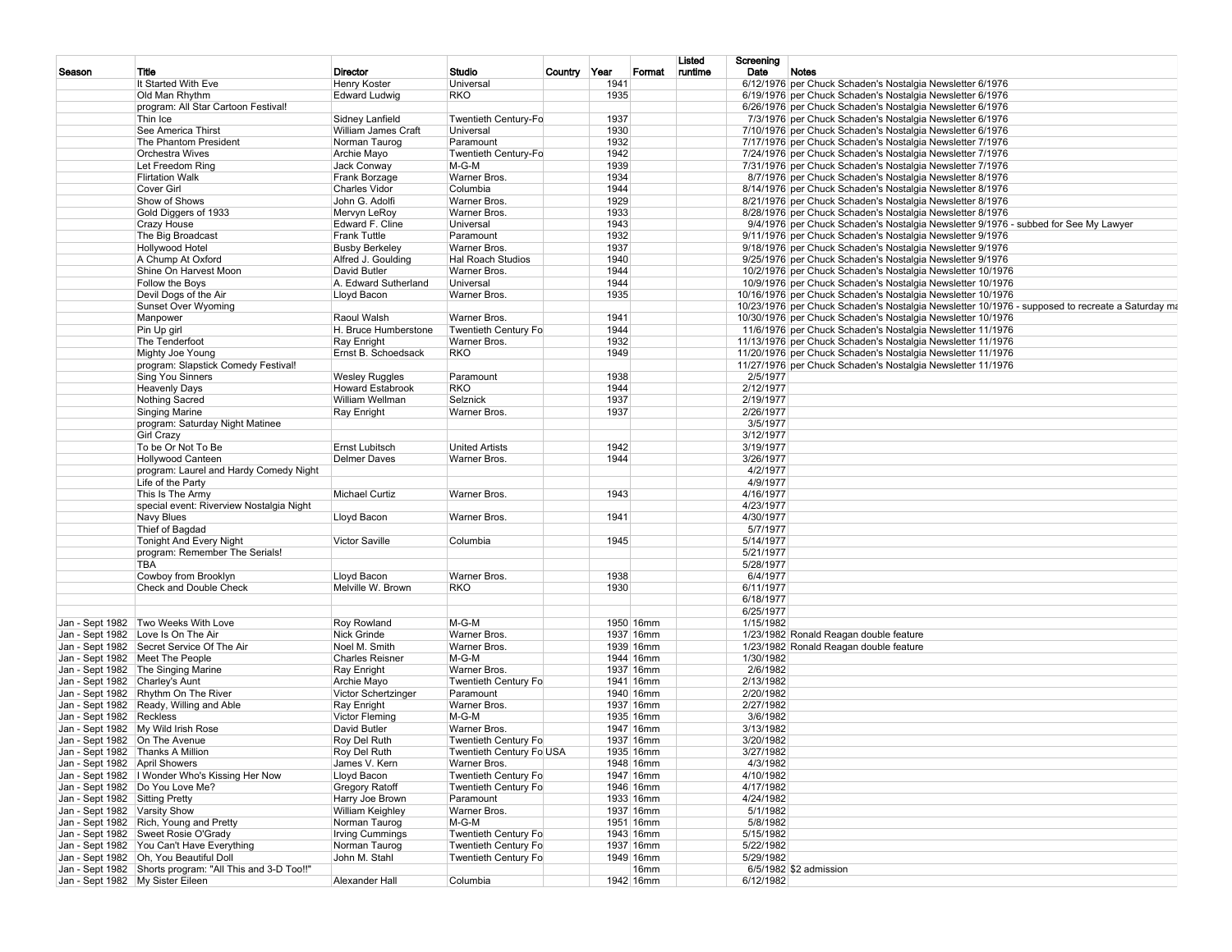| Season                           | Title                                                    | <b>Director</b>         | Studio                                       | Country Year |      | Format    | Listed<br>runtime | Screening<br>Date | Notes                                                                                            |
|----------------------------------|----------------------------------------------------------|-------------------------|----------------------------------------------|--------------|------|-----------|-------------------|-------------------|--------------------------------------------------------------------------------------------------|
|                                  | It Started With Eve                                      | Henry Koster            | Universal                                    |              | 1941 |           |                   |                   | 6/12/1976 per Chuck Schaden's Nostalgia Newsletter 6/1976                                        |
|                                  | Old Man Rhythm                                           | <b>Edward Ludwig</b>    | RKO                                          |              | 1935 |           |                   |                   | 6/19/1976 per Chuck Schaden's Nostalgia Newsletter 6/1976                                        |
|                                  | program: All Star Cartoon Festival!                      |                         |                                              |              |      |           |                   |                   | 6/26/1976 per Chuck Schaden's Nostalgia Newsletter 6/1976                                        |
|                                  | Thin Ice                                                 | Sidney Lanfield         | Twentieth Century-Fo                         |              | 1937 |           |                   |                   | 7/3/1976 per Chuck Schaden's Nostalgia Newsletter 6/1976                                         |
|                                  | See America Thirst                                       | William James Craft     | Universal                                    |              | 1930 |           |                   |                   | 7/10/1976 per Chuck Schaden's Nostalgia Newsletter 6/1976                                        |
|                                  | The Phantom President                                    | Norman Taurog           | Paramount                                    |              | 1932 |           |                   |                   | 7/17/1976 per Chuck Schaden's Nostalgia Newsletter 7/1976                                        |
|                                  | <b>Orchestra Wives</b>                                   | Archie Mayo             | Twentieth Century-Fo                         |              | 1942 |           |                   |                   | 7/24/1976 per Chuck Schaden's Nostalgia Newsletter 7/1976                                        |
|                                  | Let Freedom Ring                                         | Jack Conway             | $M-G-M$                                      |              | 1939 |           |                   |                   | 7/31/1976 per Chuck Schaden's Nostalgia Newsletter 7/1976                                        |
|                                  | <b>Flirtation Walk</b>                                   | Frank Borzage           | Warner Bros.                                 |              | 1934 |           |                   |                   | 8/7/1976 per Chuck Schaden's Nostalgia Newsletter 8/1976                                         |
|                                  | Cover Girl                                               | <b>Charles Vidor</b>    | Columbia                                     |              | 1944 |           |                   |                   | 8/14/1976 per Chuck Schaden's Nostalgia Newsletter 8/1976                                        |
|                                  | Show of Shows                                            | John G. Adolfi          | Warner Bros.                                 |              | 1929 |           |                   |                   | 8/21/1976 per Chuck Schaden's Nostalgia Newsletter 8/1976                                        |
|                                  | Gold Diggers of 1933                                     | Mervyn LeRoy            | Warner Bros.                                 |              | 1933 |           |                   |                   | 8/28/1976 per Chuck Schaden's Nostalgia Newsletter 8/1976                                        |
|                                  | <b>Crazy House</b>                                       | Edward F. Cline         | Universal                                    |              | 1943 |           |                   |                   | 9/4/1976 per Chuck Schaden's Nostalgia Newsletter 9/1976 - subbed for See My Lawyer              |
|                                  | The Big Broadcast                                        | <b>Frank Tuttle</b>     | Paramount                                    |              | 1932 |           |                   |                   | 9/11/1976 per Chuck Schaden's Nostalgia Newsletter 9/1976                                        |
|                                  | Hollywood Hotel                                          | <b>Busby Berkeley</b>   | Warner Bros.                                 |              | 1937 |           |                   |                   | 9/18/1976 per Chuck Schaden's Nostalgia Newsletter 9/1976                                        |
|                                  | A Chump At Oxford                                        | Alfred J. Goulding      | <b>Hal Roach Studios</b>                     |              | 1940 |           |                   |                   | 9/25/1976 per Chuck Schaden's Nostalgia Newsletter 9/1976                                        |
|                                  | Shine On Harvest Moon                                    | David Butler            | Warner Bros.                                 |              | 1944 |           |                   |                   | 10/2/1976 per Chuck Schaden's Nostalgia Newsletter 10/1976                                       |
|                                  | Follow the Boys                                          | A. Edward Sutherland    | Universal                                    |              | 1944 |           |                   |                   | 10/9/1976 per Chuck Schaden's Nostalgia Newsletter 10/1976                                       |
|                                  | Devil Dogs of the Air                                    | Lloyd Bacon             | Warner Bros.                                 |              | 1935 |           |                   |                   | 10/16/1976 per Chuck Schaden's Nostalgia Newsletter 10/1976                                      |
|                                  | Sunset Over Wyoming                                      |                         |                                              |              |      |           |                   |                   | 10/23/1976 per Chuck Schaden's Nostalgia Newsletter 10/1976 - supposed to recreate a Saturday ma |
|                                  | Manpower                                                 | Raoul Walsh             | Warner Bros.                                 |              | 1941 |           |                   |                   | 10/30/1976 per Chuck Schaden's Nostalgia Newsletter 10/1976                                      |
|                                  | Pin Up girl                                              | H. Bruce Humberstone    | Twentieth Century Fo                         |              | 1944 |           |                   |                   | 11/6/1976 per Chuck Schaden's Nostalgia Newsletter 11/1976                                       |
|                                  | The Tenderfoot                                           | Ray Enright             | Warner Bros.                                 |              | 1932 |           |                   |                   | 11/13/1976 per Chuck Schaden's Nostalgia Newsletter 11/1976                                      |
|                                  | Mighty Joe Young                                         | Ernst B. Schoedsack     | <b>RKO</b>                                   |              | 1949 |           |                   |                   | 11/20/1976 per Chuck Schaden's Nostalgia Newsletter 11/1976                                      |
|                                  | program: Slapstick Comedy Festival!                      |                         |                                              |              |      |           |                   |                   | 11/27/1976 per Chuck Schaden's Nostalgia Newsletter 11/1976                                      |
|                                  | <b>Sing You Sinners</b>                                  | <b>Wesley Ruggles</b>   | Paramount                                    |              | 1938 |           |                   | 2/5/1977          |                                                                                                  |
|                                  | <b>Heavenly Days</b>                                     | <b>Howard Estabrook</b> | RKO                                          |              | 1944 |           |                   | 2/12/1977         |                                                                                                  |
|                                  | Nothing Sacred                                           | William Wellman         | Selznick                                     |              | 1937 |           |                   | 2/19/1977         |                                                                                                  |
|                                  | <b>Singing Marine</b>                                    | Ray Enright             | Warner Bros.                                 |              | 1937 |           |                   | 2/26/1977         |                                                                                                  |
|                                  | program: Saturday Night Matinee                          |                         |                                              |              |      |           |                   | 3/5/1977          |                                                                                                  |
|                                  | <b>Girl Crazy</b>                                        |                         |                                              |              |      |           |                   | 3/12/1977         |                                                                                                  |
|                                  | To be Or Not To Be                                       | Ernst Lubitsch          | <b>United Artists</b>                        |              | 1942 |           |                   | 3/19/1977         |                                                                                                  |
|                                  | <b>Hollywood Canteen</b>                                 | <b>Delmer Daves</b>     | Warner Bros.                                 |              | 1944 |           |                   | 3/26/1977         |                                                                                                  |
|                                  | program: Laurel and Hardy Comedy Night                   |                         |                                              |              |      |           |                   | 4/2/1977          |                                                                                                  |
|                                  | Life of the Party                                        |                         |                                              |              |      |           |                   | 4/9/1977          |                                                                                                  |
|                                  | This Is The Army                                         | <b>Michael Curtiz</b>   | Warner Bros.                                 |              | 1943 |           |                   | 4/16/1977         |                                                                                                  |
|                                  | special event: Riverview Nostalgia Night                 |                         |                                              |              |      |           |                   | 4/23/1977         |                                                                                                  |
|                                  | Navy Blues                                               | Lloyd Bacon             | Warner Bros.                                 |              | 1941 |           |                   | 4/30/1977         |                                                                                                  |
|                                  | Thief of Bagdad                                          |                         |                                              |              |      |           |                   | 5/7/1977          |                                                                                                  |
|                                  | <b>Tonight And Every Night</b>                           | Victor Saville          | Columbia                                     |              | 1945 |           |                   | 5/14/1977         |                                                                                                  |
|                                  | program: Remember The Serials!                           |                         |                                              |              |      |           |                   | 5/21/1977         |                                                                                                  |
|                                  | <b>TBA</b>                                               |                         |                                              |              |      |           |                   | 5/28/1977         |                                                                                                  |
|                                  | Cowboy from Brooklyn                                     | Lloyd Bacon             | Warner Bros.                                 |              | 1938 |           |                   | 6/4/1977          |                                                                                                  |
|                                  | Check and Double Check                                   | Melville W. Brown       | RKO                                          |              | 1930 |           |                   | 6/11/1977         |                                                                                                  |
|                                  |                                                          |                         |                                              |              |      |           |                   | 6/18/1977         |                                                                                                  |
|                                  |                                                          |                         |                                              |              |      |           |                   | 6/25/1977         |                                                                                                  |
|                                  | Jan - Sept 1982 Two Weeks With Love                      | Roy Rowland             | $M-G-M$                                      |              |      | 1950 16mm |                   | 1/15/1982         |                                                                                                  |
|                                  | Jan - Sept 1982 Love Is On The Air                       | Nick Grinde             | Warner Bros.                                 |              |      | 1937 16mm |                   |                   | 1/23/1982 Ronald Reagan double feature                                                           |
|                                  | Jan - Sept 1982   Secret Service Of The Air              | Noel M. Smith           | Warner Bros.                                 |              |      | 1939 16mm |                   |                   | 1/23/1982 Ronald Reagan double feature                                                           |
|                                  | Jan - Sept 1982   Meet The People                        | <b>Charles Reisner</b>  | $M-G-M$                                      |              |      | 1944 16mm |                   | 1/30/1982         |                                                                                                  |
|                                  | Jan - Sept 1982 The Singing Marine                       | Ray Enright             | Warner Bros.                                 |              |      | 1937 16mm |                   | 2/6/1982          |                                                                                                  |
| Jan - Sept 1982 Charley's Aunt   |                                                          | Archie Mayo             | <b>Twentieth Century Fo</b>                  |              |      | 1941 16mm |                   | 2/13/1982         |                                                                                                  |
|                                  | Jan - Sept 1982 Rhythm On The River                      | Victor Schertzinger     | Paramount                                    |              |      | 1940 16mm |                   | 2/20/1982         |                                                                                                  |
|                                  | Jan - Sept 1982 Ready, Willing and Able                  | Ray Enright             | Warner Bros.                                 |              |      | 1937 16mm |                   | 2/27/1982         |                                                                                                  |
| Jan - Sept 1982 Reckless         |                                                          | Victor Fleming          | $M-G-M$                                      |              |      | 1935 16mm |                   | 3/6/1982          |                                                                                                  |
|                                  | Jan - Sept 1982 My Wild Irish Rose                       | David Butler            | Warner Bros.                                 |              |      | 1947 16mm |                   | 3/13/1982         |                                                                                                  |
| Jan - Sept 1982   On The Avenue  |                                                          | Roy Del Ruth            | <b>Twentieth Century Fo</b>                  |              |      | 1937 16mm |                   | 3/20/1982         |                                                                                                  |
| Jan - Sept 1982 Thanks A Million |                                                          | Roy Del Ruth            | Twentieth Century Fo USA                     |              |      | 1935 16mm |                   | 3/27/1982         |                                                                                                  |
| Jan - Sept 1982 April Showers    |                                                          | James V. Kern           | Warner Bros.                                 |              |      | 1948 16mm |                   | 4/3/1982          |                                                                                                  |
|                                  | Jan - Sept 1982   I Wonder Who's Kissing Her Now         | Lloyd Bacon             | Twentieth Century Fo                         |              |      | 1947 16mm |                   | 4/10/1982         |                                                                                                  |
|                                  | Jan - Sept 1982   Do You Love Me?                        | <b>Gregory Ratoff</b>   | Twentieth Century Fo                         |              |      | 1946 16mm |                   | 4/17/1982         |                                                                                                  |
| Jan - Sept 1982 Sitting Pretty   |                                                          | Harry Joe Brown         | Paramount                                    |              |      | 1933 16mm |                   | 4/24/1982         |                                                                                                  |
| Jan - Sept 1982 Varsity Show     |                                                          | William Keighley        | Warner Bros.                                 |              |      | 1937 16mm |                   | 5/1/1982          |                                                                                                  |
|                                  | Jan - Sept 1982 Rich, Young and Pretty                   | Norman Taurog           | $M-G-M$                                      |              |      | 1951 16mm |                   | 5/8/1982          |                                                                                                  |
|                                  | Jan - Sept 1982 Sweet Rosie O'Grady                      | <b>Irving Cummings</b>  |                                              |              |      | 1943 16mm |                   | 5/15/1982         |                                                                                                  |
|                                  | Jan - Sept 1982 You Can't Have Everything                | Norman Taurog           | Twentieth Century Fo<br>Twentieth Century Fo |              |      | 1937 16mm |                   | 5/22/1982         |                                                                                                  |
|                                  | Jan - Sept 1982   Oh, You Beautiful Doll                 | John M. Stahl           | Twentieth Century Fo                         |              |      | 1949 16mm |                   | 5/29/1982         |                                                                                                  |
|                                  | Jan - Sept 1982 Shorts program: "All This and 3-D Too!!" |                         |                                              |              |      | 16mm      |                   |                   | 6/5/1982 \$2 admission                                                                           |
|                                  | Jan - Sept 1982   My Sister Eileen                       | Alexander Hall          | Columbia                                     |              |      | 1942 16mm |                   | 6/12/1982         |                                                                                                  |
|                                  |                                                          |                         |                                              |              |      |           |                   |                   |                                                                                                  |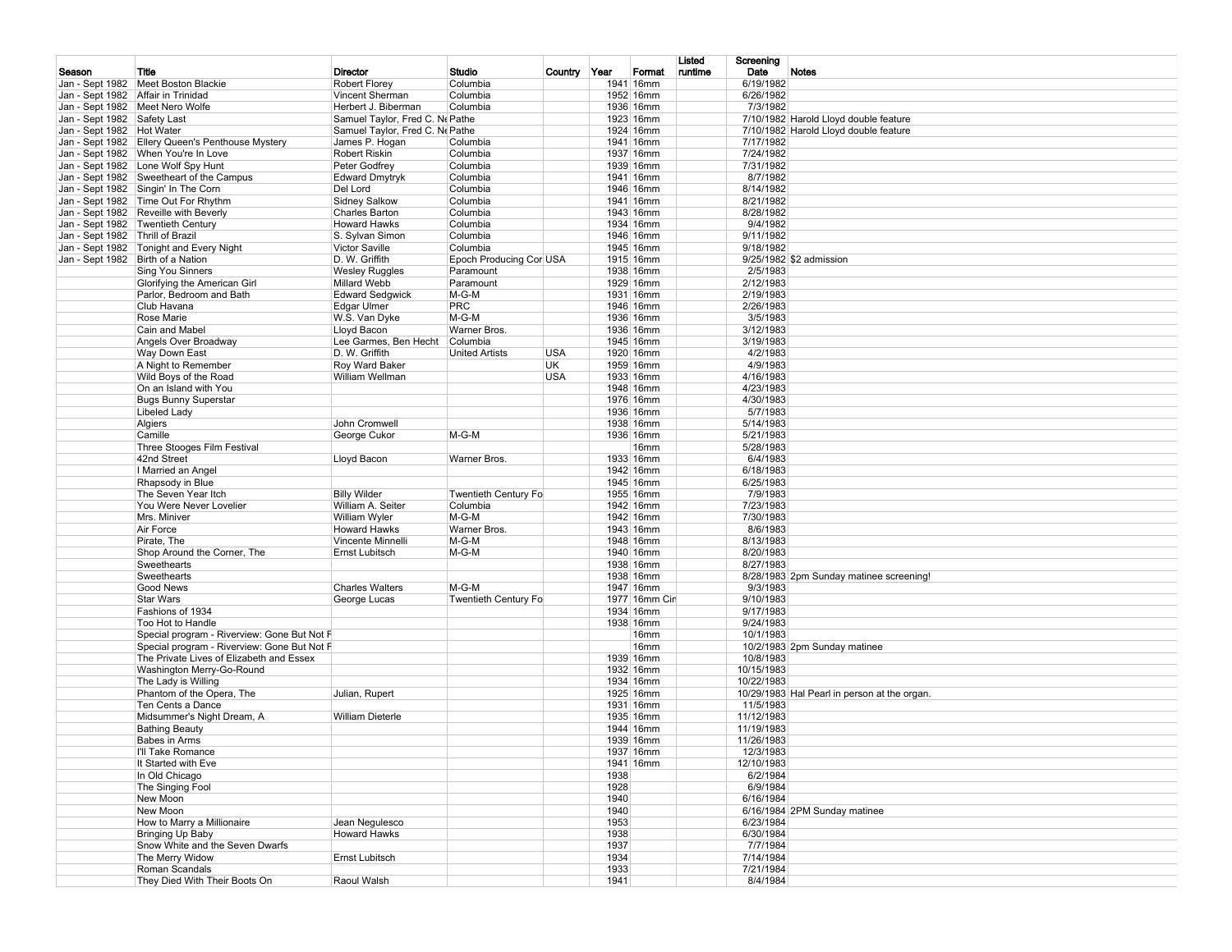|                                   |                                                                                         |                                               |                                     |              |                          | Listed  | Screening               |                                              |
|-----------------------------------|-----------------------------------------------------------------------------------------|-----------------------------------------------|-------------------------------------|--------------|--------------------------|---------|-------------------------|----------------------------------------------|
| Season                            | Title                                                                                   | <b>Director</b>                               | Studio                              | Country Year | Format                   | runtime | Date                    | <b>Notes</b>                                 |
|                                   | Jan - Sept 1982   Meet Boston Blackie                                                   | <b>Robert Florey</b>                          | Columbia                            | 1941         | 16mm                     |         | 6/19/1982               |                                              |
|                                   | Jan - Sept 1982 Affair in Trinidad                                                      | Vincent Sherman                               | Columbia                            |              | 1952 16mm                |         | 6/26/1982               |                                              |
|                                   | Jan - Sept 1982   Meet Nero Wolfe                                                       | Herbert J. Biberman                           | Columbia                            |              | 1936 16mm                |         | 7/3/1982                |                                              |
| Jan - Sept 1982 Safety Last       |                                                                                         | Samuel Taylor, Fred C. Ne Pathe               |                                     |              | 1923 16mm                |         |                         | 7/10/1982 Harold Lloyd double feature        |
| Jan - Sept 1982   Hot Water       |                                                                                         | Samuel Taylor, Fred C. Ne Pathe               |                                     |              | 1924 16mm                |         |                         | 7/10/1982 Harold Lloyd double feature        |
|                                   | Jan - Sept 1982 Ellery Queen's Penthouse Mystery                                        | James P. Hogan                                | Columbia                            |              | 1941 16mm                |         | 7/17/1982               |                                              |
|                                   | Jan - Sept 1982   When You're In Love<br>Jan - Sept 1982   Lone Wolf Spy Hunt           | <b>Robert Riskin</b><br>Peter Godfrey         | Columbia<br>Columbia                |              | 1937 16mm<br>1939 16mm   |         | 7/24/1982<br>7/31/1982  |                                              |
|                                   | Jan - Sept 1982 Sweetheart of the Campus                                                | <b>Edward Dmytryk</b>                         | Columbia                            |              | 1941 16mm                |         | 8/7/1982                |                                              |
|                                   | Jan - Sept 1982 Singin' In The Corn                                                     | Del Lord                                      | Columbia                            |              | 1946 16mm                |         | 8/14/1982               |                                              |
|                                   | Jan - Sept 1982 Time Out For Rhythm                                                     | Sidney Salkow                                 | Columbia                            |              | 1941 16mm                |         | 8/21/1982               |                                              |
|                                   | Jan - Sept 1982 Reveille with Beverly                                                   | <b>Charles Barton</b>                         | Columbia                            |              | 1943 16mm                |         | 8/28/1982               |                                              |
|                                   | Jan - Sept 1982 Twentieth Century                                                       | <b>Howard Hawks</b>                           | Columbia                            |              | 1934 16mm                |         | 9/4/1982                |                                              |
| Jan - Sept 1982 Thrill of Brazil  |                                                                                         | S. Sylvan Simon                               | Columbia                            |              | 1946 16mm                |         | 9/11/1982               |                                              |
|                                   | Jan - Sept 1982 Tonight and Every Night                                                 | <b>Victor Saville</b>                         | Columbia                            |              | 1945 16mm                |         | 9/18/1982               |                                              |
| Jan - Sept 1982 Birth of a Nation |                                                                                         | D. W. Griffith                                | Epoch Producing Cor USA             |              | 1915 16mm                |         |                         | 9/25/1982 \$2 admission                      |
|                                   | Sing You Sinners                                                                        | Wesley Ruggles                                | Paramount                           |              | 1938 16mm                |         | 2/5/1983                |                                              |
|                                   | Glorifying the American Girl<br>Parlor, Bedroom and Bath                                | <b>Millard Webb</b><br><b>Edward Sedgwick</b> | Paramount<br>$M-G-M$                |              | 1929 16mm<br>1931 16mm   |         | 2/12/1983<br>2/19/1983  |                                              |
|                                   | Club Havana                                                                             | Edgar Ulmer                                   | PRC                                 |              | 1946 16mm                |         | 2/26/1983               |                                              |
|                                   | Rose Marie                                                                              | W.S. Van Dyke                                 | $M-G-M$                             |              | 1936 16mm                |         | 3/5/1983                |                                              |
|                                   | Cain and Mabel                                                                          | Lloyd Bacon                                   | Warner Bros.                        |              | 1936 16mm                |         | 3/12/1983               |                                              |
|                                   | Angels Over Broadway                                                                    | Lee Garmes, Ben Hecht                         | Columbia                            |              | 1945 16mm                |         | 3/19/1983               |                                              |
|                                   | Way Down East                                                                           | D. W. Griffith                                | <b>United Artists</b><br><b>USA</b> |              | 1920 16mm                |         | 4/2/1983                |                                              |
|                                   | A Night to Remember                                                                     | Roy Ward Baker                                | UK.                                 |              | 1959 16mm                |         | 4/9/1983                |                                              |
|                                   | Wild Boys of the Road                                                                   | William Wellman                               | <b>USA</b>                          |              | 1933 16mm                |         | 4/16/1983               |                                              |
|                                   | On an Island with You                                                                   |                                               |                                     |              | 1948 16mm                |         | 4/23/1983               |                                              |
|                                   | <b>Bugs Bunny Superstar</b>                                                             |                                               |                                     |              | 1976 16mm                |         | 4/30/1983               |                                              |
|                                   | Libeled Lady<br>Algiers                                                                 | John Cromwell                                 |                                     |              | 1936 16mm<br>1938 16mm   |         | 5/7/1983<br>5/14/1983   |                                              |
|                                   | Camille                                                                                 | George Cukor                                  | M-G-M                               |              | 1936 16mm                |         | 5/21/1983               |                                              |
|                                   | Three Stooges Film Festival                                                             |                                               |                                     |              | 16mm                     |         | 5/28/1983               |                                              |
|                                   | 42nd Street                                                                             | Lloyd Bacon                                   | Warner Bros.                        |              | 1933 16mm                |         | 6/4/1983                |                                              |
|                                   | I Married an Angel                                                                      |                                               |                                     |              | 1942 16mm                |         | 6/18/1983               |                                              |
|                                   | Rhapsody in Blue                                                                        |                                               |                                     |              | 1945 16mm                |         | 6/25/1983               |                                              |
|                                   | The Seven Year Itch                                                                     | <b>Billy Wilder</b>                           | <b>Twentieth Century Fo</b>         |              | 1955 16mm                |         | 7/9/1983                |                                              |
|                                   | You Were Never Lovelier                                                                 | William A. Seiter                             | Columbia                            |              | 1942 16mm                |         | 7/23/1983               |                                              |
|                                   | Mrs. Miniver                                                                            | William Wyler                                 | $M-G-M$                             |              | 1942 16mm                |         | 7/30/1983               |                                              |
|                                   | Air Force<br>Pirate, The                                                                | <b>Howard Hawks</b><br>Vincente Minnelli      | Warner Bros.<br>M-G-M               |              | 1943 16mm<br>1948 16mm   |         | 8/6/1983<br>8/13/1983   |                                              |
|                                   | Shop Around the Corner, The                                                             | Ernst Lubitsch                                | M-G-M                               |              | 1940 16mm                |         | 8/20/1983               |                                              |
|                                   | Sweethearts                                                                             |                                               |                                     |              | 1938 16mm                |         | 8/27/1983               |                                              |
|                                   | Sweethearts                                                                             |                                               |                                     |              | 1938 16mm                |         |                         | 8/28/1983 2pm Sunday matinee screening!      |
|                                   | Good News                                                                               | <b>Charles Walters</b>                        | M-G-M                               |              | 1947 16mm                |         | 9/3/1983                |                                              |
|                                   | <b>Star Wars</b>                                                                        | George Lucas                                  | <b>Twentieth Century Fo</b>         |              | 1977 16mm Cir            |         | 9/10/1983               |                                              |
|                                   | Fashions of 1934                                                                        |                                               |                                     |              | 1934 16mm                |         | 9/17/1983               |                                              |
|                                   | Too Hot to Handle                                                                       |                                               |                                     |              | 1938 16mm                |         | 9/24/1983               |                                              |
|                                   | Special program - Riverview: Gone But Not F                                             |                                               |                                     |              | 16mm<br>16 <sub>mm</sub> |         | 10/1/1983               |                                              |
|                                   | Special program - Riverview: Gone But Not F<br>The Private Lives of Elizabeth and Essex |                                               |                                     |              | 1939 16mm                |         | 10/8/1983               | 10/2/1983 2pm Sunday matinee                 |
|                                   | Washington Merry-Go-Round                                                               |                                               |                                     |              | 1932 16mm                |         | 10/15/1983              |                                              |
|                                   | The Lady is Willing                                                                     |                                               |                                     |              | 1934 16mm                |         | 10/22/1983              |                                              |
|                                   | Phantom of the Opera, The                                                               | Julian, Rupert                                |                                     |              | 1925 16mm                |         |                         | 10/29/1983 Hal Pearl in person at the organ. |
|                                   | Ten Cents a Dance                                                                       |                                               |                                     |              | 1931 16mm                |         | 11/5/1983               |                                              |
|                                   | Midsummer's Night Dream, A                                                              | <b>William Dieterle</b>                       |                                     |              | 1935 16mm                |         | 11/12/1983              |                                              |
|                                   | <b>Bathing Beauty</b>                                                                   |                                               |                                     |              | 1944 16mm                |         | 11/19/1983              |                                              |
|                                   | Babes in Arms                                                                           |                                               |                                     |              | 1939 16mm                |         | 11/26/1983              |                                              |
|                                   | I'll Take Romance<br>It Started with Eve                                                |                                               |                                     |              | 1937 16mm<br>1941 16mm   |         | 12/3/1983<br>12/10/1983 |                                              |
|                                   | In Old Chicago                                                                          |                                               |                                     | 1938         |                          |         | 6/2/1984                |                                              |
|                                   | The Singing Fool                                                                        |                                               |                                     | 1928         |                          |         | 6/9/1984                |                                              |
|                                   | New Moon                                                                                |                                               |                                     | 1940         |                          |         | 6/16/1984               |                                              |
|                                   | New Moon                                                                                |                                               |                                     | 1940         |                          |         |                         | 6/16/1984 2PM Sunday matinee                 |
|                                   | How to Marry a Millionaire                                                              | Jean Negulesco                                |                                     | 1953         |                          |         | 6/23/1984               |                                              |
|                                   | Bringing Up Baby                                                                        | <b>Howard Hawks</b>                           |                                     | 1938         |                          |         | 6/30/1984               |                                              |
|                                   | Snow White and the Seven Dwarfs                                                         |                                               |                                     | 1937         |                          |         | 7/7/1984                |                                              |
|                                   | The Merry Widow<br>Roman Scandals                                                       | Ernst Lubitsch                                |                                     | 1934<br>1933 |                          |         | 7/14/1984<br>7/21/1984  |                                              |
|                                   | They Died With Their Boots On                                                           | Raoul Walsh                                   |                                     | 1941         |                          |         | 8/4/1984                |                                              |
|                                   |                                                                                         |                                               |                                     |              |                          |         |                         |                                              |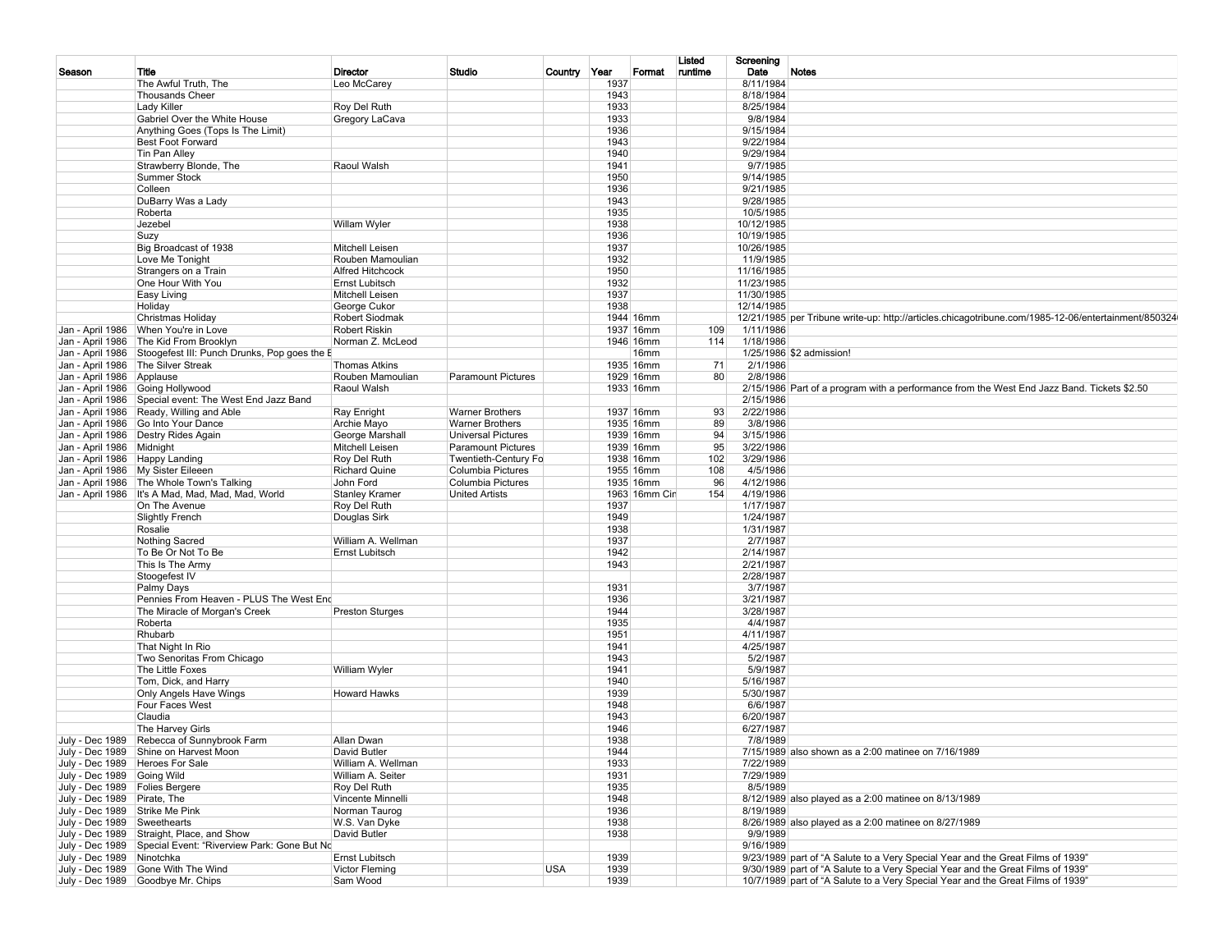|                                   |                                                             |                         |                           |            |              |               | Listed  | Screening  |                                                                                                     |
|-----------------------------------|-------------------------------------------------------------|-------------------------|---------------------------|------------|--------------|---------------|---------|------------|-----------------------------------------------------------------------------------------------------|
| Season                            | Title                                                       | Director                | Studio                    | Country    | Year         | Format        | runtime | Date       | Notes                                                                                               |
|                                   | The Awful Truth. The                                        | Leo McCarey             |                           |            | 1937         |               |         | 8/11/1984  |                                                                                                     |
|                                   | <b>Thousands Cheer</b>                                      |                         |                           |            | 1943         |               |         | 8/18/1984  |                                                                                                     |
|                                   | Lady Killer                                                 | Roy Del Ruth            |                           |            | 1933         |               |         | 8/25/1984  |                                                                                                     |
|                                   | Gabriel Over the White House                                | Gregory LaCava          |                           |            | 1933         |               |         | 9/8/1984   |                                                                                                     |
|                                   | Anything Goes (Tops Is The Limit)                           |                         |                           |            | 1936<br>1943 |               |         | 9/15/1984  |                                                                                                     |
|                                   | <b>Best Foot Forward</b>                                    |                         |                           |            |              |               |         | 9/22/1984  |                                                                                                     |
|                                   | Tin Pan Alley                                               |                         |                           |            | 1940         |               |         | 9/29/1984  |                                                                                                     |
|                                   | Strawberry Blonde, The                                      | Raoul Walsh             |                           |            | 1941         |               |         | 9/7/1985   |                                                                                                     |
|                                   | Summer Stock                                                |                         |                           |            | 1950         |               |         | 9/14/1985  |                                                                                                     |
|                                   | Colleen                                                     |                         |                           |            | 1936         |               |         | 9/21/1985  |                                                                                                     |
|                                   | DuBarry Was a Lady                                          |                         |                           |            | 1943         |               |         | 9/28/1985  |                                                                                                     |
|                                   | Roberta                                                     |                         |                           |            | 1935         |               |         | 10/5/1985  |                                                                                                     |
|                                   | Jezebel                                                     | Willam Wyler            |                           |            | 1938         |               |         | 10/12/1985 |                                                                                                     |
|                                   | Suzy                                                        |                         |                           |            | 1936         |               |         | 10/19/1985 |                                                                                                     |
|                                   | Big Broadcast of 1938                                       | Mitchell Leisen         |                           |            | 1937         |               |         | 10/26/1985 |                                                                                                     |
|                                   | Love Me Tonight                                             | Rouben Mamoulian        |                           |            | 1932         |               |         | 11/9/1985  |                                                                                                     |
|                                   | Strangers on a Train                                        | <b>Alfred Hitchcock</b> |                           |            | 1950         |               |         | 11/16/1985 |                                                                                                     |
|                                   | One Hour With You                                           | <b>Ernst Lubitsch</b>   |                           |            | 1932         |               |         | 11/23/1985 |                                                                                                     |
|                                   | Easy Living                                                 | Mitchell Leisen         |                           |            | 1937         |               |         | 11/30/1985 |                                                                                                     |
|                                   | Holiday                                                     | George Cukor            |                           |            | 1938         |               |         | 12/14/1985 |                                                                                                     |
|                                   | Christmas Holiday                                           | <b>Robert Siodmak</b>   |                           |            |              | 1944 16mm     |         |            | 12/21/1985 per Tribune write-up: http://articles.chicagotribune.com/1985-12-06/entertainment/850324 |
|                                   | Jan - April 1986   When You're in Love                      | <b>Robert Riskin</b>    |                           |            |              | 1937 16mm     | 109     | 1/11/1986  |                                                                                                     |
| Jan - April 1986                  | The Kid From Brooklyn                                       | Norman Z. McLeod        |                           |            |              | 1946 16mm     | 114     | 1/18/1986  |                                                                                                     |
| Jan - April 1986                  | Stoogefest III: Punch Drunks, Pop goes the E                |                         |                           |            |              | 16mm          |         |            | 1/25/1986 \$2 admission!                                                                            |
| Jan - April 1986                  | The Silver Streak                                           | <b>Thomas Atkins</b>    |                           |            |              | 1935 16mm     | 71      | 2/1/1986   |                                                                                                     |
| Jan - April 1986                  | Applause                                                    | Rouben Mamoulian        | <b>Paramount Pictures</b> |            |              | 1929 16mm     | 80      | 2/8/1986   |                                                                                                     |
| Jan - April 1986                  | Going Hollywood                                             | Raoul Walsh             |                           |            |              | 1933 16mm     |         |            | 2/15/1986 Part of a program with a performance from the West End Jazz Band. Tickets \$2.50          |
| Jan - April 1986                  | Special event: The West End Jazz Band                       |                         |                           |            |              |               |         | 2/15/1986  |                                                                                                     |
| Jan - April 1986                  | Ready, Willing and Able                                     | Ray Enright             | <b>Warner Brothers</b>    |            |              | 1937 16mm     | 93      | 2/22/1986  |                                                                                                     |
| Jan - April 1986                  | Go Into Your Dance                                          | Archie Mayo             | <b>Warner Brothers</b>    |            |              | 1935 16mm     | 89      | 3/8/1986   |                                                                                                     |
| Jan - April 1986                  | Destry Rides Again                                          | George Marshal          | <b>Universal Pictures</b> |            |              | 1939 16mm     | 94      | 3/15/1986  |                                                                                                     |
| Jan - April 1986                  | Midnight                                                    | Mitchell Leisen         | <b>Paramount Pictures</b> |            |              | 1939 16mm     | 95      | 3/22/1986  |                                                                                                     |
| Jan - April 1986   Happy Landing  |                                                             | Roy Del Ruth            | Twentieth-Century Fo      |            |              | 1938 16mm     | 102     | 3/29/1986  |                                                                                                     |
|                                   | Jan - April 1986   My Sister Eileeen                        | <b>Richard Quine</b>    | Columbia Pictures         |            |              | 1955 16mm     | 108     | 4/5/1986   |                                                                                                     |
|                                   | Jan - April 1986 The Whole Town's Talking                   | John Ford               | <b>Columbia Pictures</b>  |            |              | 1935 16mm     | 96      | 4/12/1986  |                                                                                                     |
|                                   | Jan - April 1986 It's A Mad, Mad, Mad, Mad, World           | <b>Stanley Kramer</b>   | <b>United Artists</b>     |            |              | 1963 16mm Cin | 154     | 4/19/1986  |                                                                                                     |
|                                   | On The Avenue                                               | Roy Del Ruth            |                           |            | 1937         |               |         | 1/17/1987  |                                                                                                     |
|                                   | <b>Slightly French</b>                                      | Douglas Sirk            |                           |            | 1949         |               |         | 1/24/1987  |                                                                                                     |
|                                   | Rosalie                                                     |                         |                           |            | 1938         |               |         | 1/31/1987  |                                                                                                     |
|                                   | Nothing Sacred                                              | William A. Wellman      |                           |            | 1937         |               |         | 2/7/1987   |                                                                                                     |
|                                   | To Be Or Not To Be                                          | <b>Ernst Lubitsch</b>   |                           |            | 1942         |               |         | 2/14/1987  |                                                                                                     |
|                                   | This Is The Army                                            |                         |                           |            | 1943         |               |         | 2/21/1987  |                                                                                                     |
|                                   | Stoogefest IV                                               |                         |                           |            |              |               |         | 2/28/1987  |                                                                                                     |
|                                   | Palmy Days                                                  |                         |                           |            | 1931         |               |         | 3/7/1987   |                                                                                                     |
|                                   | Pennies From Heaven - PLUS The West End                     |                         |                           |            | 1936         |               |         | 3/21/1987  |                                                                                                     |
|                                   | The Miracle of Morgan's Creek                               | <b>Preston Sturges</b>  |                           |            | 1944         |               |         | 3/28/1987  |                                                                                                     |
|                                   | Roberta                                                     |                         |                           |            | 1935         |               |         | 4/4/1987   |                                                                                                     |
|                                   | Rhubarb                                                     |                         |                           |            | 1951         |               |         | 4/11/1987  |                                                                                                     |
|                                   | That Night In Rio                                           |                         |                           |            | 1941         |               |         | 4/25/1987  |                                                                                                     |
|                                   | Two Senoritas From Chicago                                  |                         |                           |            | 1943         |               |         | 5/2/1987   |                                                                                                     |
|                                   | The Little Foxes                                            | <b>William Wyler</b>    |                           |            | 1941         |               |         | 5/9/1987   |                                                                                                     |
|                                   | Tom, Dick, and Harry                                        |                         |                           |            | 1940         |               |         | 5/16/1987  |                                                                                                     |
|                                   | Only Angels Have Wings                                      | <b>Howard Hawks</b>     |                           |            | 1939         |               |         | 5/30/1987  |                                                                                                     |
|                                   | Four Faces West                                             |                         |                           |            | 1948         |               |         | 6/6/1987   |                                                                                                     |
|                                   | Claudia                                                     |                         |                           |            | 1943         |               |         | 6/20/1987  |                                                                                                     |
|                                   | The Harvey Girls                                            |                         |                           |            | 1946         |               |         | 6/27/1987  |                                                                                                     |
|                                   | July - Dec 1989 Rebecca of Sunnybrook Farm                  | Allan Dwan              |                           |            | 1938         |               |         | 7/8/1989   |                                                                                                     |
|                                   | July - Dec 1989 Shine on Harvest Moon                       | David Butler            |                           |            | 1944         |               |         |            | 7/15/1989 also shown as a 2:00 matinee on 7/16/1989                                                 |
| July - Dec 1989   Heroes For Sale |                                                             | William A. Wellman      |                           |            | 1933         |               |         | 7/22/1989  |                                                                                                     |
| July - Dec 1989 Going Wild        |                                                             | William A. Seiter       |                           |            | 1931         |               |         | 7/29/1989  |                                                                                                     |
| July - Dec 1989 Folies Bergere    |                                                             | Roy Del Ruth            |                           |            | 1935         |               |         | 8/5/1989   |                                                                                                     |
| July - Dec 1989 Pirate, The       |                                                             | Vincente Minnelli       |                           |            | 1948         |               |         |            | 8/12/1989 also played as a 2:00 matinee on 8/13/1989                                                |
| July - Dec 1989 Strike Me Pink    |                                                             | Norman Taurog           |                           |            | 1936         |               |         | 8/19/1989  |                                                                                                     |
| July - Dec 1989 Sweethearts       |                                                             | W.S. Van Dyke           |                           |            | 1938         |               |         |            | 8/26/1989 also played as a 2:00 matinee on 8/27/1989                                                |
|                                   | July - Dec 1989 Straight, Place, and Show                   | David Butler            |                           |            | 1938         |               |         | 9/9/1989   |                                                                                                     |
|                                   | July - Dec 1989 Special Event: "Riverview Park: Gone But No |                         |                           |            |              |               |         | 9/16/1989  |                                                                                                     |
| July - Dec 1989 Ninotchka         |                                                             | Ernst Lubitsch          |                           |            | 1939         |               |         |            | 9/23/1989 part of "A Salute to a Very Special Year and the Great Films of 1939"                     |
|                                   | July - Dec 1989 Gone With The Wind                          | Victor Fleming          |                           | <b>USA</b> | 1939         |               |         |            | 9/30/1989 part of "A Salute to a Very Special Year and the Great Films of 1939"                     |
|                                   | July - Dec 1989 Goodbye Mr. Chips                           | Sam Wood                |                           |            | 1939         |               |         |            | 10/7/1989 part of "A Salute to a Very Special Year and the Great Films of 1939"                     |
|                                   |                                                             |                         |                           |            |              |               |         |            |                                                                                                     |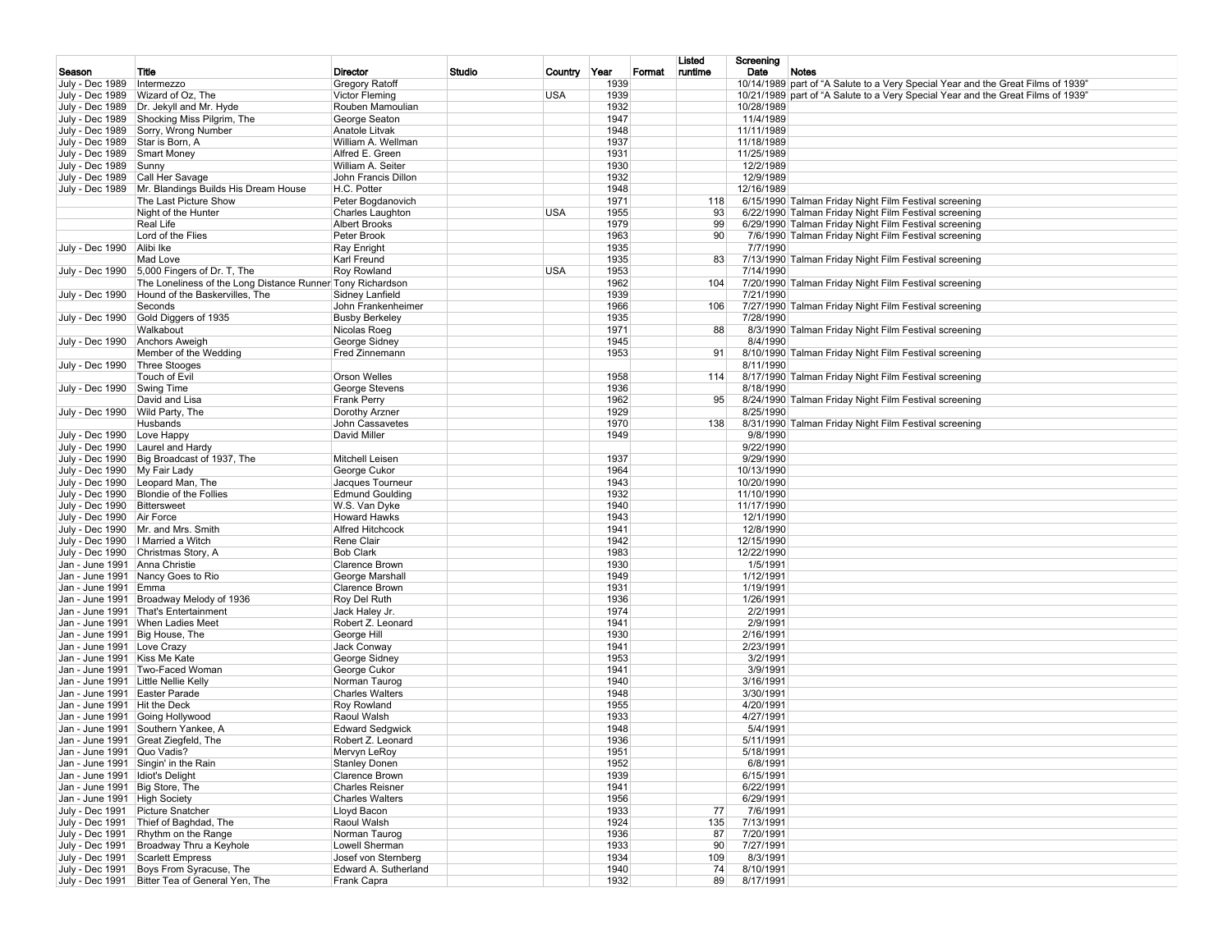|                                                          |                                                                                |                                          |        |              |              |        | Listed          | Screening                |                                                                                                                                                                      |
|----------------------------------------------------------|--------------------------------------------------------------------------------|------------------------------------------|--------|--------------|--------------|--------|-----------------|--------------------------|----------------------------------------------------------------------------------------------------------------------------------------------------------------------|
| Season                                                   | Title                                                                          | Director                                 | Studio | Country Year |              | Format | runtime         | Date                     | Notes                                                                                                                                                                |
| July - Dec 1989                                          | Intermezzo<br>July - Dec 1989 Wizard of Oz, The                                | Gregory Ratoff<br><b>Victor Fleming</b>  |        | <b>USA</b>   | 1939<br>1939 |        |                 |                          | 10/14/1989 part of "A Salute to a Very Special Year and the Great Films of 1939"<br>10/21/1989 part of "A Salute to a Very Special Year and the Great Films of 1939" |
|                                                          | July - Dec 1989   Dr. Jekyll and Mr. Hyde                                      | Rouben Mamoulian                         |        |              | 1932         |        |                 | 10/28/1989               |                                                                                                                                                                      |
|                                                          | July - Dec 1989 Shocking Miss Pilgrim, The                                     | George Seaton                            |        |              | 1947         |        |                 | 11/4/1989                |                                                                                                                                                                      |
|                                                          | July - Dec 1989 Sorry, Wrong Number                                            | Anatole Litvak                           |        |              | 1948         |        |                 | 11/11/1989               |                                                                                                                                                                      |
| July - Dec 1989 Star is Born, A                          |                                                                                | William A. Wellman                       |        |              | 1937         |        |                 | 11/18/1989               |                                                                                                                                                                      |
| July - Dec 1989 Smart Money                              |                                                                                | Alfred E. Green<br>William A. Seiter     |        |              | 1931<br>1930 |        |                 | 11/25/1989               |                                                                                                                                                                      |
| July - Dec 1989 Sunny<br>July - Dec 1989 Call Her Savage |                                                                                | John Francis Dillon                      |        |              | 1932         |        |                 | 12/2/1989<br>12/9/1989   |                                                                                                                                                                      |
|                                                          | July - Dec 1989 Mr. Blandings Builds His Dream House                           | H.C. Potter                              |        |              | 1948         |        |                 | 12/16/1989               |                                                                                                                                                                      |
|                                                          | The Last Picture Show                                                          | Peter Bogdanovich                        |        |              | 1971         |        | 118             |                          | 6/15/1990 Talman Friday Night Film Festival screening                                                                                                                |
|                                                          | Night of the Hunter                                                            | Charles Laughton                         |        | <b>USA</b>   | 1955         |        | 93              |                          | 6/22/1990 Talman Friday Night Film Festival screening                                                                                                                |
|                                                          | Real Life                                                                      | <b>Albert Brooks</b>                     |        |              | 1979         |        | 99              |                          | 6/29/1990 Talman Friday Night Film Festival screening                                                                                                                |
|                                                          | Lord of the Flies                                                              | Peter Brook                              |        |              | 1963         |        | 90 <sup>°</sup> |                          | 7/6/1990 Talman Friday Night Film Festival screening                                                                                                                 |
| July - Dec 1990                                          | Alibi Ike<br>Mad Love                                                          | Ray Enright<br>Karl Freund               |        |              | 1935<br>1935 |        | 83              | 7/7/1990                 | 7/13/1990 Talman Friday Night Film Festival screening                                                                                                                |
|                                                          | July - Dec 1990 5,000 Fingers of Dr. T, The                                    | Roy Rowland                              |        | <b>USA</b>   | 1953         |        |                 | 7/14/1990                |                                                                                                                                                                      |
|                                                          | The Loneliness of the Long Distance Runner Tony Richardson                     |                                          |        |              | 1962         |        | 104             |                          | 7/20/1990 Talman Friday Night Film Festival screening                                                                                                                |
|                                                          | July - Dec 1990   Hound of the Baskervilles, The                               | Sidney Lanfield                          |        |              | 1939         |        |                 | 7/21/1990                |                                                                                                                                                                      |
|                                                          | Seconds                                                                        | John Frankenheimer                       |        |              | 1966         |        | 106             |                          | 7/27/1990 Talman Friday Night Film Festival screening                                                                                                                |
|                                                          | July - Dec 1990 Gold Diggers of 1935                                           | <b>Busby Berkeley</b>                    |        |              | 1935         |        |                 | 7/28/1990                |                                                                                                                                                                      |
|                                                          | Walkabout                                                                      | Nicolas Roeg                             |        |              | 1971<br>1945 |        | 88              | 8/4/1990                 | 8/3/1990 Talman Friday Night Film Festival screening                                                                                                                 |
| July - Dec 1990 Anchors Aweigh                           | Member of the Wedding                                                          | George Sidney<br>Fred Zinnemann          |        |              | 1953         |        | 91              |                          | 8/10/1990 Talman Friday Night Film Festival screening                                                                                                                |
| July - Dec 1990 Three Stooges                            |                                                                                |                                          |        |              |              |        |                 | 8/11/1990                |                                                                                                                                                                      |
|                                                          | Touch of Evil                                                                  | Orson Welles                             |        |              | 1958         |        | 114             |                          | 8/17/1990 Talman Friday Night Film Festival screening                                                                                                                |
| July - Dec 1990 Swing Time                               |                                                                                | George Stevens                           |        |              | 1936         |        |                 | 8/18/1990                |                                                                                                                                                                      |
|                                                          | David and Lisa                                                                 | Frank Perry                              |        |              | 1962         |        | 95              |                          | 8/24/1990 Talman Friday Night Film Festival screening                                                                                                                |
| July - Dec 1990 Wild Party, The                          | Husbands                                                                       | Dorothy Arzner                           |        |              | 1929<br>1970 |        | 138             | 8/25/1990                | 8/31/1990 Talman Friday Night Film Festival screening                                                                                                                |
| July - Dec 1990 Love Happy                               |                                                                                | John Cassavetes<br>David Miller          |        |              | 1949         |        |                 | 9/8/1990                 |                                                                                                                                                                      |
|                                                          | July - Dec 1990   Laurel and Hardy                                             |                                          |        |              |              |        |                 | 9/22/1990                |                                                                                                                                                                      |
|                                                          | July - Dec 1990   Big Broadcast of 1937, The                                   | Mitchell Leisen                          |        |              | 1937         |        |                 | 9/29/1990                |                                                                                                                                                                      |
| July - Dec 1990   My Fair Lady                           |                                                                                | George Cukor                             |        |              | 1964         |        |                 | 10/13/1990               |                                                                                                                                                                      |
|                                                          | July - Dec 1990   Leopard Man, The                                             | Jacques Tourneur                         |        |              | 1943         |        |                 | 10/20/1990               |                                                                                                                                                                      |
| July - Dec 1990 Bittersweet                              | July - Dec 1990 Blondie of the Follies                                         | <b>Edmund Goulding</b>                   |        |              | 1932<br>1940 |        |                 | 11/10/1990<br>11/17/1990 |                                                                                                                                                                      |
| July - Dec 1990 Air Force                                |                                                                                | W.S. Van Dyke<br><b>Howard Hawks</b>     |        |              | 1943         |        |                 | 12/1/1990                |                                                                                                                                                                      |
|                                                          | July - Dec 1990   Mr. and Mrs. Smith                                           | <b>Alfred Hitchcock</b>                  |        |              | 1941         |        |                 | 12/8/1990                |                                                                                                                                                                      |
|                                                          | July - Dec 1990   Married a Witch                                              | Rene Clair                               |        |              | 1942         |        |                 | 12/15/1990               |                                                                                                                                                                      |
|                                                          | July - Dec 1990 Christmas Story, A                                             | <b>Bob Clark</b>                         |        |              | 1983         |        |                 | 12/22/1990               |                                                                                                                                                                      |
| Jan - June 1991 Anna Christie                            |                                                                                | Clarence Brown                           |        |              | 1930         |        |                 | 1/5/1991                 |                                                                                                                                                                      |
|                                                          | Jan - June 1991 Nancy Goes to Rio                                              | George Marshall<br><b>Clarence Brown</b> |        |              | 1949<br>1931 |        |                 | 1/12/1991<br>1/19/1991   |                                                                                                                                                                      |
| Jan - June 1991 Emma                                     | Jan - June 1991 Broadway Melody of 1936                                        | Roy Del Ruth                             |        |              | 1936         |        |                 | 1/26/1991                |                                                                                                                                                                      |
|                                                          | Jan - June 1991   That's Entertainment                                         | Jack Haley Jr.                           |        |              | 1974         |        |                 | 2/2/1991                 |                                                                                                                                                                      |
|                                                          | Jan - June 1991   When Ladies Meet                                             | Robert Z. Leonard                        |        |              | 1941         |        |                 | 2/9/1991                 |                                                                                                                                                                      |
| Jan - June 1991   Big House, The                         |                                                                                | George Hill                              |        |              | 1930         |        |                 | 2/16/1991                |                                                                                                                                                                      |
| Jan - June 1991 Love Crazy                               |                                                                                | Jack Conway                              |        |              | 1941         |        |                 | 2/23/1991                |                                                                                                                                                                      |
| Jan - June 1991   Kiss Me Kate                           | Jan - June 1991   Two-Faced Woman                                              | George Sidney<br>George Cukor            |        |              | 1953<br>1941 |        |                 | 3/2/1991<br>3/9/1991     |                                                                                                                                                                      |
|                                                          | Jan - June 1991   Little Nellie Kelly                                          | Norman Taurog                            |        |              | 1940         |        |                 | 3/16/1991                |                                                                                                                                                                      |
| Jan - June 1991 Easter Parade                            |                                                                                | <b>Charles Walters</b>                   |        |              | 1948         |        |                 | 3/30/1991                |                                                                                                                                                                      |
| Jan - June 1991 Hit the Deck                             |                                                                                | Roy Rowland                              |        |              | 1955         |        |                 | 4/20/1991                |                                                                                                                                                                      |
|                                                          | Jan - June 1991 Going Hollywood                                                | Raoul Walsh                              |        |              | 1933         |        |                 | 4/27/1991                |                                                                                                                                                                      |
|                                                          | Jan - June 1991 Southern Yankee, A                                             | <b>Edward Sedgwick</b>                   |        |              | 1948<br>1936 |        |                 | 5/4/1991                 |                                                                                                                                                                      |
| Jan - June 1991   Quo Vadis?                             | Jan - June 1991 Great Ziegfeld, The                                            | Robert Z. Leonard<br>Mervyn LeRoy        |        |              | 1951         |        |                 | 5/11/1991<br>5/18/1991   |                                                                                                                                                                      |
|                                                          | Jan - June 1991 Singin' in the Rain                                            | <b>Stanley Donen</b>                     |        |              | 1952         |        |                 | 6/8/1991                 |                                                                                                                                                                      |
| Jan - June 1991   Idiot's Delight                        |                                                                                | Clarence Brown                           |        |              | 1939         |        |                 | 6/15/1991                |                                                                                                                                                                      |
| Jan - June 1991   Big Store, The                         |                                                                                | <b>Charles Reisner</b>                   |        |              | 1941         |        |                 | 6/22/1991                |                                                                                                                                                                      |
| Jan - June 1991 High Society                             |                                                                                | <b>Charles Walters</b>                   |        |              | 1956         |        |                 | 6/29/1991                |                                                                                                                                                                      |
|                                                          | July - Dec 1991 Picture Snatcher                                               | Lloyd Bacon                              |        |              | 1933         |        | 77              | 7/6/1991                 |                                                                                                                                                                      |
|                                                          | July - Dec 1991   Thief of Baghdad, The<br>July - Dec 1991 Rhythm on the Range | Raoul Walsh<br>Norman Taurog             |        |              | 1924<br>1936 |        | 135<br>87       | 7/13/1991<br>7/20/1991   |                                                                                                                                                                      |
|                                                          | July - Dec 1991 Broadway Thru a Keyhole                                        | Lowell Sherman                           |        |              | 1933         |        | 90              | 7/27/1991                |                                                                                                                                                                      |
|                                                          | July - Dec 1991 Scarlett Empress                                               | Josef von Sternberg                      |        |              | 1934         |        | 109             | 8/3/1991                 |                                                                                                                                                                      |
|                                                          | July - Dec 1991 Boys From Syracuse, The                                        | Edward A. Sutherland                     |        |              | 1940         |        | 74              | 8/10/1991                |                                                                                                                                                                      |
|                                                          | July - Dec 1991   Bitter Tea of General Yen, The                               | Frank Capra                              |        |              | 1932         |        | 89              | 8/17/1991                |                                                                                                                                                                      |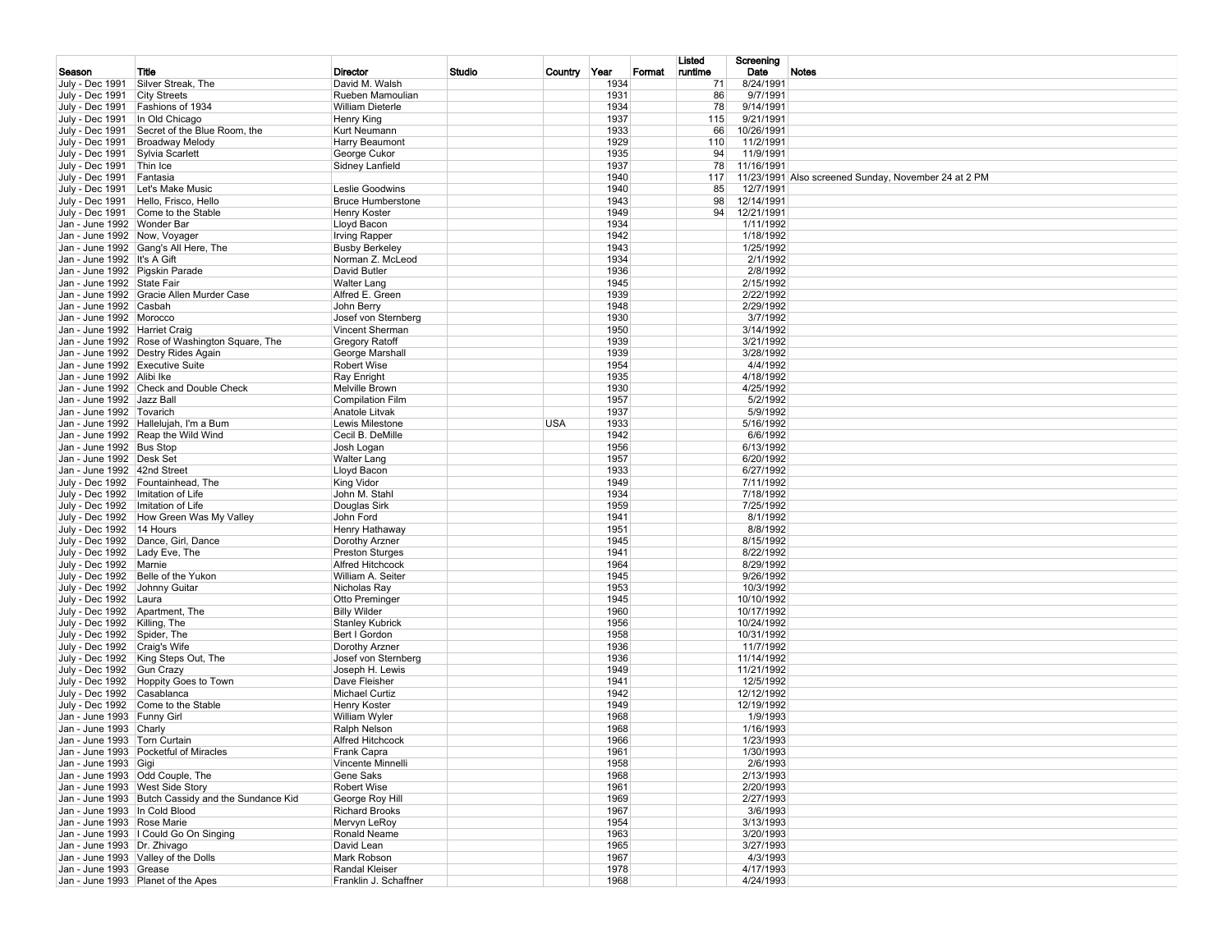| Season                                                        | Title                                                                             | Director                                 | Studio | Country Year |              | Format | Listed<br>runtime | Screening<br>Date        | Notes                                                |
|---------------------------------------------------------------|-----------------------------------------------------------------------------------|------------------------------------------|--------|--------------|--------------|--------|-------------------|--------------------------|------------------------------------------------------|
| July - Dec 1991                                               | Silver Streak, The                                                                | David M. Walsh                           |        |              | 1934         |        | 71                | 8/24/1991                |                                                      |
| July - Dec 1991 City Streets                                  |                                                                                   | Rueben Mamoulian                         |        |              | 1931         |        | 86                | 9/7/1991                 |                                                      |
|                                                               | July - Dec 1991 Fashions of 1934                                                  | <b>William Dieterle</b>                  |        |              | 1934         |        | 78                | 9/14/1991                |                                                      |
| July - Dec 1991   In Old Chicago                              |                                                                                   | Henry King                               |        |              | 1937         |        | 115               | 9/21/1991                |                                                      |
|                                                               | July - Dec 1991 Secret of the Blue Room, the<br>July - Dec 1991   Broadway Melody | Kurt Neumann<br>Harry Beaumont           |        |              | 1933<br>1929 |        | 66<br>110         | 10/26/1991<br>11/2/1991  |                                                      |
| July - Dec 1991 Sylvia Scarlett                               |                                                                                   | George Cukor                             |        |              | 1935         |        | 94                | 11/9/1991                |                                                      |
| July - Dec 1991 Thin Ice                                      |                                                                                   | Sidney Lanfield                          |        |              | 1937         |        | 78                | 11/16/1991               |                                                      |
| July - Dec 1991 Fantasia                                      |                                                                                   |                                          |        |              | 1940         |        | 117               |                          | 11/23/1991 Also screened Sunday, November 24 at 2 PM |
|                                                               | July - Dec 1991   Let's Make Music                                                | Leslie Goodwins                          |        |              | 1940         |        | 85                | 12/7/1991                |                                                      |
|                                                               | July - Dec 1991   Hello, Frisco, Hello<br>July - Dec 1991 Come to the Stable      | <b>Bruce Humberstone</b><br>Henry Koster |        |              | 1943<br>1949 |        | 98<br>94          | 12/14/1991<br>12/21/1991 |                                                      |
| Jan - June 1992   Wonder Bar                                  |                                                                                   | Lloyd Bacon                              |        |              | 1934         |        |                   | 1/11/1992                |                                                      |
| Jan - June 1992 Now, Voyager                                  |                                                                                   | <b>Irving Rapper</b>                     |        |              | 1942         |        |                   | 1/18/1992                |                                                      |
|                                                               | Jan - June 1992 Gang's All Here, The                                              | <b>Busby Berkeley</b>                    |        |              | 1943         |        |                   | 1/25/1992                |                                                      |
| Jan - June 1992 It's A Gift                                   |                                                                                   | Norman Z. McLeod                         |        |              | 1934         |        |                   | 2/1/1992                 |                                                      |
| Jan - June 1992 Pigskin Parade                                |                                                                                   | David Butler                             |        |              | 1936<br>1945 |        |                   | 2/8/1992                 |                                                      |
| Jan - June 1992 State Fair                                    | Jan - June 1992 Gracie Allen Murder Case                                          | <b>Walter Lang</b><br>Alfred E. Green    |        |              | 1939         |        |                   | 2/15/1992<br>2/22/1992   |                                                      |
| Jan - June 1992 Casbah                                        |                                                                                   | John Berry                               |        |              | 1948         |        |                   | 2/29/1992                |                                                      |
| Jan - June 1992 Morocco                                       |                                                                                   | Josef von Sternberg                      |        |              | 1930         |        |                   | 3/7/1992                 |                                                      |
| Jan - June 1992   Harriet Craig                               |                                                                                   | Vincent Sherman                          |        |              | 1950         |        |                   | 3/14/1992                |                                                      |
|                                                               | Jan - June 1992 Rose of Washington Square, The                                    | Gregory Ratoff                           |        |              | 1939         |        |                   | 3/21/1992                |                                                      |
|                                                               | Jan - June 1992   Destry Rides Again                                              | George Marshall                          |        |              | 1939         |        |                   | 3/28/1992                |                                                      |
| Jan - June 1992 Executive Suite<br>Jan - June 1992 Alibi Ike  |                                                                                   | <b>Robert Wise</b>                       |        |              | 1954<br>1935 |        |                   | 4/4/1992<br>4/18/1992    |                                                      |
|                                                               | Jan - June 1992 Check and Double Check                                            | Ray Enright<br>Melville Brown            |        |              | 1930         |        |                   | 4/25/1992                |                                                      |
| Jan - June 1992   Jazz Ball                                   |                                                                                   | <b>Compilation Film</b>                  |        |              | 1957         |        |                   | 5/2/1992                 |                                                      |
| Jan - June 1992   Tovarich                                    |                                                                                   | Anatole Litvak                           |        |              | 1937         |        |                   | 5/9/1992                 |                                                      |
|                                                               | Jan - June 1992 Hallelujah, I'm a Bum                                             | Lewis Milestone                          |        | <b>USA</b>   | 1933         |        |                   | 5/16/1992                |                                                      |
|                                                               | Jan - June 1992 Reap the Wild Wind                                                | Cecil B. DeMille                         |        |              | 1942         |        |                   | 6/6/1992                 |                                                      |
| Jan - June 1992 Bus Stop                                      |                                                                                   | Josh Logan                               |        |              | 1956         |        |                   | 6/13/1992                |                                                      |
| Jan - June 1992 Desk Set<br>Jan - June 1992 42nd Street       |                                                                                   | <b>Walter Lang</b><br>Lloyd Bacon        |        |              | 1957<br>1933 |        |                   | 6/20/1992<br>6/27/1992   |                                                      |
|                                                               | July - Dec 1992 Fountainhead, The                                                 | King Vidor                               |        |              | 1949         |        |                   | 7/11/1992                |                                                      |
| July - Dec 1992   Imitation of Life                           |                                                                                   | John M. Stahl                            |        |              | 1934         |        |                   | 7/18/1992                |                                                      |
| July - Dec 1992   Imitation of Life                           |                                                                                   | Douglas Sirk                             |        |              | 1959         |        |                   | 7/25/1992                |                                                      |
|                                                               | July - Dec 1992 How Green Was My Valley                                           | John Ford                                |        |              | 1941         |        |                   | 8/1/1992                 |                                                      |
| July - Dec 1992   14 Hours                                    |                                                                                   | Henry Hathaway                           |        |              | 1951         |        |                   | 8/8/1992                 |                                                      |
| July - Dec 1992   Lady Eve, The                               | July - Dec 1992   Dance, Girl, Dance                                              | Dorothy Arzner<br><b>Preston Sturges</b> |        |              | 1945<br>1941 |        |                   | 8/15/1992<br>8/22/1992   |                                                      |
| July - Dec 1992 Marnie                                        |                                                                                   | Alfred Hitchcock                         |        |              | 1964         |        |                   | 8/29/1992                |                                                      |
|                                                               | July - Dec 1992 Belle of the Yukon                                                | William A. Seiter                        |        |              | 1945         |        |                   | 9/26/1992                |                                                      |
| July - Dec 1992 Johnny Guitar                                 |                                                                                   | Nicholas Ray                             |        |              | 1953         |        |                   | 10/3/1992                |                                                      |
| July - Dec 1992 Laura                                         |                                                                                   | Otto Preminger                           |        |              | 1945         |        |                   | 10/10/1992               |                                                      |
| July - Dec 1992 Apartment, The                                |                                                                                   | <b>Billy Wilder</b>                      |        |              | 1960         |        |                   | 10/17/1992               |                                                      |
| July - Dec 1992   Killing, The                                |                                                                                   | <b>Stanley Kubrick</b><br>Bert I Gordon  |        |              | 1956<br>1958 |        |                   | 10/24/1992               |                                                      |
| July - Dec 1992 Spider, The<br>July - Dec 1992 Craig's Wife   |                                                                                   | Dorothy Arzner                           |        |              | 1936         |        |                   | 10/31/1992<br>11/7/1992  |                                                      |
|                                                               | July - Dec 1992   King Steps Out, The                                             | Josef von Sternberg                      |        |              | 1936         |        |                   | 11/14/1992               |                                                      |
| July - Dec 1992 Gun Crazy                                     |                                                                                   | Joseph H. Lewis                          |        |              | 1949         |        |                   | 11/21/1992               |                                                      |
|                                                               | July - Dec 1992 Hoppity Goes to Town                                              | Dave Fleisher                            |        |              | 1941         |        |                   | 12/5/1992                |                                                      |
| July - Dec 1992 Casablanca                                    |                                                                                   | Michael Curtiz                           |        |              | 1942         |        |                   | 12/12/1992               |                                                      |
|                                                               | July - Dec 1992 Come to the Stable                                                | Henry Koster                             |        |              | 1949         |        |                   | 12/19/1992               |                                                      |
| Jan - June 1993 Funny Girl<br>Jan - June 1993 Charly          |                                                                                   | William Wyler<br>Ralph Nelson            |        |              | 1968<br>1968 |        |                   | 1/9/1993<br>1/16/1993    |                                                      |
| Jan - June 1993   Torn Curtain                                |                                                                                   | Alfred Hitchcock                         |        |              | 1966         |        |                   | 1/23/1993                |                                                      |
|                                                               | Jan - June 1993 Pocketful of Miracles                                             | Frank Capra                              |        |              | 1961         |        |                   | 1/30/1993                |                                                      |
| Jan - June 1993 Gigi                                          |                                                                                   | Vincente Minnelli                        |        |              | 1958         |        |                   | 2/6/1993                 |                                                      |
|                                                               | Jan - June 1993 Odd Couple, The                                                   | Gene Saks                                |        |              | 1968         |        |                   | 2/13/1993                |                                                      |
|                                                               | Jan - June 1993 West Side Story                                                   | Robert Wise                              |        |              | 1961         |        |                   | 2/20/1993                |                                                      |
|                                                               | Jan - June 1993 Butch Cassidy and the Sundance Kid                                | George Roy Hill<br><b>Richard Brooks</b> |        |              | 1969<br>1967 |        |                   | 2/27/1993<br>3/6/1993    |                                                      |
| Jan - June 1993   In Cold Blood<br>Jan - June 1993 Rose Marie |                                                                                   | Mervyn LeRoy                             |        |              | 1954         |        |                   | 3/13/1993                |                                                      |
|                                                               | Jan - June 1993   Could Go On Singing                                             | Ronald Neame                             |        |              | 1963         |        |                   | 3/20/1993                |                                                      |
| Jan - June 1993   Dr. Zhivago                                 |                                                                                   | David Lean                               |        |              | 1965         |        |                   | 3/27/1993                |                                                      |
|                                                               | Jan - June 1993 Valley of the Dolls                                               | Mark Robson                              |        |              | 1967         |        |                   | 4/3/1993                 |                                                      |
| Jan - June 1993 Grease                                        |                                                                                   | Randal Kleiser                           |        |              | 1978         |        |                   | 4/17/1993                |                                                      |
|                                                               | Jan - June 1993 Planet of the Apes                                                | Franklin J. Schaffner                    |        |              | 1968         |        |                   | 4/24/1993                |                                                      |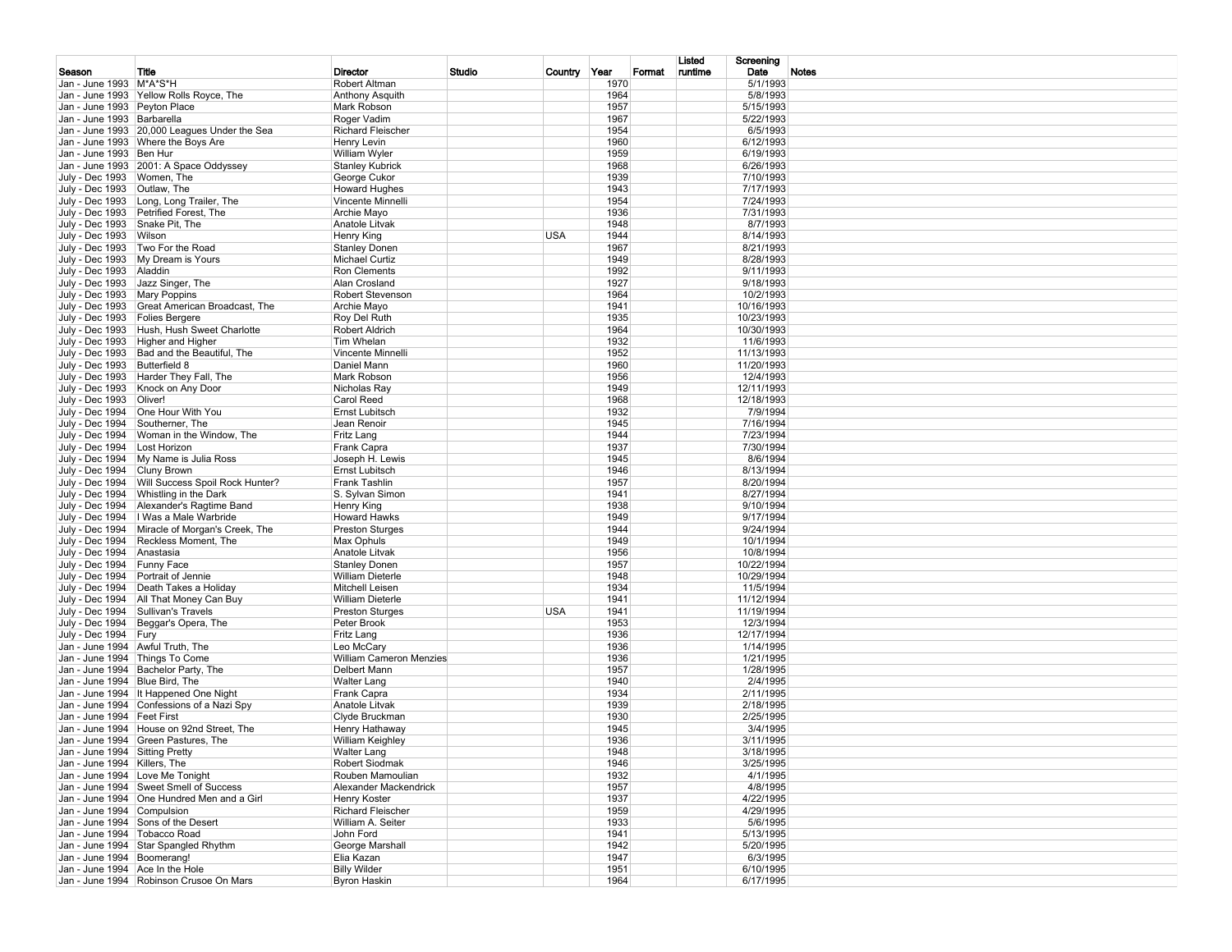|                                  |                                                                                    |                                               |        |              |              |        | Listed  | Screening               |              |
|----------------------------------|------------------------------------------------------------------------------------|-----------------------------------------------|--------|--------------|--------------|--------|---------|-------------------------|--------------|
| Season                           | Title                                                                              | Director                                      | Studio | Country Year |              | Format | runtime | Date                    | <b>Notes</b> |
| Jan - June 1993   M*A*S*H        |                                                                                    | Robert Altman                                 |        |              | 1970         |        |         | 5/1/1993                |              |
|                                  | Jan - June 1993 Yellow Rolls Royce, The                                            | Anthony Asquith                               |        |              | 1964         |        |         | 5/8/1993                |              |
| Jan - June 1993 Peyton Place     |                                                                                    | Mark Robson                                   |        |              | 1957         |        |         | 5/15/1993               |              |
| Jan - June 1993 Barbarella       |                                                                                    | Roger Vadim                                   |        |              | 1967<br>1954 |        |         | 5/22/1993<br>6/5/1993   |              |
|                                  | Jan - June 1993 20,000 Leagues Under the Sea<br>Jan - June 1993 Where the Boys Are | <b>Richard Fleischer</b><br>Henry Levin       |        |              | 1960         |        |         | 6/12/1993               |              |
| Jan - June 1993   Ben Hur        |                                                                                    | William Wyler                                 |        |              | 1959         |        |         | 6/19/1993               |              |
|                                  | Jan - June 1993 2001: A Space Oddyssey                                             | <b>Stanley Kubrick</b>                        |        |              | 1968         |        |         | 6/26/1993               |              |
| July - Dec 1993   Women, The     |                                                                                    | George Cukor                                  |        |              | 1939         |        |         | 7/10/1993               |              |
| July - Dec 1993 Outlaw, The      |                                                                                    | <b>Howard Hughes</b>                          |        |              | 1943         |        |         | 7/17/1993               |              |
|                                  | July - Dec 1993   Long, Long Trailer, The                                          | Vincente Minnelli                             |        |              | 1954         |        |         | 7/24/1993               |              |
|                                  | July - Dec 1993 Petrified Forest, The                                              | Archie Mayo                                   |        |              | 1936         |        |         | 7/31/1993               |              |
| July - Dec 1993 Snake Pit, The   |                                                                                    | Anatole Litvak                                |        |              | 1948         |        |         | 8/7/1993                |              |
| July - Dec 1993 Wilson           |                                                                                    | Henry King                                    |        | <b>USA</b>   | 1944         |        |         | 8/14/1993               |              |
|                                  | July - Dec 1993 Two For the Road                                                   | <b>Stanley Donen</b>                          |        |              | 1967         |        |         | 8/21/1993               |              |
|                                  | July - Dec 1993 My Dream is Yours                                                  | Michael Curtiz                                |        |              | 1949         |        |         | 8/28/1993               |              |
| July - Dec 1993 Aladdin          |                                                                                    | Ron Clements                                  |        |              | 1992         |        |         | 9/11/1993               |              |
|                                  | July - Dec 1993 Jazz Singer, The                                                   | Alan Crosland                                 |        |              | 1927         |        |         | 9/18/1993               |              |
| July - Dec 1993   Mary Poppins   |                                                                                    | Robert Stevenson                              |        |              | 1964         |        |         | 10/2/1993               |              |
|                                  | July - Dec 1993 Great American Broadcast, The                                      | Archie Mayo                                   |        |              | 1941         |        |         | 10/16/1993              |              |
| July - Dec 1993   Folies Bergere |                                                                                    | Roy Del Ruth                                  |        |              | 1935         |        |         | 10/23/1993              |              |
|                                  | July - Dec 1993   Hush, Hush Sweet Charlotte                                       | Robert Aldrich<br>Tim Whelan                  |        |              | 1964<br>1932 |        |         | 10/30/1993<br>11/6/1993 |              |
|                                  | July - Dec 1993   Higher and Higher<br>July - Dec 1993 Bad and the Beautiful, The  | Vincente Minnelli                             |        |              | 1952         |        |         | 11/13/1993              |              |
| July - Dec 1993 Butterfield 8    |                                                                                    | Daniel Mann                                   |        |              | 1960         |        |         | 11/20/1993              |              |
|                                  | July - Dec 1993   Harder They Fall, The                                            | Mark Robson                                   |        |              | 1956         |        |         | 12/4/1993               |              |
|                                  | July - Dec 1993   Knock on Any Door                                                | Nicholas Ray                                  |        |              | 1949         |        |         | 12/11/1993              |              |
| July - Dec 1993   Oliver!        |                                                                                    | Carol Reed                                    |        |              | 1968         |        |         | 12/18/1993              |              |
|                                  | July - Dec 1994   One Hour With You                                                | Ernst Lubitsch                                |        |              | 1932         |        |         | 7/9/1994                |              |
| July - Dec 1994 Southerner, The  |                                                                                    | Jean Renoir                                   |        |              | 1945         |        |         | 7/16/1994               |              |
|                                  | July - Dec 1994   Woman in the Window, The                                         | Fritz Lang                                    |        |              | 1944         |        |         | 7/23/1994               |              |
| July - Dec 1994   Lost Horizon   |                                                                                    | Frank Capra                                   |        |              | 1937         |        |         | 7/30/1994               |              |
|                                  | July - Dec 1994   My Name is Julia Ross                                            | Joseph H. Lewis                               |        |              | 1945         |        |         | 8/6/1994                |              |
| July - Dec 1994 Cluny Brown      |                                                                                    | Ernst Lubitsch                                |        |              | 1946         |        |         | 8/13/1994               |              |
|                                  | July - Dec 1994   Will Success Spoil Rock Hunter?                                  | Frank Tashlin                                 |        |              | 1957         |        |         | 8/20/1994               |              |
|                                  | July - Dec 1994 Whistling in the Dark                                              | S. Sylvan Simon                               |        |              | 1941         |        |         | 8/27/1994               |              |
|                                  | July - Dec 1994 Alexander's Ragtime Band                                           | Henry King                                    |        |              | 1938         |        |         | 9/10/1994               |              |
|                                  | July - Dec 1994   I Was a Male Warbride                                            | <b>Howard Hawks</b>                           |        |              | 1949         |        |         | 9/17/1994               |              |
|                                  | July - Dec 1994 Miracle of Morgan's Creek, The                                     | <b>Preston Sturges</b>                        |        |              | 1944         |        |         | 9/24/1994               |              |
| July - Dec 1994 Anastasia        | July - Dec 1994 Reckless Moment, The                                               | Max Ophuls<br>Anatole Litvak                  |        |              | 1949<br>1956 |        |         | 10/1/1994<br>10/8/1994  |              |
| July - Dec 1994 Funny Face       |                                                                                    | <b>Stanley Donen</b>                          |        |              | 1957         |        |         | 10/22/1994              |              |
|                                  | July - Dec 1994 Portrait of Jennie                                                 | <b>William Dieterle</b>                       |        |              | 1948         |        |         | 10/29/1994              |              |
|                                  | July - Dec 1994   Death Takes a Holiday                                            | Mitchell Leisen                               |        |              | 1934         |        |         | 11/5/1994               |              |
|                                  | July - Dec 1994   All That Money Can Buy                                           | <b>William Dieterle</b>                       |        |              | 1941         |        |         | 11/12/1994              |              |
|                                  | July - Dec 1994 Sullivan's Travels                                                 | <b>Preston Sturges</b>                        |        | <b>USA</b>   | 1941         |        |         | 11/19/1994              |              |
|                                  | July - Dec 1994 Beggar's Opera, The                                                | Peter Brook                                   |        |              | 1953         |        |         | 12/3/1994               |              |
| July - Dec 1994 Fury             |                                                                                    | Fritz Lang                                    |        |              | 1936         |        |         | 12/17/1994              |              |
|                                  | Jan - June 1994 Awful Truth, The                                                   | Leo McCary                                    |        |              | 1936         |        |         | 1/14/1995               |              |
|                                  | Jan - June 1994 Things To Come                                                     | William Cameron Menzies                       |        |              | 1936         |        |         | 1/21/1995               |              |
|                                  | Jan - June 1994 Bachelor Party, The                                                | Delbert Mann                                  |        |              | 1957         |        |         | 1/28/1995               |              |
| Jan - June 1994 Blue Bird, The   |                                                                                    | <b>Walter Lang</b>                            |        |              | 1940         |        |         | 2/4/1995                |              |
|                                  | Jan - June 1994 It Happened One Night                                              | Frank Capra                                   |        |              | 1934         |        |         | 2/11/1995               |              |
|                                  | Jan - June 1994 Confessions of a Nazi Spy                                          | Anatole Litvak                                |        |              | 1939         |        |         | 2/18/1995               |              |
| Jan - June 1994 Feet First       |                                                                                    | Clyde Bruckman                                |        |              | 1930         |        |         | 2/25/1995               |              |
|                                  | Jan - June 1994   House on 92nd Street, The<br>Jan - June 1994 Green Pastures. The | Henry Hathaway                                |        |              | 1945<br>1936 |        |         | 3/4/1995<br>3/11/1995   |              |
| Jan - June 1994 Sitting Pretty   |                                                                                    | <b>William Keighley</b><br><b>Walter Lang</b> |        |              | 1948         |        |         | 3/18/1995               |              |
| Jan - June 1994 Killers, The     |                                                                                    | Robert Siodmak                                |        |              | 1946         |        |         | 3/25/1995               |              |
|                                  | Jan - June 1994 Love Me Tonight                                                    | Rouben Mamoulian                              |        |              | 1932         |        |         | 4/1/1995                |              |
|                                  | Jan - June 1994 Sweet Smell of Success                                             | Alexander Mackendrick                         |        |              | 1957         |        |         | 4/8/1995                |              |
|                                  | Jan - June 1994 One Hundred Men and a Girl                                         | Henry Koster                                  |        |              | 1937         |        |         | 4/22/1995               |              |
| Jan - June 1994 Compulsion       |                                                                                    | <b>Richard Fleischer</b>                      |        |              | 1959         |        |         | 4/29/1995               |              |
|                                  | Jan - June 1994 Sons of the Desert                                                 | William A. Seiter                             |        |              | 1933         |        |         | 5/6/1995                |              |
| Jan - June 1994   Tobacco Road   |                                                                                    | John Ford                                     |        |              | 1941         |        |         | 5/13/1995               |              |
|                                  | Jan - June 1994 Star Spangled Rhythm                                               | George Marshall                               |        |              | 1942         |        |         | 5/20/1995               |              |
| Jan - June 1994 Boomerang!       |                                                                                    | Elia Kazan                                    |        |              | 1947         |        |         | 6/3/1995                |              |
| Jan - June 1994 Ace In the Hole  |                                                                                    | <b>Billy Wilder</b>                           |        |              | 1951         |        |         | 6/10/1995               |              |
|                                  | Jan - June 1994 Robinson Crusoe On Mars                                            | <b>Byron Haskin</b>                           |        |              | 1964         |        |         | 6/17/1995               |              |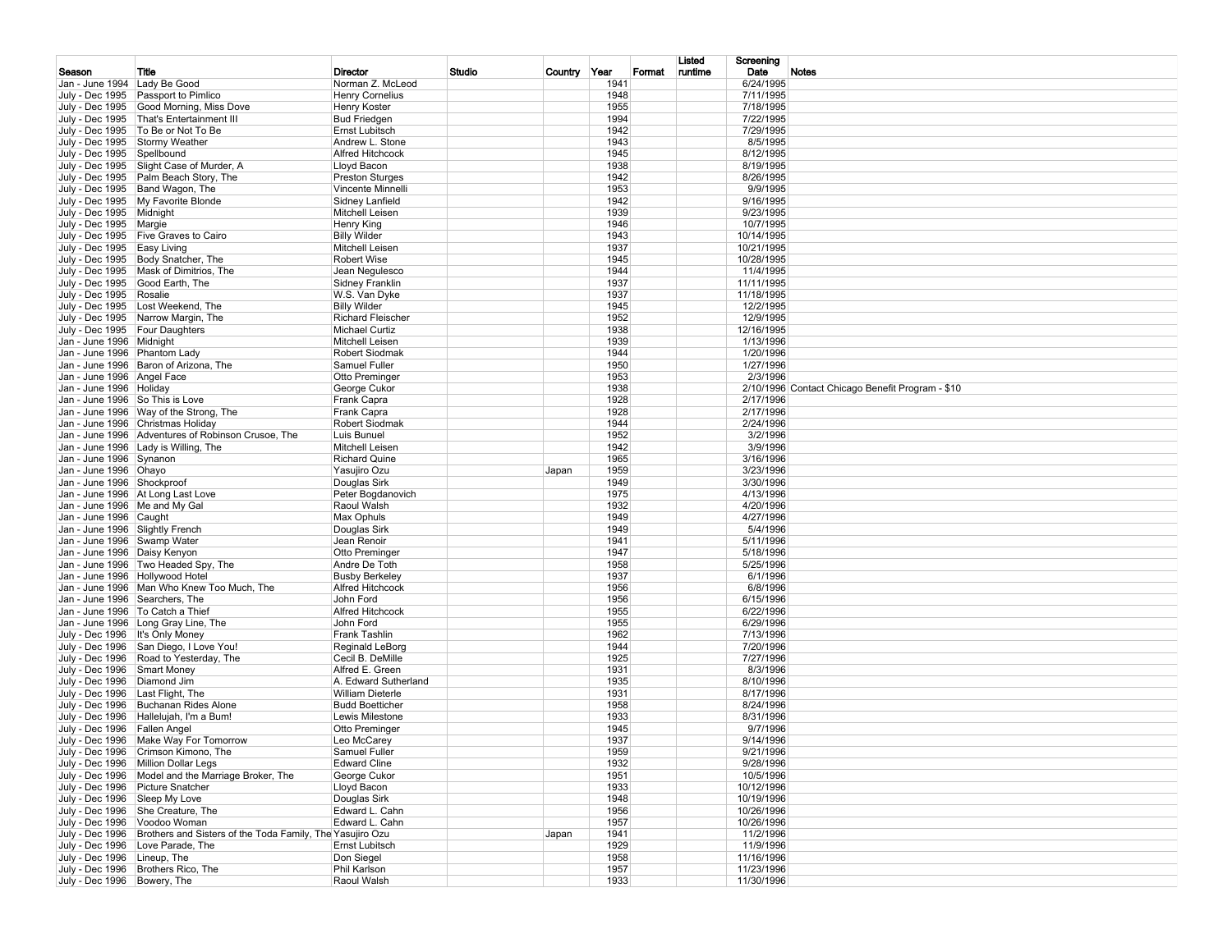| Date<br>Studio<br>Country Year<br>runtime<br><b>Notes</b><br>Season<br>Title<br>Director<br>Format<br>1941<br>6/24/1995<br>Jan - June 1994 Lady Be Good<br>Norman Z. McLeod<br><b>Henry Cornelius</b><br>1948<br>7/11/1995<br>July - Dec 1995   Passport to Pimlico<br>July - Dec 1995 Good Morning, Miss Dove<br>1955<br>7/18/1995<br><b>Henry Koster</b><br>1994<br>7/22/1995<br>July - Dec 1995   That's Entertainment III<br><b>Bud Friedgen</b><br>July - Dec 1995   To Be or Not To Be<br>1942<br>Ernst Lubitsch<br>7/29/1995<br>July - Dec 1995 Stormy Weather<br>1943<br>Andrew L. Stone<br>8/5/1995<br><b>Alfred Hitchcock</b><br>1945<br>8/12/1995<br>July - Dec 1995 Spellbound<br>1938<br>8/19/1995<br>July - Dec 1995 Slight Case of Murder, A<br>Lloyd Bacon<br>1942<br>July - Dec 1995 Palm Beach Story, The<br><b>Preston Sturges</b><br>8/26/1995<br>1953 |  |
|----------------------------------------------------------------------------------------------------------------------------------------------------------------------------------------------------------------------------------------------------------------------------------------------------------------------------------------------------------------------------------------------------------------------------------------------------------------------------------------------------------------------------------------------------------------------------------------------------------------------------------------------------------------------------------------------------------------------------------------------------------------------------------------------------------------------------------------------------------------------------|--|
|                                                                                                                                                                                                                                                                                                                                                                                                                                                                                                                                                                                                                                                                                                                                                                                                                                                                            |  |
|                                                                                                                                                                                                                                                                                                                                                                                                                                                                                                                                                                                                                                                                                                                                                                                                                                                                            |  |
|                                                                                                                                                                                                                                                                                                                                                                                                                                                                                                                                                                                                                                                                                                                                                                                                                                                                            |  |
|                                                                                                                                                                                                                                                                                                                                                                                                                                                                                                                                                                                                                                                                                                                                                                                                                                                                            |  |
|                                                                                                                                                                                                                                                                                                                                                                                                                                                                                                                                                                                                                                                                                                                                                                                                                                                                            |  |
|                                                                                                                                                                                                                                                                                                                                                                                                                                                                                                                                                                                                                                                                                                                                                                                                                                                                            |  |
|                                                                                                                                                                                                                                                                                                                                                                                                                                                                                                                                                                                                                                                                                                                                                                                                                                                                            |  |
|                                                                                                                                                                                                                                                                                                                                                                                                                                                                                                                                                                                                                                                                                                                                                                                                                                                                            |  |
| July - Dec 1995 Band Wagon, The<br><b>Vincente Minnelli</b><br>9/9/1995                                                                                                                                                                                                                                                                                                                                                                                                                                                                                                                                                                                                                                                                                                                                                                                                    |  |
| July - Dec 1995   My Favorite Blonde<br>1942<br>9/16/1995<br>Sidney Lanfield                                                                                                                                                                                                                                                                                                                                                                                                                                                                                                                                                                                                                                                                                                                                                                                               |  |
| 1939<br>9/23/1995<br>July - Dec 1995   Midnight<br>Mitchell Leisen<br>1946<br>July - Dec 1995   Margie<br>Henry King<br>10/7/1995                                                                                                                                                                                                                                                                                                                                                                                                                                                                                                                                                                                                                                                                                                                                          |  |
| 1943<br>July - Dec 1995 Five Graves to Cairo<br><b>Billy Wilder</b><br>10/14/1995                                                                                                                                                                                                                                                                                                                                                                                                                                                                                                                                                                                                                                                                                                                                                                                          |  |
| 1937<br>July - Dec 1995   Easy Living<br>Mitchell Leisen<br>10/21/1995                                                                                                                                                                                                                                                                                                                                                                                                                                                                                                                                                                                                                                                                                                                                                                                                     |  |
| 1945<br>July - Dec 1995   Body Snatcher, The<br><b>Robert Wise</b><br>10/28/1995                                                                                                                                                                                                                                                                                                                                                                                                                                                                                                                                                                                                                                                                                                                                                                                           |  |
| 1944<br>July - Dec 1995   Mask of Dimitrios, The<br>Jean Negulesco<br>11/4/1995                                                                                                                                                                                                                                                                                                                                                                                                                                                                                                                                                                                                                                                                                                                                                                                            |  |
| 1937<br>July - Dec 1995 Good Earth, The<br>Sidney Franklin<br>11/11/1995<br>1937<br>July - Dec 1995 Rosalie<br>W.S. Van Dyke<br>11/18/1995                                                                                                                                                                                                                                                                                                                                                                                                                                                                                                                                                                                                                                                                                                                                 |  |
| 1945<br>12/2/1995<br>July - Dec 1995   Lost Weekend, The<br><b>Billy Wilder</b>                                                                                                                                                                                                                                                                                                                                                                                                                                                                                                                                                                                                                                                                                                                                                                                            |  |
| 1952<br>July - Dec 1995 Narrow Margin, The<br><b>Richard Fleischer</b><br>12/9/1995                                                                                                                                                                                                                                                                                                                                                                                                                                                                                                                                                                                                                                                                                                                                                                                        |  |
| 1938<br>July - Dec 1995   Four Daughters<br>Michael Curtiz<br>12/16/1995                                                                                                                                                                                                                                                                                                                                                                                                                                                                                                                                                                                                                                                                                                                                                                                                   |  |
| 1939<br>Jan - June 1996 Midnight<br>Mitchell Leisen<br>1/13/1996                                                                                                                                                                                                                                                                                                                                                                                                                                                                                                                                                                                                                                                                                                                                                                                                           |  |
| 1944<br>Jan - June 1996 Phantom Lady<br><b>Robert Siodmak</b><br>1/20/1996<br>Jan - June 1996 Baron of Arizona, The<br>Samuel Fuller<br>1950<br>1/27/1996                                                                                                                                                                                                                                                                                                                                                                                                                                                                                                                                                                                                                                                                                                                  |  |
| Jan - June 1996 Angel Face<br>Otto Preminger<br>1953<br>2/3/1996                                                                                                                                                                                                                                                                                                                                                                                                                                                                                                                                                                                                                                                                                                                                                                                                           |  |
| George Cukor<br>1938<br>2/10/1996 Contact Chicago Benefit Program - \$10<br>Jan - June 1996 Holiday                                                                                                                                                                                                                                                                                                                                                                                                                                                                                                                                                                                                                                                                                                                                                                        |  |
| Frank Capra<br>1928<br>Jan - June 1996 So This is Love<br>2/17/1996                                                                                                                                                                                                                                                                                                                                                                                                                                                                                                                                                                                                                                                                                                                                                                                                        |  |
| Jan - June 1996 Way of the Strong, The<br>1928<br>Frank Capra<br>2/17/1996                                                                                                                                                                                                                                                                                                                                                                                                                                                                                                                                                                                                                                                                                                                                                                                                 |  |
| Robert Siodmak<br>1944<br>2/24/1996<br>Jan - June 1996 Christmas Holiday                                                                                                                                                                                                                                                                                                                                                                                                                                                                                                                                                                                                                                                                                                                                                                                                   |  |
| Jan - June 1996 Adventures of Robinson Crusoe, The<br>1952<br>3/2/1996<br>Luis Bunuel                                                                                                                                                                                                                                                                                                                                                                                                                                                                                                                                                                                                                                                                                                                                                                                      |  |
| Jan - June 1996   Lady is Willing, The<br>Mitchell Leisen<br>1942<br>3/9/1996<br><b>Richard Quine</b><br>1965<br>Jan - June 1996 Synanon<br>3/16/1996                                                                                                                                                                                                                                                                                                                                                                                                                                                                                                                                                                                                                                                                                                                      |  |
| Jan - June 1996   Ohayo<br>Yasujiro Ozu<br>1959<br>Japan<br>3/23/1996                                                                                                                                                                                                                                                                                                                                                                                                                                                                                                                                                                                                                                                                                                                                                                                                      |  |
| Jan - June 1996 Shockproof<br>Douglas Sirk<br>1949<br>3/30/1996                                                                                                                                                                                                                                                                                                                                                                                                                                                                                                                                                                                                                                                                                                                                                                                                            |  |
| Jan - June 1996   At Long Last Love<br>1975<br>Peter Bogdanovich<br>4/13/1996                                                                                                                                                                                                                                                                                                                                                                                                                                                                                                                                                                                                                                                                                                                                                                                              |  |
| Jan - June 1996   Me and My Gal<br>Raoul Walsh<br>1932<br>4/20/1996                                                                                                                                                                                                                                                                                                                                                                                                                                                                                                                                                                                                                                                                                                                                                                                                        |  |
| 1949<br>4/27/1996<br>Jan - June 1996 Caught<br>Max Ophuls<br>Jan - June 1996 Slightly French<br>1949<br>5/4/1996                                                                                                                                                                                                                                                                                                                                                                                                                                                                                                                                                                                                                                                                                                                                                           |  |
| Douglas Sirk<br>Jan - June 1996 Swamp Water<br>1941<br>Jean Renoir<br>5/11/1996                                                                                                                                                                                                                                                                                                                                                                                                                                                                                                                                                                                                                                                                                                                                                                                            |  |
| 1947<br>Jan - June 1996   Daisy Kenyon<br>Otto Preminger<br>5/18/1996                                                                                                                                                                                                                                                                                                                                                                                                                                                                                                                                                                                                                                                                                                                                                                                                      |  |
| Jan - June 1996 Two Headed Spy, The<br>1958<br>Andre De Toth<br>5/25/1996                                                                                                                                                                                                                                                                                                                                                                                                                                                                                                                                                                                                                                                                                                                                                                                                  |  |
| 1937<br>6/1/1996<br>Jan - June 1996   Hollywood Hotel<br><b>Busby Berkeley</b>                                                                                                                                                                                                                                                                                                                                                                                                                                                                                                                                                                                                                                                                                                                                                                                             |  |
| 1956<br>Jan - June 1996   Man Who Knew Too Much, The<br>6/8/1996<br><b>Alfred Hitchcock</b>                                                                                                                                                                                                                                                                                                                                                                                                                                                                                                                                                                                                                                                                                                                                                                                |  |
| 1956<br>Jan - June 1996 Searchers, The<br>John Ford<br>6/15/1996<br>1955<br>6/22/1996<br>Jan - June 1996   To Catch a Thief<br><b>Alfred Hitchcock</b>                                                                                                                                                                                                                                                                                                                                                                                                                                                                                                                                                                                                                                                                                                                     |  |
| 1955<br>Jan - June 1996   Long Gray Line, The<br>John Ford<br>6/29/1996                                                                                                                                                                                                                                                                                                                                                                                                                                                                                                                                                                                                                                                                                                                                                                                                    |  |
| 1962<br>July - Dec 1996   It's Only Money<br>Frank Tashlin<br>7/13/1996                                                                                                                                                                                                                                                                                                                                                                                                                                                                                                                                                                                                                                                                                                                                                                                                    |  |
| 1944<br>July - Dec 1996   San Diego, I Love You!<br>Reginald LeBorg<br>7/20/1996                                                                                                                                                                                                                                                                                                                                                                                                                                                                                                                                                                                                                                                                                                                                                                                           |  |
| 1925<br>7/27/1996<br>July - Dec 1996 Road to Yesterday, The<br>Cecil B. DeMille                                                                                                                                                                                                                                                                                                                                                                                                                                                                                                                                                                                                                                                                                                                                                                                            |  |
| 1931<br>July - Dec 1996 Smart Money<br>Alfred E. Green<br>8/3/1996                                                                                                                                                                                                                                                                                                                                                                                                                                                                                                                                                                                                                                                                                                                                                                                                         |  |
| 1935<br>July - Dec 1996   Diamond Jim<br>A. Edward Sutherland<br>8/10/1996<br>1931<br>July - Dec 1996 Last Flight, The<br><b>William Dieterle</b><br>8/17/1996                                                                                                                                                                                                                                                                                                                                                                                                                                                                                                                                                                                                                                                                                                             |  |
| 1958<br>July - Dec 1996 Buchanan Rides Alone<br><b>Budd Boetticher</b><br>8/24/1996                                                                                                                                                                                                                                                                                                                                                                                                                                                                                                                                                                                                                                                                                                                                                                                        |  |
| 1933<br>July - Dec 1996   Hallelujah, I'm a Bum!<br>Lewis Milestone<br>8/31/1996                                                                                                                                                                                                                                                                                                                                                                                                                                                                                                                                                                                                                                                                                                                                                                                           |  |
| 1945<br>July - Dec 1996   Fallen Angel<br>Otto Preminger<br>9/7/1996                                                                                                                                                                                                                                                                                                                                                                                                                                                                                                                                                                                                                                                                                                                                                                                                       |  |
| 1937<br>July - Dec 1996 Make Way For Tomorrow<br>Leo McCarey<br>9/14/1996                                                                                                                                                                                                                                                                                                                                                                                                                                                                                                                                                                                                                                                                                                                                                                                                  |  |
| 1959<br>July - Dec 1996 Crimson Kimono, The<br>9/21/1996<br>Samuel Fuller                                                                                                                                                                                                                                                                                                                                                                                                                                                                                                                                                                                                                                                                                                                                                                                                  |  |
| <b>Edward Cline</b><br>July - Dec 1996   Million Dollar Legs<br>1932<br>9/28/1996<br>July - Dec 1996   Model and the Marriage Broker, The<br>George Cukor<br>1951<br>10/5/1996                                                                                                                                                                                                                                                                                                                                                                                                                                                                                                                                                                                                                                                                                             |  |
| July - Dec 1996 Picture Snatcher<br>Lloyd Bacon<br>1933<br>10/12/1996                                                                                                                                                                                                                                                                                                                                                                                                                                                                                                                                                                                                                                                                                                                                                                                                      |  |
| Douglas Sirk<br>July - Dec 1996 Sleep My Love<br>1948<br>10/19/1996                                                                                                                                                                                                                                                                                                                                                                                                                                                                                                                                                                                                                                                                                                                                                                                                        |  |
| July - Dec 1996 She Creature, The<br>Edward L. Cahn<br>1956<br>10/26/1996                                                                                                                                                                                                                                                                                                                                                                                                                                                                                                                                                                                                                                                                                                                                                                                                  |  |
| July - Dec 1996 Voodoo Woman<br>Edward L. Cahn<br>1957<br>10/26/1996                                                                                                                                                                                                                                                                                                                                                                                                                                                                                                                                                                                                                                                                                                                                                                                                       |  |
| July - Dec 1996   Brothers and Sisters of the Toda Family, The Yasujiro Ozu<br>1941<br>Japan<br>11/2/1996<br>Ernst Lubitsch                                                                                                                                                                                                                                                                                                                                                                                                                                                                                                                                                                                                                                                                                                                                                |  |
| July - Dec 1996 Love Parade, The<br>1929<br>11/9/1996<br>July - Dec 1996 Lineup, The<br>Don Siegel<br>1958<br>11/16/1996                                                                                                                                                                                                                                                                                                                                                                                                                                                                                                                                                                                                                                                                                                                                                   |  |
| July - Dec 1996   Brothers Rico, The<br>Phil Karlson<br>1957<br>11/23/1996                                                                                                                                                                                                                                                                                                                                                                                                                                                                                                                                                                                                                                                                                                                                                                                                 |  |
| July - Dec 1996 Bowery, The<br>Raoul Walsh<br>1933<br>11/30/1996                                                                                                                                                                                                                                                                                                                                                                                                                                                                                                                                                                                                                                                                                                                                                                                                           |  |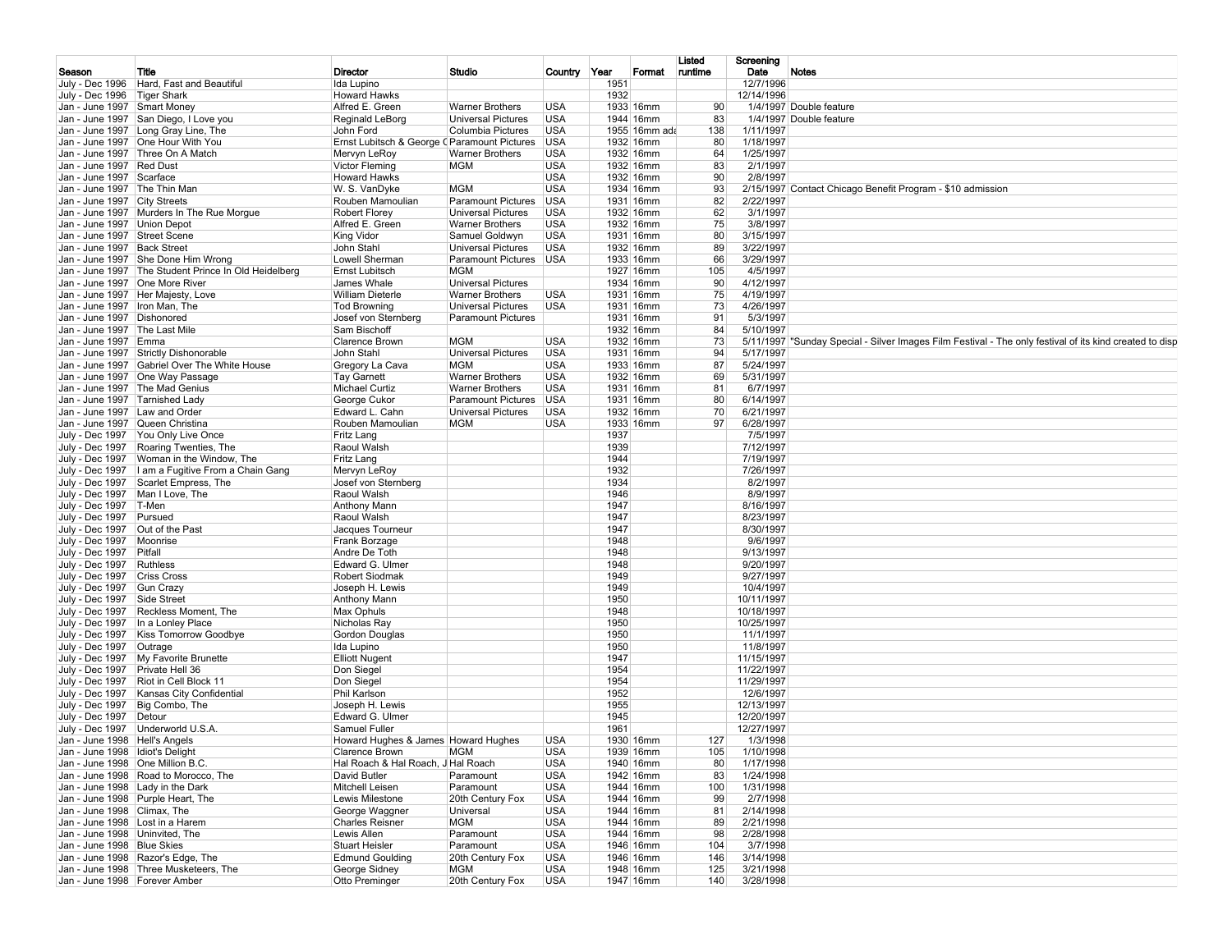|                                    |                                                        |                                                   |                           |              |              |               | Listed  | Screening         |                                                                                                         |
|------------------------------------|--------------------------------------------------------|---------------------------------------------------|---------------------------|--------------|--------------|---------------|---------|-------------------|---------------------------------------------------------------------------------------------------------|
| Season                             | Title<br>July - Dec 1996   Hard, Fast and Beautiful    | Director                                          | Studio                    | Country Year |              | Format        | runtime | Date<br>12/7/1996 | Notes                                                                                                   |
| July - Dec 1996   Tiger Shark      |                                                        | Ida Lupino<br><b>Howard Hawks</b>                 |                           |              | 1951<br>1932 |               |         | 12/14/1996        |                                                                                                         |
| Jan - June 1997 Smart Money        |                                                        | Alfred E. Green                                   | Warner Brothers           | <b>USA</b>   |              | 1933 16mm     | 90      |                   | 1/4/1997 Double feature                                                                                 |
|                                    | Jan - June 1997 San Diego, I Love you                  | Reginald LeBorg                                   | Universal Pictures        | <b>USA</b>   |              | 1944 16mm     | 83      |                   | 1/4/1997 Double feature                                                                                 |
|                                    | Jan - June 1997   Long Gray Line, The                  | John Ford                                         | Columbia Pictures         | <b>USA</b>   |              | 1955 16mm ada | 138     | 1/11/1997         |                                                                                                         |
|                                    | Jan - June 1997   One Hour With You                    | Ernst Lubitsch & George (Paramount Pictures   USA |                           |              |              | 1932 16mm     | 80      | 1/18/1997         |                                                                                                         |
|                                    | Jan - June 1997   Three On A Match                     | Mervyn LeRoy                                      | <b>Warner Brothers</b>    | <b>USA</b>   |              | 1932 16mm     | 64      | 1/25/1997         |                                                                                                         |
| Jan - June 1997 Red Dust           |                                                        | <b>Victor Fleming</b>                             | <b>MGM</b>                | <b>USA</b>   |              | 1932 16mm     | 83      | 2/1/1997          |                                                                                                         |
| Jan - June 1997 Scarface           |                                                        | <b>Howard Hawks</b>                               |                           | <b>USA</b>   |              | 1932 16mm     | 90      | 2/8/1997          |                                                                                                         |
| Jan - June 1997   The Thin Man     |                                                        | W. S. VanDyke                                     | MGM                       | <b>USA</b>   |              | 1934 16mm     | 93      |                   | 2/15/1997 Contact Chicago Benefit Program - \$10 admission                                              |
| Jan - June 1997 City Streets       |                                                        | Rouben Mamoulian                                  | <b>Paramount Pictures</b> | <b>USA</b>   |              | 1931 16mm     | 82      | 2/22/1997         |                                                                                                         |
|                                    | Jan - June 1997 Murders In The Rue Morque              | <b>Robert Florey</b>                              | <b>Universal Pictures</b> | <b>USA</b>   |              | 1932 16mm     | 62      | 3/1/1997          |                                                                                                         |
| Jan - June 1997   Union Depot      |                                                        | Alfred E. Green                                   | <b>Warner Brothers</b>    | <b>USA</b>   |              | 1932 16mm     | 75      | 3/8/1997          |                                                                                                         |
| Jan - June 1997 Street Scene       |                                                        | <b>King Vidor</b>                                 | Samuel Goldwyn            | <b>USA</b>   |              | 1931 16mm     | 80      | 3/15/1997         |                                                                                                         |
| Jan - June 1997   Back Street      |                                                        | John Stahl                                        | <b>Universal Pictures</b> | <b>USA</b>   |              | 1932 16mm     | 89      | 3/22/1997         |                                                                                                         |
|                                    | Jan - June 1997 She Done Him Wrong                     | Lowell Sherman                                    | Paramount Pictures USA    |              |              | 1933 16mm     | 66      | 3/29/1997         |                                                                                                         |
|                                    | Jan - June 1997   The Student Prince In Old Heidelberg | Ernst Lubitsch                                    | <b>MGM</b>                |              |              | 1927 16mm     | 105     | 4/5/1997          |                                                                                                         |
| Jan - June 1997   One More River   |                                                        | James Whale                                       | <b>Universal Pictures</b> |              |              | 1934 16mm     | 90      | 4/12/1997         |                                                                                                         |
|                                    | Jan - June 1997   Her Majesty, Love                    | <b>William Dieterle</b>                           | <b>Warner Brothers</b>    | <b>USA</b>   |              | 1931 16mm     | 75      | 4/19/1997         |                                                                                                         |
| Jan - June 1997   Iron Man, The    |                                                        | <b>Tod Browning</b>                               | Universal Pictures        | <b>USA</b>   |              | 1931 16mm     | 73      | 4/26/1997         |                                                                                                         |
| Jan - June 1997   Dishonored       |                                                        | Josef von Sternberg                               | <b>Paramount Pictures</b> |              |              | 1931 16mm     | 91      | 5/3/1997          |                                                                                                         |
| Jan - June 1997   The Last Mile    |                                                        | Sam Bischoff                                      |                           |              |              | 1932 16mm     | 84      | 5/10/1997         |                                                                                                         |
| Jan - June 1997 Emma               |                                                        | <b>Clarence Brown</b>                             | <b>MGM</b>                | <b>USA</b>   |              | 1932 16mm     | 73      |                   | 5/11/1997 "Sunday Special - Silver Images Film Festival - The only festival of its kind created to disp |
|                                    | Jan - June 1997 Strictly Dishonorable                  | John Stahl                                        | <b>Universal Pictures</b> | <b>USA</b>   |              | 1931 16mm     | 94      | 5/17/1997         |                                                                                                         |
|                                    | Jan - June 1997 Gabriel Over The White House           | Gregory La Cava                                   | <b>MGM</b>                | <b>USA</b>   |              | 1933 16mm     | 87      | 5/24/1997         |                                                                                                         |
|                                    | Jan - June 1997   One Way Passage                      | <b>Tay Garnett</b>                                | <b>Warner Brothers</b>    | <b>USA</b>   |              | 1932 16mm     | 69      | 5/31/1997         |                                                                                                         |
| Jan - June 1997   The Mad Genius   |                                                        | <b>Michael Curtiz</b>                             | <b>Warner Brothers</b>    | <b>USA</b>   |              | 1931 16mm     | 81      | 6/7/1997          |                                                                                                         |
| Jan - June 1997 Tarnished Lady     |                                                        | George Cukor                                      | Paramount Pictures USA    |              |              | 1931 16mm     | 80      | 6/14/1997         |                                                                                                         |
| Jan - June 1997 Law and Order      |                                                        | Edward L. Cahn                                    | <b>Universal Pictures</b> | <b>USA</b>   |              | 1932 16mm     | 70      | 6/21/1997         |                                                                                                         |
| Jan - June 1997 Queen Christina    |                                                        | Rouben Mamoulian                                  | <b>MGM</b>                | <b>USA</b>   |              | 1933 16mm     | 97      | 6/28/1997         |                                                                                                         |
|                                    | July - Dec 1997   You Only Live Once                   | Fritz Lang                                        |                           |              | 1937         |               |         | 7/5/1997          |                                                                                                         |
|                                    | July - Dec 1997 Roaring Twenties, The                  | Raoul Walsh                                       |                           |              | 1939         |               |         | 7/12/1997         |                                                                                                         |
|                                    | July - Dec 1997   Woman in the Window, The             | Fritz Lang                                        |                           |              | 1944         |               |         | 7/19/1997         |                                                                                                         |
|                                    | July - Dec 1997   I am a Fugitive From a Chain Gang    | Mervyn LeRoy                                      |                           |              | 1932         |               |         | 7/26/1997         |                                                                                                         |
|                                    | July - Dec 1997 Scarlet Empress, The                   | Josef von Sternberg                               |                           |              | 1934         |               |         | 8/2/1997          |                                                                                                         |
| July - Dec 1997   Man I Love, The  |                                                        | Raoul Walsh                                       |                           |              | 1946         |               |         | 8/9/1997          |                                                                                                         |
| July - Dec 1997   T-Men            |                                                        | Anthony Mann                                      |                           |              | 1947         |               |         | 8/16/1997         |                                                                                                         |
| July - Dec 1997 Pursued            |                                                        | Raoul Walsh                                       |                           |              | 1947         |               |         | 8/23/1997         |                                                                                                         |
| July - Dec 1997                    | Out of the Past                                        | Jacques Tourneur                                  |                           |              | 1947         |               |         | 8/30/1997         |                                                                                                         |
| July - Dec 1997 Moonrise           |                                                        | Frank Borzage                                     |                           |              | 1948         |               |         | 9/6/1997          |                                                                                                         |
| July - Dec 1997 Pitfall            |                                                        | Andre De Toth                                     |                           |              | 1948         |               |         | 9/13/1997         |                                                                                                         |
| July - Dec 1997 Ruthless           |                                                        | Edward G. Ulmer                                   |                           |              | 1948         |               |         | 9/20/1997         |                                                                                                         |
| July - Dec 1997                    | <b>Criss Cross</b>                                     | <b>Robert Siodmak</b>                             |                           |              | 1949         |               |         | 9/27/1997         |                                                                                                         |
| July - Dec 1997 Gun Crazy          |                                                        | Joseph H. Lewis                                   |                           |              | 1949         |               |         | 10/4/1997         |                                                                                                         |
| July - Dec 1997                    | Side Street                                            | Anthony Mann                                      |                           |              | 1950         |               |         | 10/11/1997        |                                                                                                         |
|                                    | July - Dec 1997 Reckless Moment, The                   | Max Ophuls                                        |                           |              | 1948         |               |         | 10/18/1997        |                                                                                                         |
|                                    | July - Dec 1997   In a Lonley Place                    | Nicholas Ray                                      |                           |              | 1950         |               |         | 10/25/1997        |                                                                                                         |
|                                    | July - Dec 1997 Kiss Tomorrow Goodbye                  | Gordon Douglas                                    |                           |              | 1950         |               |         | 11/1/1997         |                                                                                                         |
| July - Dec 1997   Outrage          |                                                        | Ida Lupino                                        |                           |              | 1950         |               |         | 11/8/1997         |                                                                                                         |
|                                    | July - Dec 1997   My Favorite Brunette                 | <b>Elliott Nugent</b>                             |                           |              | 1947         |               |         | 11/15/1997        |                                                                                                         |
| July - Dec 1997   Private Hell 36  |                                                        | Don Siegel                                        |                           |              | 1954         |               |         | 11/22/1997        |                                                                                                         |
|                                    | July - Dec 1997   Riot in Cell Block 11                | Don Siegel                                        |                           |              | 1954         |               |         | 11/29/1997        |                                                                                                         |
|                                    | July - Dec 1997   Kansas City Confidential             | Phil Karlson                                      |                           |              | 1952         |               |         | 12/6/1997         |                                                                                                         |
| July - Dec 1997   Big Combo, The   |                                                        | Joseph H. Lewis                                   |                           |              | 1955         |               |         | 12/13/1997        |                                                                                                         |
| July - Dec 1997   Detour           |                                                        | Edward G. Ulmer                                   |                           |              | 1945         |               |         | 12/20/1997        |                                                                                                         |
|                                    | July - Dec 1997 Underworld U.S.A.                      | Samuel Fuller                                     |                           |              | 1961         |               |         | 12/27/1997        |                                                                                                         |
| Jan - June 1998 Hell's Angels      |                                                        | Howard Hughes & James Howard Hughes               |                           | <b>USA</b>   |              | 1930 16mm     | 127     | 1/3/1998          |                                                                                                         |
| Jan - June 1998   Idiot's Delight  |                                                        | Clarence Brown                                    | <b>MGM</b>                | <b>USA</b>   |              | 1939 16mm     | 105     | 1/10/1998         |                                                                                                         |
| Jan - June 1998   One Million B.C. |                                                        | Hal Roach & Hal Roach, J Hal Roach                |                           | <b>USA</b>   |              | 1940 16mm     | 80      | 1/17/1998         |                                                                                                         |
|                                    | Jan - June 1998 Road to Morocco. The                   | David Butler                                      | Paramount                 | <b>USA</b>   |              | 1942 16mm     | 83      | 1/24/1998         |                                                                                                         |
| Jan - June 1998 Lady in the Dark   |                                                        | Mitchell Leisen                                   | Paramount                 | <b>USA</b>   |              | 1944 16mm     | 100     | 1/31/1998         |                                                                                                         |
|                                    | Jan - June 1998 Purple Heart, The                      | Lewis Milestone                                   | 20th Century Fox          | <b>USA</b>   |              | 1944 16mm     | 99      | 2/7/1998          |                                                                                                         |
| Jan - June 1998 Climax, The        |                                                        | George Waggner                                    | Universal                 | <b>USA</b>   |              | 1944 16mm     | 81      | 2/14/1998         |                                                                                                         |
| Jan - June 1998   Lost in a Harem  |                                                        | <b>Charles Reisner</b>                            | <b>MGM</b>                | <b>USA</b>   |              | 1944 16mm     | 89      | 2/21/1998         |                                                                                                         |
| Jan - June 1998   Uninvited, The   |                                                        | Lewis Allen                                       | Paramount                 | <b>USA</b>   |              | 1944 16mm     | 98      | 2/28/1998         |                                                                                                         |
| Jan - June 1998 Blue Skies         |                                                        | <b>Stuart Heisler</b>                             | Paramount                 | <b>USA</b>   |              | 1946 16mm     | 104     | 3/7/1998          |                                                                                                         |
|                                    | Jan - June 1998 Razor's Edge, The                      | <b>Edmund Goulding</b>                            | 20th Century Fox          | <b>USA</b>   |              | 1946 16mm     | 146     | 3/14/1998         |                                                                                                         |
|                                    | Jan - June 1998 Three Musketeers, The                  | George Sidney                                     | <b>MGM</b>                | <b>USA</b>   |              | 1948 16mm     | 125     | 3/21/1998         |                                                                                                         |
| Jan - June 1998   Forever Amber    |                                                        | Otto Preminger                                    | 20th Century Fox          | <b>USA</b>   |              | 1947 16mm     | 140     | 3/28/1998         |                                                                                                         |
|                                    |                                                        |                                                   |                           |              |              |               |         |                   |                                                                                                         |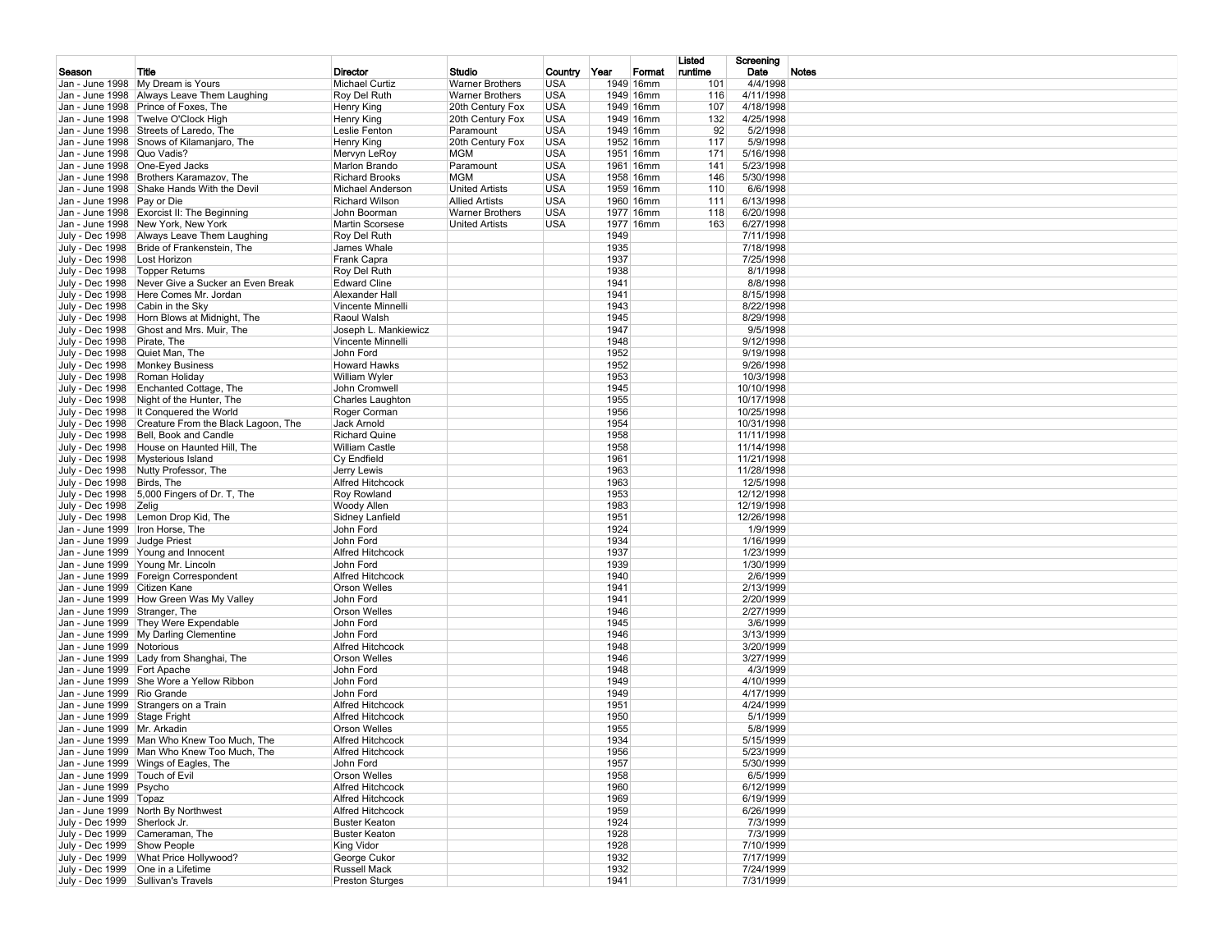|                                   |                                                                                                |                                                |                                     |                            |              |                        | Listed         | Screening                |       |
|-----------------------------------|------------------------------------------------------------------------------------------------|------------------------------------------------|-------------------------------------|----------------------------|--------------|------------------------|----------------|--------------------------|-------|
| Season                            | Title<br>Jan - June 1998 My Dream is Yours                                                     | Director<br>Michael Curtiz                     | Studio<br><b>Warner Brothers</b>    | Country Year<br><b>USA</b> |              | Format<br>1949 16mm    | runtime<br>101 | Date<br>4/4/1998         | Notes |
|                                   | Jan - June 1998 Always Leave Them Laughing                                                     | Roy Del Ruth                                   | <b>Warner Brothers</b>              | <b>USA</b>                 |              | 1949 16mm              | 116            | 4/11/1998                |       |
|                                   | Jan - June 1998 Prince of Foxes, The                                                           | Henry King                                     | 20th Century Fox                    | <b>USA</b>                 |              | 1949 16mm              | 107            | 4/18/1998                |       |
|                                   | Jan - June 1998 Twelve O'Clock High<br>Jan - June 1998 Streets of Laredo, The                  | Henry King<br>Leslie Fenton                    | 20th Century Fox<br>Paramount       | <b>USA</b><br><b>USA</b>   |              | 1949 16mm<br>1949 16mm | 132<br>92      | 4/25/1998<br>5/2/1998    |       |
|                                   | Jan - June 1998 Snows of Kilamanjaro, The                                                      | Henry King                                     | 20th Century Fox                    | <b>USA</b>                 |              | 1952 16mm              | 117            | 5/9/1998                 |       |
| Jan - June 1998 Quo Vadis?        |                                                                                                | Mervyn LeRoy                                   | <b>MGM</b>                          | <b>USA</b>                 |              | 1951 16mm              | 171            | 5/16/1998                |       |
|                                   | Jan - June 1998 One-Eyed Jacks                                                                 | Marlon Brando                                  | Paramount                           | <b>USA</b>                 |              | 1961 16mm              | 141            | 5/23/1998                |       |
|                                   | Jan - June 1998 Brothers Karamazov, The<br>Jan - June 1998 Shake Hands With the Devil          | <b>Richard Brooks</b><br>Michael Anderson      | <b>MGM</b><br><b>United Artists</b> | <b>USA</b><br><b>USA</b>   |              | 1958 16mm<br>1959 16mm | 146<br>110     | 5/30/1998<br>6/6/1998    |       |
| Jan - June 1998 Pay or Die        |                                                                                                | <b>Richard Wilson</b>                          | <b>Allied Artists</b>               | <b>USA</b>                 |              | 1960 16mm              | 111            | 6/13/1998                |       |
|                                   | Jan - June 1998 Exorcist II: The Beginning                                                     | John Boorman                                   | <b>Warner Brothers</b>              | <b>USA</b>                 |              | 1977 16mm              | 118            | 6/20/1998                |       |
|                                   | Jan - June 1998 New York, New York                                                             | <b>Martin Scorsese</b>                         | <b>United Artists</b>               | <b>USA</b>                 |              | 1977 16mm              | 163            | 6/27/1998                |       |
|                                   | July - Dec 1998 Always Leave Them Laughing<br>July - Dec 1998   Bride of Frankenstein, The     | Roy Del Ruth<br>James Whale                    |                                     |                            | 1949<br>1935 |                        |                | 7/11/1998<br>7/18/1998   |       |
| July - Dec 1998   Lost Horizon    |                                                                                                | Frank Capra                                    |                                     |                            | 1937         |                        |                | 7/25/1998                |       |
| July - Dec 1998   Topper Returns  |                                                                                                | Roy Del Ruth                                   |                                     |                            | 1938         |                        |                | 8/1/1998                 |       |
|                                   | July - Dec 1998 Never Give a Sucker an Even Break                                              | <b>Edward Cline</b>                            |                                     |                            | 1941         |                        |                | 8/8/1998                 |       |
|                                   | July - Dec 1998   Here Comes Mr. Jordan<br>July - Dec 1998 Cabin in the Sky                    | Alexander Hall<br>Vincente Minnelli            |                                     |                            | 1941<br>1943 |                        |                | 8/15/1998<br>8/22/1998   |       |
|                                   | July - Dec 1998   Horn Blows at Midnight, The                                                  | Raoul Walsh                                    |                                     |                            | 1945         |                        |                | 8/29/1998                |       |
|                                   | July - Dec 1998 Ghost and Mrs. Muir, The                                                       | Joseph L. Mankiewicz                           |                                     |                            | 1947         |                        |                | 9/5/1998                 |       |
| July - Dec 1998 Pirate, The       |                                                                                                | Vincente Minnelli                              |                                     |                            | 1948         |                        |                | 9/12/1998                |       |
| July - Dec 1998 Quiet Man, The    | July - Dec 1998   Monkey Business                                                              | John Ford<br><b>Howard Hawks</b>               |                                     |                            | 1952<br>1952 |                        |                | 9/19/1998<br>9/26/1998   |       |
| July - Dec 1998 Roman Holiday     |                                                                                                | William Wyler                                  |                                     |                            | 1953         |                        |                | 10/3/1998                |       |
|                                   | July - Dec 1998 Enchanted Cottage, The                                                         | John Cromwell                                  |                                     |                            | 1945         |                        |                | 10/10/1998               |       |
|                                   | July - Dec 1998 Night of the Hunter, The                                                       | Charles Laughton                               |                                     |                            | 1955         |                        |                | 10/17/1998               |       |
|                                   | July - Dec 1998   It Conquered the World                                                       | Roger Corman                                   |                                     |                            | 1956         |                        |                | 10/25/1998               |       |
|                                   | July - Dec 1998 Creature From the Black Lagoon, The<br>July - Dec 1998   Bell, Book and Candle | Jack Arnold<br><b>Richard Quine</b>            |                                     |                            | 1954<br>1958 |                        |                | 10/31/1998<br>11/11/1998 |       |
|                                   | July - Dec 1998   House on Haunted Hill, The                                                   | William Castle                                 |                                     |                            | 1958         |                        |                | 11/14/1998               |       |
|                                   | July - Dec 1998   Mysterious Island                                                            | Cy Endfield                                    |                                     |                            | 1961         |                        |                | 11/21/1998               |       |
|                                   | July - Dec 1998 Nutty Professor, The                                                           | Jerry Lewis                                    |                                     |                            | 1963         |                        |                | 11/28/1998               |       |
| July - Dec 1998 Birds, The        | July - Dec 1998 5,000 Fingers of Dr. T, The                                                    | Alfred Hitchcock<br>Roy Rowland                |                                     |                            | 1963<br>1953 |                        |                | 12/5/1998<br>12/12/1998  |       |
| July - Dec 1998 Zelig             |                                                                                                | Woody Allen                                    |                                     |                            | 1983         |                        |                | 12/19/1998               |       |
|                                   | July - Dec 1998   Lemon Drop Kid, The                                                          | Sidney Lanfield                                |                                     |                            | 1951         |                        |                | 12/26/1998               |       |
| Jan - June 1999   Iron Horse, The |                                                                                                | John Ford                                      |                                     |                            | 1924         |                        |                | 1/9/1999                 |       |
| Jan - June 1999 Judge Priest      |                                                                                                | John Ford<br>Alfred Hitchcock                  |                                     |                            | 1934<br>1937 |                        |                | 1/16/1999<br>1/23/1999   |       |
|                                   | Jan - June 1999 Young and Innocent<br>Jan - June 1999 Young Mr. Lincoln                        | John Ford                                      |                                     |                            | 1939         |                        |                | 1/30/1999                |       |
|                                   | Jan - June 1999 Foreign Correspondent                                                          | Alfred Hitchcock                               |                                     |                            | 1940         |                        |                | 2/6/1999                 |       |
| Jan - June 1999 Citizen Kane      |                                                                                                | <b>Orson Welles</b>                            |                                     |                            | 1941         |                        |                | 2/13/1999                |       |
|                                   | Jan - June 1999 How Green Was My Valley                                                        | John Ford                                      |                                     |                            | 1941         |                        |                | 2/20/1999                |       |
| Jan - June 1999 Stranger, The     | Jan - June 1999 They Were Expendable                                                           | <b>Orson Welles</b><br>John Ford               |                                     |                            | 1946<br>1945 |                        |                | 2/27/1999<br>3/6/1999    |       |
|                                   | Jan - June 1999   My Darling Clementine                                                        | John Ford                                      |                                     |                            | 1946         |                        |                | 3/13/1999                |       |
| Jan - June 1999 Notorious         |                                                                                                | <b>Alfred Hitchcock</b>                        |                                     |                            | 1948         |                        |                | 3/20/1999                |       |
|                                   | Jan - June 1999 Lady from Shanghai, The                                                        | <b>Orson Welles</b>                            |                                     |                            | 1946         |                        |                | 3/27/1999                |       |
| Jan - June 1999 Fort Apache       | Jan - June 1999 She Wore a Yellow Ribbon                                                       | John Ford<br>John Ford                         |                                     |                            | 1948<br>1949 |                        |                | 4/3/1999<br>4/10/1999    |       |
| Jan - June 1999 Rio Grande        |                                                                                                | John Ford                                      |                                     |                            | 1949         |                        |                | 4/17/1999                |       |
|                                   | Jan - June 1999 Strangers on a Train                                                           | <b>Alfred Hitchcock</b>                        |                                     |                            | 1951         |                        |                | 4/24/1999                |       |
| Jan - June 1999 Stage Fright      |                                                                                                | <b>Alfred Hitchcock</b>                        |                                     |                            | 1950         |                        |                | 5/1/1999                 |       |
| Jan - June 1999   Mr. Arkadin     |                                                                                                | <b>Orson Welles</b><br><b>Alfred Hitchcock</b> |                                     |                            | 1955<br>1934 |                        |                | 5/8/1999                 |       |
|                                   | Jan - June 1999   Man Who Knew Too Much, The<br>Jan - June 1999   Man Who Knew Too Much, The   | Alfred Hitchcock                               |                                     |                            | 1956         |                        |                | 5/15/1999<br>5/23/1999   |       |
|                                   | Jan - June 1999   Wings of Eagles, The                                                         | John Ford                                      |                                     |                            | 1957         |                        |                | 5/30/1999                |       |
| Jan - June 1999 Touch of Evil     |                                                                                                | Orson Welles                                   |                                     |                            | 1958         |                        |                | 6/5/1999                 |       |
| Jan - June 1999 Psycho            |                                                                                                | Alfred Hitchcock                               |                                     |                            | 1960         |                        |                | 6/12/1999                |       |
| Jan - June 1999   Topaz           | Jan - June 1999 North By Northwest                                                             | Alfred Hitchcock<br>Alfred Hitchcock           |                                     |                            | 1969         |                        |                | 6/19/1999                |       |
| July - Dec 1999 Sherlock Jr.      |                                                                                                | <b>Buster Keaton</b>                           |                                     |                            | 1959<br>1924 |                        |                | 6/26/1999<br>7/3/1999    |       |
|                                   | July - Dec 1999 Cameraman, The                                                                 | <b>Buster Keaton</b>                           |                                     |                            | 1928         |                        |                | 7/3/1999                 |       |
| July - Dec 1999 Show People       |                                                                                                | King Vidor                                     |                                     |                            | 1928         |                        |                | 7/10/1999                |       |
|                                   | July - Dec 1999 What Price Hollywood?                                                          | George Cukor                                   |                                     |                            | 1932         |                        |                | 7/17/1999                |       |
|                                   | July - Dec 1999   One in a Lifetime<br>July - Dec 1999 Sullivan's Travels                      | Russell Mack<br>Preston Sturges                |                                     |                            | 1932<br>1941 |                        |                | 7/24/1999<br>7/31/1999   |       |
|                                   |                                                                                                |                                                |                                     |                            |              |                        |                |                          |       |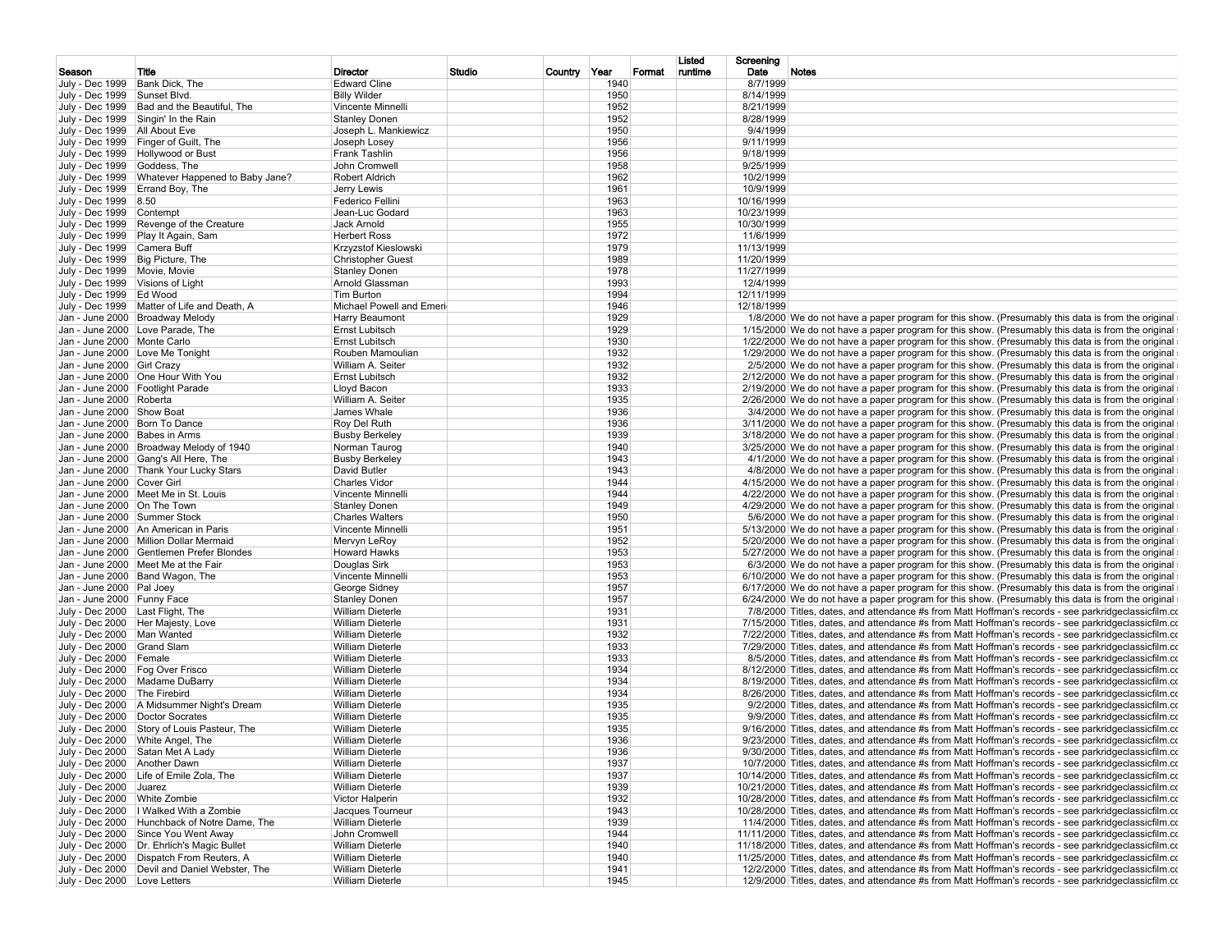|                               |                                               |                             |        |                 |        | Listed  | Screening  |                                                                                                                                                                                                          |
|-------------------------------|-----------------------------------------------|-----------------------------|--------|-----------------|--------|---------|------------|----------------------------------------------------------------------------------------------------------------------------------------------------------------------------------------------------------|
| Season                        | Title                                         | Director                    | Studio | Country<br>Year | Format | runtime | Date       | <b>Notes</b>                                                                                                                                                                                             |
| July - Dec 1999               | Bank Dick, The                                | <b>Edward Cline</b>         |        | 1940            |        |         | 8/7/1999   |                                                                                                                                                                                                          |
| July - Dec 1999               | Sunset Blvd.                                  | <b>Billy Wilder</b>         |        | 1950            |        |         | 8/14/1999  |                                                                                                                                                                                                          |
| July - Dec 1999               | Bad and the Beautiful, The                    | Vincente Minnelli           |        | 1952            |        |         | 8/21/1999  |                                                                                                                                                                                                          |
| July - Dec 1999               | Singin' In the Rain                           | <b>Stanley Donen</b>        |        | 1952            |        |         | 8/28/1999  |                                                                                                                                                                                                          |
| July - Dec 1999               | All About Eve                                 | Joseph L. Mankiewicz        |        | 1950            |        |         | 9/4/1999   |                                                                                                                                                                                                          |
| July - Dec 1999               | Finger of Guilt, The                          | Joseph Losey                |        | 1956            |        |         | 9/11/1999  |                                                                                                                                                                                                          |
| July - Dec 1999               | <b>Hollywood or Bust</b>                      | <b>Frank Tashlin</b>        |        | 1956            |        |         | 9/18/1999  |                                                                                                                                                                                                          |
| July - Dec 1999               | Goddess, The                                  | John Cromwell               |        | 1958            |        |         | 9/25/1999  |                                                                                                                                                                                                          |
| July - Dec 1999               | Whatever Happened to Baby Jane?               | <b>Robert Aldrich</b>       |        | 1962            |        |         | 10/2/1999  |                                                                                                                                                                                                          |
| July - Dec 1999               | Errand Boy, The                               | Jerry Lewis                 |        | 1961            |        |         | 10/9/1999  |                                                                                                                                                                                                          |
| July - Dec 1999               | 8.50                                          | Federico Fellini            |        | 1963            |        |         | 10/16/1999 |                                                                                                                                                                                                          |
| July - Dec 1999               | Contempt                                      | Jean-Luc Godard             |        | 1963            |        |         | 10/23/1999 |                                                                                                                                                                                                          |
| July - Dec 1999               | Revenge of the Creature                       | Jack Arnold                 |        | 1955            |        |         | 10/30/1999 |                                                                                                                                                                                                          |
| July - Dec 1999               | Play It Again, Sam                            | <b>Herbert Ross</b>         |        | 1972            |        |         | 11/6/1999  |                                                                                                                                                                                                          |
| July - Dec 1999               | Camera Buff                                   | <b>Krzyzstof Kieslowski</b> |        | 1979            |        |         | 11/13/1999 |                                                                                                                                                                                                          |
| July - Dec 1999               | Big Picture, The                              | <b>Christopher Guest</b>    |        | 1989            |        |         | 11/20/1999 |                                                                                                                                                                                                          |
| July - Dec 1999               | Movie, Movie                                  | <b>Stanley Donen</b>        |        | 1978            |        |         | 11/27/1999 |                                                                                                                                                                                                          |
| July - Dec 1999               | Visions of Light                              | Arnold Glassman             |        | 1993            |        |         | 12/4/1999  |                                                                                                                                                                                                          |
| July - Dec 1999               | Ed Wood                                       | Tim Burton                  |        | 1994            |        |         | 12/11/1999 |                                                                                                                                                                                                          |
| July - Dec 1999               | Matter of Life and Death. A                   | Michael Powell and Emeri-   |        | 1946            |        |         | 12/18/1999 |                                                                                                                                                                                                          |
|                               | Jan - June 2000 Broadway Melody               | Harry Beaumont              |        | 1929            |        |         |            | 1/8/2000 We do not have a paper program for this show. (Presumably this data is from the original                                                                                                        |
|                               | Jan - June 2000   Love Parade, The            | Ernst Lubitsch              |        | 1929            |        |         |            | 1/15/2000 We do not have a paper program for this show. (Presumably this data is from the original                                                                                                       |
| Jan - June 2000   Monte Carlo |                                               | Ernst Lubitsch              |        | 1930            |        |         |            | 1/22/2000 We do not have a paper program for this show. (Presumably this data is from the original                                                                                                       |
|                               | Jan - June 2000 Love Me Tonight               | Rouben Mamoulian            |        | 1932            |        |         |            | 1/29/2000 We do not have a paper program for this show. (Presumably this data is from the original                                                                                                       |
| Jan - June 2000 Girl Crazy    |                                               | William A. Seiter           |        | 1932            |        |         |            | 2/5/2000 We do not have a paper program for this show. (Presumably this data is from the original                                                                                                        |
|                               | Jan - June 2000 One Hour With You             | <b>Ernst Lubitsch</b>       |        | 1932            |        |         |            | 2/12/2000 We do not have a paper program for this show. (Presumably this data is from the original                                                                                                       |
|                               | Jan - June 2000 Footlight Parade              | Lloyd Bacon                 |        | 1933            |        |         |            | 2/19/2000 We do not have a paper program for this show. (Presumably this data is from the original                                                                                                       |
| Jan - June 2000               | Roberta                                       | William A. Seiter           |        | 1935            |        |         |            | 2/26/2000 We do not have a paper program for this show. (Presumably this data is from the original                                                                                                       |
| Jan - June 2000 Show Boat     |                                               | James Whale                 |        | 1936            |        |         |            | 3/4/2000 We do not have a paper program for this show. (Presumably this data is from the original                                                                                                        |
| Jan - June 2000 Born To Dance |                                               | Roy Del Ruth                |        | 1936            |        |         |            | 3/11/2000 We do not have a paper program for this show. (Presumably this data is from the original                                                                                                       |
| Jan - June 2000 Babes in Arms |                                               | <b>Busby Berkeley</b>       |        | 1939            |        |         |            | 3/18/2000 We do not have a paper program for this show. (Presumably this data is from the original                                                                                                       |
|                               | Jan - June 2000 Broadway Melody of 1940       | Norman Taurog               |        | 1940            |        |         |            | 3/25/2000 We do not have a paper program for this show. (Presumably this data is from the original                                                                                                       |
|                               | Jan - June 2000 Gang's All Here, The          | <b>Busby Berkeley</b>       |        | 1943            |        |         |            | 4/1/2000 We do not have a paper program for this show. (Presumably this data is from the original                                                                                                        |
|                               | Jan - June 2000 Thank Your Lucky Stars        | David Butler                |        | 1943            |        |         |            | 4/8/2000 We do not have a paper program for this show. (Presumably this data is from the original                                                                                                        |
| Jan - June 2000 Cover Girl    |                                               | <b>Charles Vidor</b>        |        | 1944            |        |         |            | 4/15/2000 We do not have a paper program for this show. (Presumably this data is from the original                                                                                                       |
|                               | Jan - June 2000   Meet Me in St. Louis        | Vincente Minnelli           |        | 1944            |        |         |            | 4/22/2000 We do not have a paper program for this show. (Presumably this data is from the original                                                                                                       |
| Jan - June 2000 On The Town   |                                               | <b>Stanley Donen</b>        |        | 1949            |        |         |            | 4/29/2000 We do not have a paper program for this show. (Presumably this data is from the original                                                                                                       |
| Jan - June 2000 Summer Stock  |                                               | <b>Charles Walters</b>      |        | 1950            |        |         |            | 5/6/2000 We do not have a paper program for this show. (Presumably this data is from the original                                                                                                        |
|                               | Jan - June 2000 An American in Paris          | <b>Vincente Minnelli</b>    |        | 1951            |        |         |            | 5/13/2000 We do not have a paper program for this show. (Presumably this data is from the original                                                                                                       |
|                               | Jan - June 2000   Million Dollar Mermaid      | Mervyn LeRoy                |        | 1952            |        |         |            | 5/20/2000 We do not have a paper program for this show. (Presumably this data is from the original                                                                                                       |
|                               | Jan - June 2000 Gentlemen Prefer Blondes      | <b>Howard Hawks</b>         |        | 1953            |        |         |            | 5/27/2000 We do not have a paper program for this show. (Presumably this data is from the original                                                                                                       |
|                               | Jan - June 2000   Meet Me at the Fair         | Douglas Sirk                |        | 1953            |        |         |            |                                                                                                                                                                                                          |
|                               | Jan - June 2000 Band Wagon, The               | <b>Vincente Minnelli</b>    |        | 1953            |        |         |            | 6/3/2000 We do not have a paper program for this show. (Presumably this data is from the original                                                                                                        |
| Jan - June 2000 Pal Joey      |                                               | George Sidney               |        | 1957            |        |         |            | 6/10/2000 We do not have a paper program for this show. (Presumably this data is from the original<br>6/17/2000 We do not have a paper program for this show. (Presumably this data is from the original |
|                               |                                               |                             |        | 1957            |        |         |            |                                                                                                                                                                                                          |
| Jan - June 2000 Funny Face    |                                               | <b>Stanley Donen</b>        |        |                 |        |         |            | 6/24/2000 We do not have a paper program for this show. (Presumably this data is from the original                                                                                                       |
| July - Dec 2000               | Last Flight, The                              | <b>William Dieterle</b>     |        | 1931            |        |         |            | 7/8/2000 Titles, dates, and attendance #s from Matt Hoffman's records - see parkridgeclassicfilm.com                                                                                                     |
| July - Dec 2000               | Her Majesty, Love                             | <b>William Dieterle</b>     |        | 1931            |        |         |            | 7/15/2000 Titles, dates, and attendance #s from Matt Hoffman's records - see parkridgeclassicfilm.co                                                                                                     |
| July - Dec 2000               | Man Wanted                                    | <b>William Dieterle</b>     |        | 1932            |        |         |            | 7/22/2000 Titles, dates, and attendance #s from Matt Hoffman's records - see parkridgeclassicfilm.co                                                                                                     |
| July - Dec 2000               | Grand Slam                                    | <b>William Dieterle</b>     |        | 1933            |        |         |            | 7/29/2000 Titles, dates, and attendance #s from Matt Hoffman's records - see parkridgeclassicfilm.co                                                                                                     |
| July - Dec 2000               | Female                                        | <b>William Dieterle</b>     |        | 1933            |        |         |            | 8/5/2000 Titles, dates, and attendance #s from Matt Hoffman's records - see parkridgeclassicfilm.co                                                                                                      |
| July - Dec 2000               | Fog Over Frisco                               | <b>William Dieterle</b>     |        | 1934            |        |         |            | 8/12/2000 Titles, dates, and attendance #s from Matt Hoffman's records - see parkridgeclassicfilm.co                                                                                                     |
| July - Dec 2000               | Madame DuBarry                                | <b>William Dieterle</b>     |        | 1934            |        |         |            | 8/19/2000 Titles, dates, and attendance #s from Matt Hoffman's records - see parkridge classicfilm.co                                                                                                    |
| July - Dec 2000               | The Firebird                                  | <b>William Dieterle</b>     |        | 1934            |        |         |            | 8/26/2000 Titles, dates, and attendance #s from Matt Hoffman's records - see parkridgeclassicfilm.co                                                                                                     |
|                               | July - Dec 2000 A Midsummer Night's Dream     | <b>William Dieterle</b>     |        | 1935            |        |         |            | 9/2/2000 Titles, dates, and attendance #s from Matt Hoffman's records - see parkridgeclassicfilm.co                                                                                                      |
| July - Dec 2000               | Doctor Socrates                               | <b>William Dieterle</b>     |        | 1935            |        |         |            | 9/9/2000 Titles, dates, and attendance #s from Matt Hoffman's records - see parkridgeclassicfilm.co                                                                                                      |
|                               | July - Dec 2000 Story of Louis Pasteur, The   | <b>William Dieterle</b>     |        | 1935            |        |         |            | 9/16/2000 Titles, dates, and attendance #s from Matt Hoffman's records - see parkridgeclassicfilm.co                                                                                                     |
|                               | July - Dec 2000   White Angel, The            | <b>William Dieterle</b>     |        | 1936            |        |         |            | 9/23/2000 Titles, dates, and attendance #s from Matt Hoffman's records - see parkridgeclassicfilm.co                                                                                                     |
|                               | July - Dec 2000 Satan Met A Lady              | <b>William Dieterle</b>     |        | 1936            |        |         |            | 9/30/2000 Titles, dates, and attendance #s from Matt Hoffman's records - see parkridgeclassicfilm.co                                                                                                     |
| July - Dec 2000 Another Dawn  |                                               | <b>William Dieterle</b>     |        | 1937            |        |         |            | 10/7/2000 Titles, dates, and attendance #s from Matt Hoffman's records - see parkridgeclassicfilm.co                                                                                                     |
|                               | July - Dec 2000 Life of Emile Zola, The       | <b>William Dieterle</b>     |        | 1937            |        |         |            | 10/14/2000 Titles, dates, and attendance #s from Matt Hoffman's records - see parkridgeclassicfilm.co                                                                                                    |
| July - Dec 2000 Juarez        |                                               | <b>William Dieterle</b>     |        | 1939            |        |         |            | 10/21/2000 Titles, dates, and attendance #s from Matt Hoffman's records - see parkridgeclassicfilm.co                                                                                                    |
| July - Dec 2000 White Zombie  |                                               | Victor Halperin             |        | 1932            |        |         |            | 10/28/2000 Titles, dates, and attendance #s from Matt Hoffman's records - see parkridgeclassicfilm.co                                                                                                    |
|                               | July - Dec 2000   I Walked With a Zombie      | Jacques Tourneur            |        | 1943            |        |         |            | 10/28/2000 Titles, dates, and attendance #s from Matt Hoffman's records - see parkridgeclassicfilm.co                                                                                                    |
|                               | July - Dec 2000 Hunchback of Notre Dame, The  | <b>William Dieterle</b>     |        | 1939            |        |         |            | 11/4/2000 Titles, dates, and attendance #s from Matt Hoffman's records - see parkridgeclassicfilm.co                                                                                                     |
|                               | July - Dec 2000 Since You Went Away           | John Cromwell               |        | 1944            |        |         |            | 11/11/2000 Titles, dates, and attendance #s from Matt Hoffman's records - see parkridgeclassicfilm.co                                                                                                    |
|                               | July - Dec 2000   Dr. Ehrlich's Magic Bullet  | <b>William Dieterle</b>     |        | 1940            |        |         |            | 11/18/2000 Titles, dates, and attendance #s from Matt Hoffman's records - see parkridgeclassicfilm.co                                                                                                    |
|                               | July - Dec 2000 Dispatch From Reuters, A      | <b>William Dieterle</b>     |        | 1940            |        |         |            | 11/25/2000 Titles, dates, and attendance #s from Matt Hoffman's records - see parkridgeclassicfilm.co                                                                                                    |
|                               | July - Dec 2000 Devil and Daniel Webster, The | <b>William Dieterle</b>     |        | 1941            |        |         |            | 12/2/2000 Titles, dates, and attendance #s from Matt Hoffman's records - see parkridgeclassicfilm.co                                                                                                     |
|                               | July - Dec 2000 Love Letters                  | <b>William Dieterle</b>     |        | 1945            |        |         |            | 12/9/2000 Titles, dates, and attendance #s from Matt Hoffman's records - see parkridgeclassicfilm.co                                                                                                     |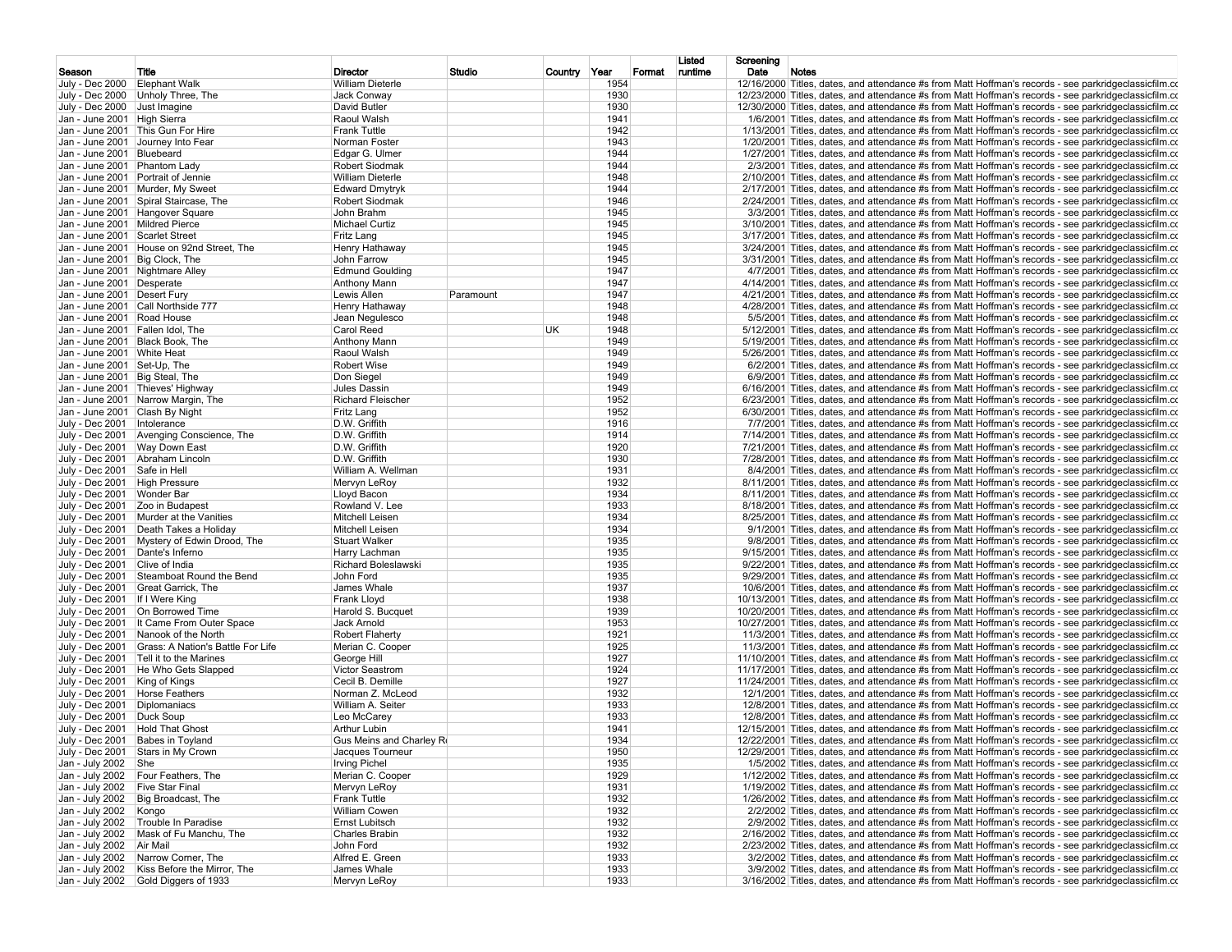|                                  |                                                                                   |                                |           |              |              | Listed  | Screening                                                                                                     |
|----------------------------------|-----------------------------------------------------------------------------------|--------------------------------|-----------|--------------|--------------|---------|---------------------------------------------------------------------------------------------------------------|
| Season                           | Title                                                                             | Director                       | Studio    | Country Year | Format       | runtime | Date<br><b>Notes</b>                                                                                          |
| July - Dec 2000                  | <b>Elephant Walk</b>                                                              | <b>William Dieterle</b>        |           |              | 1954         |         | 12/16/2000 Titles, dates, and attendance #s from Matt Hoffman's records - see parkridge classicfilm.com       |
|                                  | July - Dec 2000 Unholy Three, The                                                 | Jack Conway                    |           |              | 1930         |         | 12/23/2000 Titles, dates, and attendance #s from Matt Hoffman's records - see parkridge classicfilm.com       |
| July - Dec 2000 Just Imagine     |                                                                                   | David Butler                   |           |              | 1930         |         | 12/30/2000 Titles, dates, and attendance #s from Matt Hoffman's records - see parkridgeclassicfilm.co         |
| Jan - June 2001   High Sierra    |                                                                                   | Raoul Walsh                    |           |              | 1941         |         | 1/6/2001 Titles, dates, and attendance #s from Matt Hoffman's records - see parkridgeclassicfilm.co           |
|                                  | Jan - June 2001   This Gun For Hire                                               | <b>Frank Tuttle</b>            |           |              | 1942         |         | 1/13/2001 Titles, dates, and attendance #s from Matt Hoffman's records - see parkridgeclassicfilm.co          |
|                                  | Jan - June 2001 Journey Into Fear                                                 | Norman Foster                  |           |              | 1943         |         | 1/20/2001 Titles, dates, and attendance #s from Matt Hoffman's records - see parkridgeclassicfilm.co          |
| Jan - June 2001                  | Bluebeard                                                                         | Edgar G. Ulmer                 |           |              | 1944         |         | 1/27/2001 Titles, dates, and attendance #s from Matt Hoffman's records - see parkridgeclassicfilm.co          |
| Jan - June 2001 Phantom Lady     |                                                                                   | Robert Siodmak                 |           |              | 1944         |         | $2/3/2001$ Titles, dates, and attendance #s from Matt Hoffman's records - see parkridgeclassicfilm.com        |
|                                  | Jan - June 2001 Portrait of Jennie                                                | <b>William Dieterle</b>        |           |              | 1948         |         | 2/10/2001 Titles, dates, and attendance #s from Matt Hoffman's records - see parkridgeclassicfilm.co          |
|                                  | Jan - June 2001 Murder, My Sweet                                                  | <b>Edward Dmytryk</b>          |           |              | 1944         |         | 2/17/2001 Titles, dates, and attendance #s from Matt Hoffman's records - see parkridgeclassicfilm.co          |
|                                  | Jan - June 2001 Spiral Staircase, The                                             | <b>Robert Siodmak</b>          |           |              | 1946         |         | 2/24/2001 Titles, dates, and attendance #s from Matt Hoffman's records - see parkridgeclassicfilm.co          |
|                                  | Jan - June 2001   Hangover Square                                                 | John Brahm                     |           |              | 1945         |         | 3/3/2001 Titles, dates, and attendance #s from Matt Hoffman's records - see parkridgeclassicfilm.co           |
| Jan - June 2001 Mildred Pierce   |                                                                                   | Michael Curtiz                 |           |              | 1945         |         | 3/10/2001 Titles, dates, and attendance #s from Matt Hoffman's records - see parkridgeclassicfilm.co          |
| Jan - June 2001 Scarlet Street   |                                                                                   | Fritz Lang                     |           |              | 1945         |         | 3/17/2001 Titles, dates, and attendance #s from Matt Hoffman's records - see parkridgeclassicfilm.co          |
|                                  | Jan - June 2001 House on 92nd Street, The                                         | Henry Hathaway                 |           |              | 1945         |         | 3/24/2001 Titles, dates, and attendance #s from Matt Hoffman's records - see parkridgeclassicfilm.co          |
| Jan - June 2001   Big Clock, The |                                                                                   | John Farrow                    |           |              | 1945         |         | 3/31/2001 Titles, dates, and attendance #s from Matt Hoffman's records - see parkridgeclassicfilm.co          |
| Jan - June 2001 Nightmare Alley  |                                                                                   | <b>Edmund Goulding</b>         |           |              | 1947         |         | 4/7/2001 Titles, dates, and attendance #s from Matt Hoffman's records - see parkridgeclassicfilm.com          |
| Jan - June 2001 Desperate        |                                                                                   | <b>Anthony Mann</b>            |           |              | 1947         |         | 4/14/2001 Titles, dates, and attendance #s from Matt Hoffman's records - see parkridgeclassicfilm.co          |
| Jan - June 2001 Desert Fury      |                                                                                   | Lewis Allen                    | Paramount |              | 1947         |         | 4/21/2001 Titles, dates, and attendance #s from Matt Hoffman's records - see parkridgeclassicfilm.co          |
|                                  | Jan - June 2001 Call Northside 777                                                | Henry Hathaway                 |           |              | 1948         |         | 4/28/2001 Titles, dates, and attendance #s from Matt Hoffman's records - see parkridgeclassicfilm.co          |
|                                  |                                                                                   |                                |           |              |              |         |                                                                                                               |
| Jan - June 2001 Road House       |                                                                                   | Jean Negulesco                 |           |              | 1948         |         | 5/5/2001 Titles, dates, and attendance #s from Matt Hoffman's records - see parkridgeclassicfilm.com          |
| Jan - June 2001 Fallen Idol, The |                                                                                   | <b>Carol Reed</b>              | UK.       |              | 1948         |         | 5/12/2001 Titles, dates, and attendance #s from Matt Hoffman's records - see parkridgeclassicfilm.co          |
| Jan - June 2001 Black Book, The  |                                                                                   | <b>Anthony Mann</b>            |           |              | 1949         |         | 5/19/2001 Titles, dates, and attendance #s from Matt Hoffman's records - see parkridgeclassicfilm.co          |
| Jan - June 2001 White Heat       |                                                                                   | Raoul Walsh                    |           |              | 1949         |         | 5/26/2001 Titles, dates, and attendance #s from Matt Hoffman's records - see parkridgeclassicfilm.co          |
| Jan - June 2001 Set-Up, The      |                                                                                   | <b>Robert Wise</b>             |           |              | 1949         |         | $6/2/2001$ Titles, dates, and attendance #s from Matt Hoffman's records - see parkridgeclassicfilm.com        |
| Jan - June 2001 Big Steal, The   |                                                                                   | Don Siegel                     |           |              | 1949         |         | $6/9/2001$ Titles, dates, and attendance #s from Matt Hoffman's records - see parkridge classic film.com      |
|                                  | Jan - June 2001 Thieves' Highway                                                  | Jules Dassin                   |           |              | 1949         |         | $6/16/2001$ Titles, dates, and attendance #s from Matt Hoffman's records - see parkridge classic film.com     |
|                                  | Jan - June 2001 Narrow Margin, The                                                | <b>Richard Fleischer</b>       |           |              | 1952         |         | 6/23/2001 Titles, dates, and attendance #s from Matt Hoffman's records - see parkridgeclassicfilm.co          |
| Jan - June 2001 Clash By Night   |                                                                                   | Fritz Lang                     |           |              | 1952         |         | $6/30/2001$ Titles, dates, and attendance #s from Matt Hoffman's records - see parkridge classic film.com     |
| July - Dec 2001                  | Intolerance                                                                       | D.W. Griffith                  |           |              | 1916         |         | 7/7/2001 Titles, dates, and attendance #s from Matt Hoffman's records - see parkridge classicfilm.co          |
| July - Dec 2001                  | Avenging Conscience, The                                                          | D.W. Griffith                  |           |              | 1914         |         | 7/14/2001 Titles, dates, and attendance #s from Matt Hoffman's records - see parkridgeclassicfilm.co          |
| July - Dec 2001                  | Way Down East                                                                     | D.W. Griffith                  |           |              | 1920         |         | 7/21/2001 Titles, dates, and attendance #s from Matt Hoffman's records - see parkridgeclassicfilm.co          |
| July - Dec 2001                  | Abraham Lincoln                                                                   | D.W. Griffith                  |           |              | 1930         |         | 7/28/2001 Titles, dates, and attendance #s from Matt Hoffman's records - see parkridgeclassicfilm.co          |
| July - Dec 2001                  | Safe in Hell                                                                      | William A. Wellman             |           |              | 1931         |         | 8/4/2001 Titles, dates, and attendance #s from Matt Hoffman's records - see parkridgeclassicfilm.com          |
| July - Dec 2001                  | <b>High Pressure</b>                                                              | Mervyn LeRoy                   |           |              | 1932         |         | 8/11/2001 Titles, dates, and attendance #s from Matt Hoffman's records - see parkridgeclassicfilm.co          |
| July - Dec 2001                  | Wonder Bar                                                                        | Lloyd Bacon                    |           |              | 1934         |         | 8/11/2001 Titles, dates, and attendance #s from Matt Hoffman's records - see parkridgeclassicfilm.co          |
|                                  |                                                                                   | Rowland V. Lee                 |           |              | 1933         |         |                                                                                                               |
| July - Dec 2001                  | Zoo in Budapest                                                                   |                                |           |              |              |         | 8/18/2001 Titles, dates, and attendance #s from Matt Hoffman's records - see parkridgeclassicfilm.co          |
| July - Dec 2001                  | Murder at the Vanities                                                            | Mitchell Leisen                |           |              | 1934         |         | 8/25/2001 Titles, dates, and attendance #s from Matt Hoffman's records - see parkridgeclassicfilm.co          |
| July - Dec 2001                  | Death Takes a Holiday                                                             | Mitchell Leisen                |           |              | 1934         |         | 9/1/2001 Titles, dates, and attendance #s from Matt Hoffman's records - see parkridgeclassicfilm.co           |
| July - Dec 2001                  | Mystery of Edwin Drood, The                                                       | <b>Stuart Walker</b>           |           |              | 1935         |         | 9/8/2001 Titles, dates, and attendance #s from Matt Hoffman's records - see parkridgeclassicfilm.com          |
| July - Dec 2001                  | Dante's Inferno                                                                   | Harry Lachman                  |           |              | 1935         |         | 9/15/2001 Titles, dates, and attendance #s from Matt Hoffman's records - see parkridgeclassicfilm.co          |
| July - Dec 2001                  | Clive of India                                                                    | <b>Richard Boleslawski</b>     |           |              | 1935         |         | 9/22/2001 Titles, dates, and attendance #s from Matt Hoffman's records - see parkridgeclassicfilm.co          |
| July - Dec 2001                  | Steamboat Round the Bend                                                          | John Ford                      |           |              | 1935         |         | 9/29/2001 Titles, dates, and attendance #s from Matt Hoffman's records - see parkridgeclassicfilm.co          |
| July - Dec 2001                  | Great Garrick, The                                                                | James Whale                    |           |              | 1937         |         | 10/6/2001 Titles, dates, and attendance #s from Matt Hoffman's records - see parkridgeclassicfilm.co          |
| July - Dec 2001                  | If I Were King                                                                    | Frank Lloyd                    |           |              | 1938         |         | 10/13/2001 Titles, dates, and attendance #s from Matt Hoffman's records - see parkridgeclassicfilm.co         |
| July - Dec 2001                  | On Borrowed Time                                                                  | Harold S. Bucquet              |           |              | 1939         |         | 10/20/2001 Titles, dates, and attendance #s from Matt Hoffman's records - see parkridgeclassicfilm.co         |
| July - Dec 2001                  | It Came From Outer Space                                                          | Jack Arnold                    |           |              | 1953         |         | 10/27/2001 Titles, dates, and attendance #s from Matt Hoffman's records - see parkridgeclassicfilm.co         |
| July - Dec 2001                  | Nanook of the North                                                               | <b>Robert Flaherty</b>         |           |              | 1921         |         | 11/3/2001 Titles, dates, and attendance #s from Matt Hoffman's records - see parkridgeclassicfilm.co          |
| July - Dec 2001                  | Grass: A Nation's Battle For Life                                                 | Merian C. Cooper               |           |              | 1925         |         | 11/3/2001 Titles, dates, and attendance #s from Matt Hoffman's records - see parkridgeclassicfilm.co          |
| July - Dec 2001                  | Tell it to the Marines                                                            | George Hill                    |           |              | 1927         |         | 11/10/2001 Titles, dates, and attendance #s from Matt Hoffman's records - see parkridgeclassicfilm.co         |
| July - Dec 2001                  | He Who Gets Slapped                                                               | Victor Seastrom                |           |              | 1924         |         | 11/17/2001 Titles, dates, and attendance #s from Matt Hoffman's records - see parkridgeclassicfilm.co         |
| July - Dec 2001                  | King of Kings                                                                     | Cecil B. Demille               |           |              | 1927         |         | 11/24/2001 Titles, dates, and attendance #s from Matt Hoffman's records - see parkridgeclassicfilm.co         |
| July - Dec 2001                  | <b>Horse Feathers</b>                                                             | Norman Z. McLeod               |           |              | 1932         |         | 12/1/2001 Titles, dates, and attendance #s from Matt Hoffman's records - see parkridgeclassicfilm.co          |
|                                  | Diplomaniacs                                                                      | William A. Seiter              |           |              | 1933         |         |                                                                                                               |
| July - Dec 2001                  |                                                                                   | Leo McCarev                    |           |              |              |         | 12/8/2001 Titles, dates, and attendance #s from Matt Hoffman's records - see parkridgeclassicfilm.co          |
| July - Dec 2001                  | Duck Soup                                                                         |                                |           |              | 1933         |         | 12/8/2001 Titles, dates, and attendance #s from Matt Hoffman's records - see parkridgeclassicfilm.co          |
| July - Dec 2001                  | <b>Hold That Ghost</b>                                                            | <b>Arthur Lubin</b>            |           |              | 1941         |         | 12/15/2001 Titles, dates, and attendance #s from Matt Hoffman's records - see parkridgeclassicfilm.co         |
| July - Dec 2001 Babes in Toyland |                                                                                   | Gus Meins and Charley Ro       |           |              | 1934         |         | 12/22/2001 Titles, dates, and attendance #s from Matt Hoffman's records - see parkridgeclassicfilm.co         |
|                                  | July - Dec 2001 Stars in My Crown                                                 | Jacques Tourneur               |           |              | 1950         |         | 12/29/2001 Titles, dates, and attendance #s from Matt Hoffman's records - see parkridgeclassicfilm.co         |
| Jan - July 2002 She              |                                                                                   | <b>Irving Pichel</b>           |           |              | 1935         |         | 1/5/2002 Titles, dates, and attendance #s from Matt Hoffman's records - see parkridgeclassicfilm.com          |
|                                  | Jan - July 2002 Four Feathers, The                                                | Merian C. Cooper               |           |              | 1929         |         | 1/12/2002 Titles, dates, and attendance #s from Matt Hoffman's records - see parkridgeclassicfilm.co          |
| Jan - July 2002 Five Star Final  |                                                                                   | Mervyn LeRoy                   |           |              | 1931         |         | 1/19/2002 Titles, dates, and attendance #s from Matt Hoffman's records - see parkridge classic film. $\alpha$ |
|                                  | Jan - July 2002   Big Broadcast, The                                              | <b>Frank Tuttle</b>            |           |              | 1932         |         | 1/26/2002 Titles, dates, and attendance #s from Matt Hoffman's records - see parkridgeclassicfilm.co          |
| Jan - July 2002 Kongo            |                                                                                   | <b>William Cowen</b>           |           |              | 1932         |         | 2/2/2002 Titles, dates, and attendance #s from Matt Hoffman's records - see parkridgeclassicfilm.co           |
|                                  | Jan - July 2002 Trouble In Paradise                                               | <b>Ernst Lubitsch</b>          |           |              | 1932         |         | 2/9/2002 Titles, dates, and attendance #s from Matt Hoffman's records - see parkridgeclassicfilm.com          |
|                                  | Jan - July 2002   Mask of Fu Manchu, The                                          | Charles Brabin                 |           |              | 1932         |         | 2/16/2002 Titles, dates, and attendance #s from Matt Hoffman's records - see parkridgeclassicfilm.co          |
|                                  |                                                                                   | John Ford                      |           |              | 1932         |         | 2/23/2002 Titles, dates, and attendance #s from Matt Hoffman's records - see parkridgeclassicfilm.co          |
| Jan - July 2002 Air Mail         |                                                                                   |                                |           |              |              |         | 3/2/2002 Titles, dates, and attendance #s from Matt Hoffman's records - see parkridgeclassicfilm.co           |
|                                  |                                                                                   |                                |           |              |              |         |                                                                                                               |
|                                  | Jan - July 2002 Narrow Corner, The<br>Jan - July 2002 Kiss Before the Mirror, The | Alfred E. Green<br>James Whale |           |              | 1933<br>1933 |         | 3/9/2002 Titles, dates, and attendance #s from Matt Hoffman's records - see parkridgeclassicfilm.co           |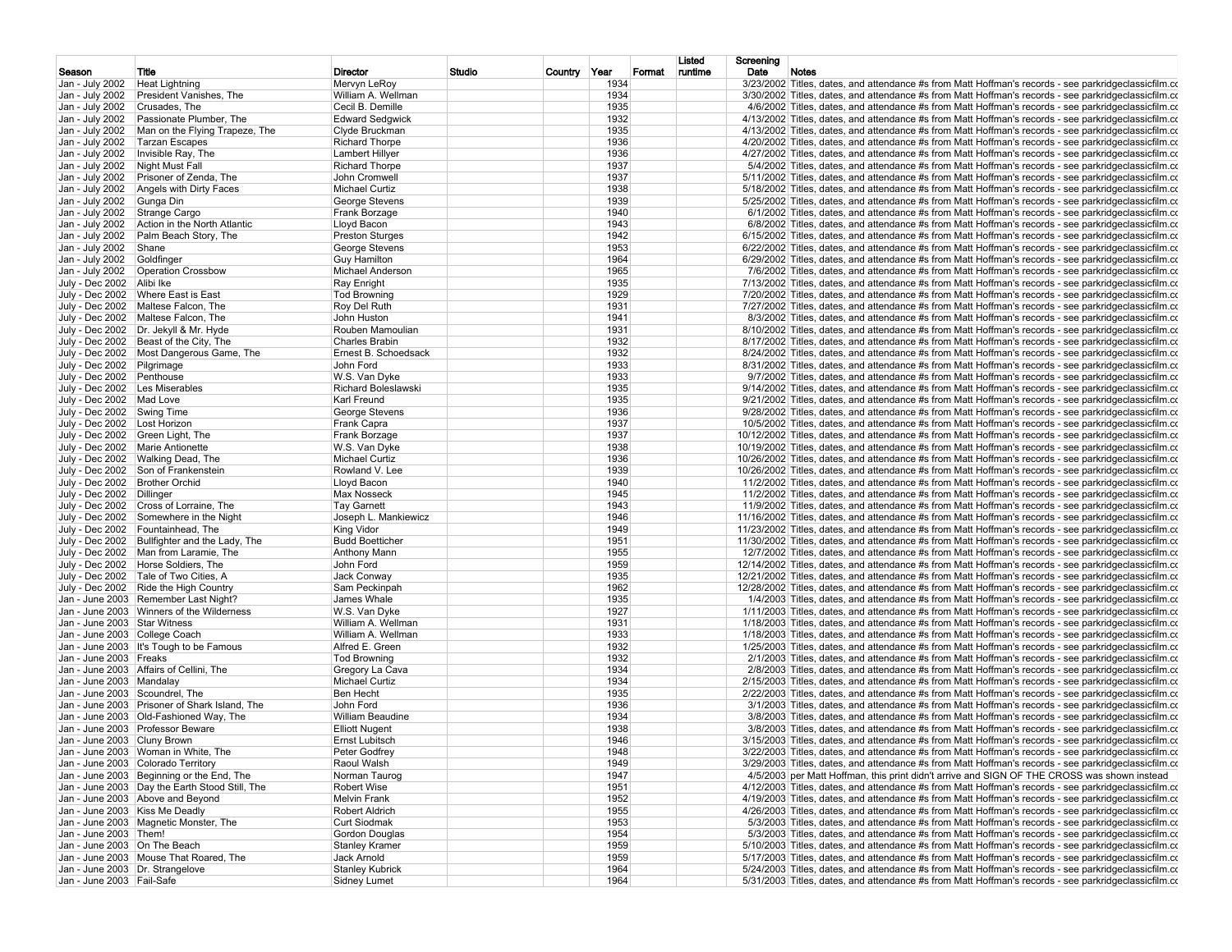|                                                                |                                                  |                                               |        |              |              |        | Listed  | Screening                                                                                                                                                                                                    |
|----------------------------------------------------------------|--------------------------------------------------|-----------------------------------------------|--------|--------------|--------------|--------|---------|--------------------------------------------------------------------------------------------------------------------------------------------------------------------------------------------------------------|
| Season                                                         | Title                                            | Director<br>Mervyn LeRoy                      | Studio | Country Year | 1934         | Format | runtime | Date<br>Notes<br>3/23/2002 Titles, dates, and attendance #s from Matt Hoffman's records - see parkridge classicfilm.co                                                                                       |
| Jan - July 2002<br>Jan - July 2002                             | <b>Heat Lightning</b><br>President Vanishes, The | William A. Wellman                            |        |              | 1934         |        |         |                                                                                                                                                                                                              |
| Jan - July 2002                                                | Crusades, The                                    | Cecil B. Demille                              |        |              | 1935         |        |         | 3/30/2002 Titles, dates, and attendance #s from Matt Hoffman's records - see parkridgeclassicfilm.co<br>4/6/2002 Titles, dates, and attendance #s from Matt Hoffman's records - see parkridgeclassicfilm.com |
| Jan - July 2002                                                | Passionate Plumber, The                          | <b>Edward Sedgwick</b>                        |        |              | 1932         |        |         | 4/13/2002 Titles, dates, and attendance #s from Matt Hoffman's records - see parkridgeclassicfilm.co                                                                                                         |
| Jan - July 2002                                                | Man on the Flying Trapeze, The                   | Clyde Bruckman                                |        |              | 1935         |        |         | 4/13/2002 Titles, dates, and attendance #s from Matt Hoffman's records - see parkridgeclassicfilm.co                                                                                                         |
| Jan - July 2002                                                | <b>Tarzan Escapes</b>                            | <b>Richard Thorpe</b>                         |        |              | 1936         |        |         | 4/20/2002 Titles, dates, and attendance #s from Matt Hoffman's records - see parkridgeclassicfilm.co                                                                                                         |
| Jan - July 2002                                                | Invisible Ray, The                               | <b>Lambert Hillyer</b>                        |        |              | 1936         |        |         | 4/27/2002 Titles, dates, and attendance #s from Matt Hoffman's records - see parkridgeclassicfilm.co                                                                                                         |
| Jan - July 2002                                                | Night Must Fall                                  | <b>Richard Thorpe</b>                         |        |              | 1937         |        |         | 5/4/2002 Titles, dates, and attendance #s from Matt Hoffman's records - see parkridgeclassicfilm.com                                                                                                         |
| Jan - July 2002                                                | Prisoner of Zenda, The                           | John Cromwell                                 |        |              | 1937         |        |         | 5/11/2002 Titles, dates, and attendance #s from Matt Hoffman's records - see parkridgeclassicfilm.co                                                                                                         |
| Jan - July 2002                                                | Angels with Dirty Faces                          | <b>Michael Curtiz</b>                         |        |              | 1938         |        |         | 5/18/2002 Titles, dates, and attendance #s from Matt Hoffman's records - see parkridgeclassicfilm.co                                                                                                         |
| Jan - July 2002                                                | Gunga Din                                        | George Stevens                                |        |              | 1939         |        |         | 5/25/2002 Titles, dates, and attendance #s from Matt Hoffman's records - see parkridgeclassicfilm.co                                                                                                         |
| Jan - July 2002                                                | Strange Cargo                                    | Frank Borzage                                 |        |              | 1940         |        |         | 6/1/2002 Titles, dates, and attendance #s from Matt Hoffman's records - see parkridgeclassicfilm.co                                                                                                          |
| Jan - July 2002                                                | Action in the North Atlantic                     | Llovd Bacon                                   |        |              | 1943         |        |         | 6/8/2002 Titles, dates, and attendance #s from Matt Hoffman's records - see parkridgeclassicfilm.co                                                                                                          |
| Jan - July 2002                                                | Palm Beach Story, The                            | <b>Preston Sturges</b>                        |        |              | 1942         |        |         | $6/15/2002$ Titles, dates, and attendance #s from Matt Hoffman's records - see parkridge classicfilm.com                                                                                                     |
| Jan - July 2002                                                | Shane                                            | George Stevens                                |        |              | 1953         |        |         | $6/22/2002$ Titles, dates, and attendance #s from Matt Hoffman's records - see parkridgeclassicfilm.com                                                                                                      |
| Jan - July 2002                                                | Goldfinger                                       | <b>Guy Hamilton</b>                           |        |              | 1964         |        |         | 6/29/2002 Titles, dates, and attendance #s from Matt Hoffman's records - see parkridgeclassicfilm.co                                                                                                         |
|                                                                | Jan - July 2002   Operation Crossbow             | Michael Anderson                              |        |              | 1965         |        |         | 7/6/2002 Titles, dates, and attendance #s from Matt Hoffman's records - see parkridgeclassicfilm.com                                                                                                         |
| July - Dec 2002 Alibi Ike                                      |                                                  | Ray Enright                                   |        |              | 1935         |        |         | 7/13/2002 Titles, dates, and attendance #s from Matt Hoffman's records - see parkridgeclassicfilm.co                                                                                                         |
|                                                                | July - Dec 2002   Where East is East             | <b>Tod Browning</b>                           |        |              | 1929         |        |         | 7/20/2002 Titles, dates, and attendance #s from Matt Hoffman's records - see parkridgeclassicfilm.co                                                                                                         |
|                                                                | July - Dec 2002   Maltese Falcon, The            | Roy Del Ruth                                  |        |              | 1931         |        |         | 7/27/2002 Titles, dates, and attendance #s from Matt Hoffman's records - see parkridgeclassicfilm.co                                                                                                         |
|                                                                | July - Dec 2002   Maltese Falcon, The            | John Huston                                   |        |              | 1941         |        |         | 8/3/2002 Titles, dates, and attendance #s from Matt Hoffman's records - see parkridgeclassicfilm.com                                                                                                         |
|                                                                | July - Dec 2002   Dr. Jekyll & Mr. Hyde          | Rouben Mamoulian                              |        |              | 1931         |        |         | 8/10/2002 Titles, dates, and attendance #s from Matt Hoffman's records - see parkridgeclassicfilm.co                                                                                                         |
|                                                                | July - Dec 2002 Beast of the City, The           | <b>Charles Brabin</b>                         |        |              | 1932         |        |         | 8/17/2002 Titles, dates, and attendance #s from Matt Hoffman's records - see parkridgeclassicfilm.co                                                                                                         |
|                                                                | July - Dec 2002   Most Dangerous Game, The       | Ernest B. Schoedsack                          |        |              | 1932         |        |         | 8/24/2002 Titles, dates, and attendance #s from Matt Hoffman's records - see parkridgeclassicfilm.co                                                                                                         |
| July - Dec 2002 Pilgrimage                                     |                                                  | John Ford                                     |        |              | 1933         |        |         | 8/31/2002 Titles, dates, and attendance #s from Matt Hoffman's records - see parkridgeclassicfilm.co                                                                                                         |
| July - Dec 2002 Penthouse                                      |                                                  | W.S. Van Dyke                                 |        |              | 1933         |        |         | 9/7/2002 Titles, dates, and attendance #s from Matt Hoffman's records - see parkridgeclassicfilm.com                                                                                                         |
| July - Dec 2002 Les Miserables                                 |                                                  | <b>Richard Boleslawski</b>                    |        |              | 1935         |        |         | 9/14/2002 Titles, dates, and attendance #s from Matt Hoffman's records - see parkridgeclassicfilm.co                                                                                                         |
| July - Dec 2002 Mad Love                                       |                                                  | Karl Freund                                   |        |              | 1935         |        |         | 9/21/2002 Titles, dates, and attendance #s from Matt Hoffman's records - see parkridgeclassicfilm.co                                                                                                         |
| July - Dec 2002 Swing Time                                     |                                                  | George Stevens                                |        |              | 1936         |        |         | 9/28/2002 Titles, dates, and attendance #s from Matt Hoffman's records - see parkridgeclassicfilm.co                                                                                                         |
| July - Dec 2002   Lost Horizon                                 |                                                  | Frank Capra                                   |        |              | 1937         |        |         | 10/5/2002 Titles, dates, and attendance #s from Matt Hoffman's records - see parkridgeclassicfilm.co                                                                                                         |
|                                                                | July - Dec 2002 Green Light, The                 | Frank Borzage                                 |        |              | 1937         |        |         | 10/12/2002 Titles, dates, and attendance #s from Matt Hoffman's records - see parkridgeclassicfilm.co                                                                                                        |
|                                                                | July - Dec 2002   Marie Antionette               | W.S. Van Dyke                                 |        |              | 1938         |        |         | 10/19/2002 Titles, dates, and attendance #s from Matt Hoffman's records - see parkridgeclassicfilm.co                                                                                                        |
|                                                                | July - Dec 2002   Walking Dead, The              | Michael Curtiz                                |        |              | 1936         |        |         | 10/26/2002 Titles, dates, and attendance #s from Matt Hoffman's records - see parkridgeclassicfilm.co                                                                                                        |
|                                                                | July - Dec 2002 Son of Frankenstein              | Rowland V. Lee                                |        |              | 1939         |        |         | 10/26/2002 Titles, dates, and attendance #s from Matt Hoffman's records - see parkridgeclassicfilm.co                                                                                                        |
| July - Dec 2002   Brother Orchid                               |                                                  | Lloyd Bacon                                   |        |              | 1940         |        |         | 11/2/2002 Titles, dates, and attendance #s from Matt Hoffman's records - see parkridgeclassicfilm.co                                                                                                         |
| July - Dec 2002 Dillinger                                      |                                                  | <b>Max Nosseck</b>                            |        |              | 1945         |        |         | 11/2/2002 Titles, dates, and attendance #s from Matt Hoffman's records - see parkridgeclassicfilm.co                                                                                                         |
|                                                                | July - Dec 2002 Cross of Lorraine, The           | <b>Tav Garnett</b>                            |        |              | 1943         |        |         | 11/9/2002 Titles, dates, and attendance #s from Matt Hoffman's records - see parkridgeclassicfilm.co                                                                                                         |
|                                                                | July - Dec 2002 Somewhere in the Night           | Joseph L. Mankiewicz                          |        |              | 1946         |        |         | 11/16/2002 Titles, dates, and attendance #s from Matt Hoffman's records - see parkridgeclassicfilm.co                                                                                                        |
|                                                                | July - Dec 2002 Fountainhead, The                | King Vidor                                    |        |              | 1949         |        |         | 11/23/2002 Titles, dates, and attendance #s from Matt Hoffman's records - see parkridgeclassicfilm.co                                                                                                        |
|                                                                | July - Dec 2002 Bullfighter and the Lady, The    | <b>Budd Boetticher</b>                        |        |              | 1951         |        |         | 11/30/2002 Titles, dates, and attendance #s from Matt Hoffman's records - see parkridgeclassicfilm.co                                                                                                        |
|                                                                | July - Dec 2002   Man from Laramie, The          | <b>Anthony Mann</b>                           |        |              | 1955         |        |         | 12/7/2002 Titles, dates, and attendance #s from Matt Hoffman's records - see parkridgeclassicfilm.co                                                                                                         |
|                                                                | July - Dec 2002   Horse Soldiers, The            | John Ford                                     |        |              | 1959         |        |         | 12/14/2002 Titles, dates, and attendance #s from Matt Hoffman's records - see parkridgeclassicfilm.co                                                                                                        |
|                                                                | July - Dec 2002 Tale of Two Cities, A            | Jack Conway                                   |        |              | 1935         |        |         | 12/21/2002 Titles, dates, and attendance #s from Matt Hoffman's records - see parkridgeclassicfilm.co                                                                                                        |
|                                                                | July - Dec 2002 Ride the High Country            | Sam Peckinpah                                 |        |              | 1962         |        |         | 12/28/2002 Titles, dates, and attendance #s from Matt Hoffman's records - see parkridgeclassicfilm.co                                                                                                        |
| Jan - June 2003                                                | Remember Last Night?                             | James Whale                                   |        |              | 1935         |        |         | 1/4/2003 Titles, dates, and attendance #s from Matt Hoffman's records - see parkridgeclassicfilm.com                                                                                                         |
|                                                                | Jan - June 2003   Winners of the Wilderness      | W.S. Van Dyke                                 |        |              | 1927         |        |         | 1/11/2003 Titles, dates, and attendance #s from Matt Hoffman's records - see parkridgeclassicfilm.co                                                                                                         |
| Jan - June 2003 Star Witness                                   |                                                  | William A. Wellman                            |        |              | 1931         |        |         | 1/18/2003 Titles, dates, and attendance #s from Matt Hoffman's records - see parkridgeclassicfilm.co                                                                                                         |
| Jan - June 2003 College Coach                                  |                                                  | William A. Wellman                            |        |              | 1933         |        |         | 1/18/2003 Titles, dates, and attendance #s from Matt Hoffman's records - see parkridgeclassicfilm.co                                                                                                         |
|                                                                | Jan - June 2003 It's Tough to be Famous          | Alfred E. Green                               |        |              | 1932         |        |         | 1/25/2003 Titles, dates, and attendance #s from Matt Hoffman's records - see parkridgeclassicfilm.co                                                                                                         |
| Jan - June 2003   Freaks                                       |                                                  | <b>Tod Browning</b>                           |        |              | 1932         |        |         | 2/1/2003 Titles, dates, and attendance #s from Matt Hoffman's records - see parkridgeclassicfilm.com                                                                                                         |
|                                                                | Jan - June 2003 Affairs of Cellini. The          | Gregory La Cava                               |        |              | 1934         |        |         | 2/8/2003 Titles, dates, and attendance #s from Matt Hoffman's records - see parkridgeclassicfilm.com                                                                                                         |
| Jan - June 2003   Mandalay                                     |                                                  | Michael Curtiz                                |        |              | 1934         |        |         | 2/15/2003 Titles, dates, and attendance #s from Matt Hoffman's records - see parkridgeclassicfilm.co                                                                                                         |
| Jan - June 2003 Scoundrel, The                                 |                                                  | <b>Ben Hecht</b>                              |        |              | 1935         |        |         | 2/22/2003 Titles, dates, and attendance #s from Matt Hoffman's records - see parkridgeclassicfilm.co                                                                                                         |
|                                                                | Jan - June 2003 Prisoner of Shark Island. The    | John Ford                                     |        |              | 1936         |        |         | 3/1/2003 Titles, dates, and attendance #s from Matt Hoffman's records - see parkridgeclassicfilm.com                                                                                                         |
|                                                                | Jan - June 2003 Old-Fashioned Way, The           | <b>William Beaudine</b>                       |        |              | 1934         |        |         | 3/8/2003 Titles, dates, and attendance #s from Matt Hoffman's records - see parkridgeclassicfilm.co                                                                                                          |
|                                                                | Jan - June 2003 Professor Beware                 | <b>Elliott Nugent</b>                         |        |              | 1938         |        |         | 3/8/2003 Titles, dates, and attendance #s from Matt Hoffman's records - see parkridgeclassicfilm.co                                                                                                          |
| Jan - June 2003 Cluny Brown                                    |                                                  | <b>Ernst Lubitsch</b>                         |        |              | 1946         |        |         | 3/15/2003 Titles, dates, and attendance #s from Matt Hoffman's records - see parkridgeclassicfilm.co                                                                                                         |
|                                                                | Jan - June 2003   Woman in White, The            | Peter Godfrey                                 |        |              | 1948         |        |         | 3/22/2003 Titles, dates, and attendance #s from Matt Hoffman's records - see parkridgeclassicfilm.co                                                                                                         |
|                                                                | Jan - June 2003 Colorado Territory               | Raoul Walsh                                   |        |              | 1949         |        |         | 3/29/2003 Titles, dates, and attendance #s from Matt Hoffman's records - see parkridgeclassicfilm.co                                                                                                         |
|                                                                | Jan - June 2003 Beginning or the End, The        | Norman Taurog                                 |        |              | 1947         |        |         | 4/5/2003 per Matt Hoffman, this print didn't arrive and SIGN OF THE CROSS was shown instead                                                                                                                  |
|                                                                | Jan - June 2003 Day the Earth Stood Still, The   | Robert Wise                                   |        |              | 1951         |        |         | 4/12/2003 Titles, dates, and attendance #s from Matt Hoffman's records - see parkridgeclassicfilm.co                                                                                                         |
|                                                                | Jan - June 2003 Above and Beyond                 | <b>Melvin Frank</b>                           |        |              | 1952         |        |         | 4/19/2003 Titles, dates, and attendance #s from Matt Hoffman's records - see parkridgeclassicfilm.co                                                                                                         |
| Jan - June 2003 Kiss Me Deadly                                 |                                                  | Robert Aldrich                                |        |              | 1955         |        |         | 4/26/2003 Titles, dates, and attendance #s from Matt Hoffman's records - see parkridgeclassicfilm.co                                                                                                         |
|                                                                | Jan - June 2003   Magnetic Monster, The          | Curt Siodmak                                  |        |              | 1953         |        |         | 5/3/2003 Titles, dates, and attendance #s from Matt Hoffman's records - see parkridgeclassicfilm.co                                                                                                          |
| Jan - June 2003 Them!                                          |                                                  | Gordon Douglas                                |        |              | 1954         |        |         | 5/3/2003 Titles, dates, and attendance #s from Matt Hoffman's records - see parkridgeclassicfilm.com                                                                                                         |
|                                                                | Jan - June 2003 On The Beach                     | <b>Stanley Kramer</b>                         |        |              | 1959         |        |         | 5/10/2003 Titles, dates, and attendance #s from Matt Hoffman's records - see parkridgeclassicfilm.co                                                                                                         |
|                                                                |                                                  |                                               |        |              |              |        |         |                                                                                                                                                                                                              |
|                                                                | Jan - June 2003 Mouse That Roared, The           | Jack Arnold                                   |        |              | 1959         |        |         | 5/17/2003 Titles, dates, and attendance #s from Matt Hoffman's records - see parkridgeclassicfilm.co                                                                                                         |
| Jan - June 2003   Dr. Strangelove<br>Jan - June 2003 Fail-Safe |                                                  | <b>Stanley Kubrick</b><br><b>Sidney Lumet</b> |        |              | 1964<br>1964 |        |         | 5/24/2003 Titles, dates, and attendance #s from Matt Hoffman's records - see parkridgeclassicfilm.co<br>5/31/2003 Titles, dates, and attendance #s from Matt Hoffman's records - see parkridgeclassicfilm.co |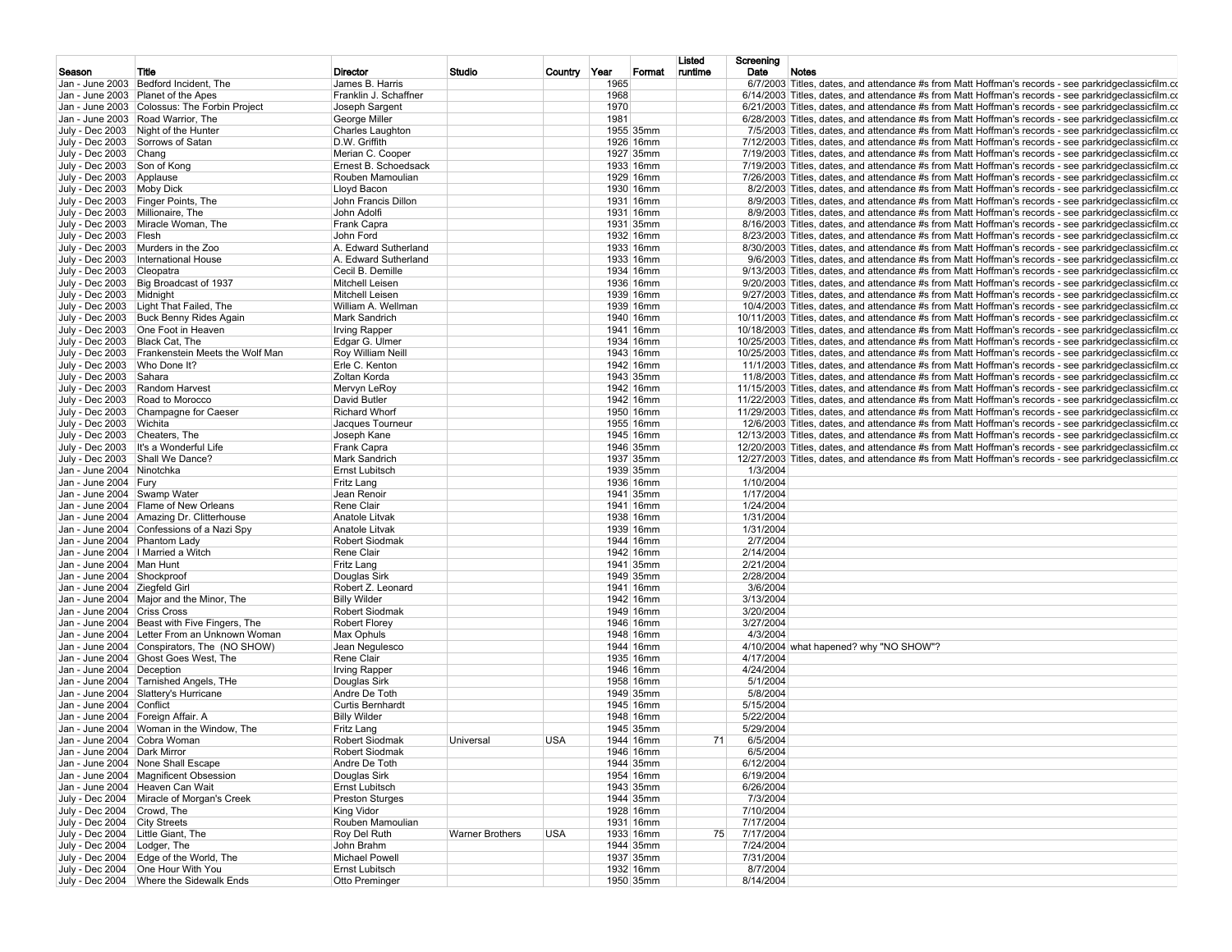|                                     |                                                 |                         |                        |              |      |           | Listed  | Screening |                                                                                                           |
|-------------------------------------|-------------------------------------------------|-------------------------|------------------------|--------------|------|-----------|---------|-----------|-----------------------------------------------------------------------------------------------------------|
| Season                              | Title                                           | Director                | Studio                 | Country Year |      | Format    | runtime | Date      | Notes                                                                                                     |
|                                     | Jan - June 2003   Bedford Incident, The         | James B. Harris         |                        |              | 1965 |           |         |           | $6/7/2003$ Titles, dates, and attendance #s from Matt Hoffman's records - see parkridgeclassicfilm.com    |
|                                     | Jan - June 2003 Planet of the Apes              | Franklin J. Schaffner   |                        |              | 1968 |           |         |           | $6/14/2003$ Titles, dates, and attendance #s from Matt Hoffman's records - see parkridge classicfilm.com  |
|                                     | Jan - June 2003 Colossus: The Forbin Project    | Joseph Sargent          |                        |              | 1970 |           |         |           | $6/21/2003$ Titles, dates, and attendance #s from Matt Hoffman's records - see parkridge classic film.com |
|                                     | Jan - June 2003 Road Warrior, The               | George Miller           |                        |              | 1981 |           |         |           | 6/28/2003 Titles, dates, and attendance #s from Matt Hoffman's records - see parkridgeclassicfilm.co      |
|                                     | July - Dec 2003 Night of the Hunter             | Charles Laughton        |                        |              |      | 1955 35mm |         |           | 7/5/2003 Titles, dates, and attendance #s from Matt Hoffman's records - see parkridgeclassicfilm.com      |
|                                     | July - Dec 2003 Sorrows of Satan                | D.W. Griffith           |                        |              |      | 1926 16mm |         |           | 7/12/2003 Titles, dates, and attendance #s from Matt Hoffman's records - see parkridgeclassicfilm.co      |
| July - Dec 2003 Chang               |                                                 | Merian C. Cooper        |                        |              |      | 1927 35mm |         |           | 7/19/2003 Titles, dates, and attendance #s from Matt Hoffman's records - see parkridgeclassicfilm.co      |
| July - Dec 2003 Son of Kong         |                                                 | Ernest B. Schoedsack    |                        |              |      | 1933 16mm |         |           | 7/19/2003 Titles, dates, and attendance #s from Matt Hoffman's records - see parkridgeclassicfilm.co      |
| July - Dec 2003 Applause            |                                                 | Rouben Mamoulian        |                        |              |      | 1929 16mm |         |           | 7/26/2003 Titles, dates, and attendance #s from Matt Hoffman's records - see parkridgeclassicfilm.co      |
| July - Dec 2003 Moby Dick           |                                                 | Lloyd Bacon             |                        |              |      | 1930 16mm |         |           | 8/2/2003 Titles, dates, and attendance #s from Matt Hoffman's records - see parkridgeclassicfilm.co       |
|                                     | July - Dec 2003 Finger Points, The              | John Francis Dillon     |                        |              |      | 1931 16mm |         |           | 8/9/2003 Titles, dates, and attendance #s from Matt Hoffman's records - see parkridgeclassicfilm.com      |
| July - Dec 2003 Millionaire, The    |                                                 | John Adolfi             |                        |              |      | 1931 16mm |         |           | 8/9/2003 Titles, dates, and attendance #s from Matt Hoffman's records - see parkridgeclassicfilm.com      |
|                                     | July - Dec 2003 Miracle Woman, The              |                         |                        |              |      | 1931 35mm |         |           | 8/16/2003 Titles, dates, and attendance #s from Matt Hoffman's records - see parkridgeclassicfilm.co      |
|                                     |                                                 | Frank Capra             |                        |              |      |           |         |           |                                                                                                           |
| July - Dec 2003 Flesh               |                                                 | John Ford               |                        |              |      | 1932 16mm |         |           | 8/23/2003 Titles, dates, and attendance #s from Matt Hoffman's records - see parkridgeclassicfilm.co      |
|                                     | July - Dec 2003 Murders in the Zoo              | A. Edward Sutherland    |                        |              |      | 1933 16mm |         |           | 8/30/2003 Titles, dates, and attendance #s from Matt Hoffman's records - see parkridgeclassicfilm.co      |
|                                     | July - Dec 2003   International House           | A. Edward Sutherland    |                        |              |      | 1933 16mm |         |           | 9/6/2003 Titles, dates, and attendance #s from Matt Hoffman's records - see parkridgeclassicfilm.com      |
| July - Dec 2003 Cleopatra           |                                                 | Cecil B. Demille        |                        |              |      | 1934 16mm |         |           | 9/13/2003 Titles, dates, and attendance #s from Matt Hoffman's records - see parkridgeclassicfilm.co      |
|                                     | July - Dec 2003 Big Broadcast of 1937           | Mitchell Leisen         |                        |              |      | 1936 16mm |         |           | 9/20/2003 Titles, dates, and attendance #s from Matt Hoffman's records - see parkridgeclassicfilm.co      |
| July - Dec 2003 Midnight            |                                                 | Mitchell Leisen         |                        |              |      | 1939 16mm |         |           | 9/27/2003 Titles, dates, and attendance #s from Matt Hoffman's records - see parkridgeclassicfilm.co      |
|                                     | July - Dec 2003   Light That Failed, The        | William A. Wellman      |                        |              |      | 1939 16mm |         |           | 10/4/2003 Titles, dates, and attendance #s from Matt Hoffman's records - see parkridgeclassicfilm.co      |
|                                     | July - Dec 2003 Buck Benny Rides Again          | <b>Mark Sandrich</b>    |                        |              |      | 1940 16mm |         |           | 10/11/2003 Titles, dates, and attendance #s from Matt Hoffman's records - see parkridgeclassicfilm.co     |
|                                     | July - Dec 2003 One Foot in Heaven              | <b>Irving Rapper</b>    |                        |              |      | 1941 16mm |         |           | 10/18/2003 Titles, dates, and attendance #s from Matt Hoffman's records - see parkridgeclassicfilm.co     |
|                                     |                                                 |                         |                        |              |      |           |         |           |                                                                                                           |
| July - Dec 2003 Black Cat, The      |                                                 | Edgar G. Ulmer          |                        |              |      | 1934 16mm |         |           | 10/25/2003 Titles, dates, and attendance #s from Matt Hoffman's records - see parkridgeclassicfilm.co     |
|                                     | July - Dec 2003 Frankenstein Meets the Wolf Man | Roy William Neill       |                        |              |      | 1943 16mm |         |           | 10/25/2003 Titles, dates, and attendance #s from Matt Hoffman's records - see parkridgeclassicfilm.co     |
| July - Dec 2003 Who Done It?        |                                                 | Erle C. Kenton          |                        |              |      | 1942 16mm |         |           | 11/1/2003 Titles, dates, and attendance #s from Matt Hoffman's records - see parkridgeclassicfilm.co      |
| July - Dec 2003 Sahara              |                                                 | Zoltan Korda            |                        |              |      | 1943 35mm |         |           | 11/8/2003 Titles, dates, and attendance #s from Matt Hoffman's records - see parkridgeclassicfilm.co      |
|                                     | July - Dec 2003 Random Harvest                  | Mervyn LeRoy            |                        |              |      | 1942 16mm |         |           | 11/15/2003 Titles, dates, and attendance #s from Matt Hoffman's records - see parkridgeclassicfilm.co     |
|                                     | July - Dec 2003 Road to Morocco                 | David Butler            |                        |              |      | 1942 16mm |         |           | 11/22/2003 Titles, dates, and attendance #s from Matt Hoffman's records - see parkridgeclassicfilm.co     |
| July - Dec 2003                     | Champagne for Caeser                            | <b>Richard Whorf</b>    |                        |              |      | 1950 16mm |         |           | 11/29/2003 Titles, dates, and attendance #s from Matt Hoffman's records - see parkridgeclassicfilm.co     |
| July - Dec 2003 Wichita             |                                                 | Jacques Tourneur        |                        |              |      | 1955 16mm |         |           | 12/6/2003 Titles, dates, and attendance #s from Matt Hoffman's records - see parkridgeclassicfilm.co      |
| July - Dec 2003 Cheaters, The       |                                                 | Joseph Kane             |                        |              |      | 1945 16mm |         |           | 12/13/2003 Titles, dates, and attendance #s from Matt Hoffman's records - see parkridgeclassicfilm.co     |
|                                     |                                                 |                         |                        |              |      |           |         |           |                                                                                                           |
|                                     | July - Dec 2003   It's a Wonderful Life         | Frank Capra             |                        |              |      | 1946 35mm |         |           | 12/20/2003 Titles, dates, and attendance #s from Matt Hoffman's records - see parkridgeclassicfilm.co     |
|                                     | July - Dec 2003 Shall We Dance?                 | <b>Mark Sandrich</b>    |                        |              |      | 1937 35mm |         |           | 12/27/2003 Titles, dates, and attendance #s from Matt Hoffman's records - see parkridgeclassicfilm.co     |
| Jan - June 2004 Ninotchka           |                                                 | <b>Ernst Lubitsch</b>   |                        |              |      | 1939 35mm |         | 1/3/2004  |                                                                                                           |
| Jan - June 2004 Fury                |                                                 | Fritz Lang              |                        |              |      | 1936 16mm |         | 1/10/2004 |                                                                                                           |
| Jan - June 2004 Swamp Water         |                                                 | Jean Renoir             |                        |              |      | 1941 35mm |         | 1/17/2004 |                                                                                                           |
|                                     | Jan - June 2004 Flame of New Orleans            | Rene Clair              |                        |              |      | 1941 16mm |         | 1/24/2004 |                                                                                                           |
|                                     | Jan - June 2004 Amazing Dr. Clitterhouse        | Anatole Litvak          |                        |              |      | 1938 16mm |         | 1/31/2004 |                                                                                                           |
|                                     | Jan - June 2004 Confessions of a Nazi Spy       | Anatole Litvak          |                        |              |      | 1939 16mm |         | 1/31/2004 |                                                                                                           |
| Jan - June 2004 Phantom Lady        |                                                 | <b>Robert Siodmak</b>   |                        |              |      | 1944 16mm |         | 2/7/2004  |                                                                                                           |
|                                     |                                                 |                         |                        |              |      | 1942 16mm |         |           |                                                                                                           |
|                                     | Jan - June 2004   Married a Witch               | Rene Clair              |                        |              |      |           |         | 2/14/2004 |                                                                                                           |
| Jan - June 2004   Man Hunt          |                                                 | Fritz Lang              |                        |              |      | 1941 35mm |         | 2/21/2004 |                                                                                                           |
| Jan - June 2004 Shockproof          |                                                 | Douglas Sirk            |                        |              |      | 1949 35mm |         | 2/28/2004 |                                                                                                           |
| Jan - June 2004 Ziegfeld Girl       |                                                 | Robert Z. Leonard       |                        |              |      | 1941 16mm |         | 3/6/2004  |                                                                                                           |
|                                     | Jan - June 2004 Major and the Minor, The        | <b>Billy Wilder</b>     |                        |              |      | 1942 16mm |         | 3/13/2004 |                                                                                                           |
| Jan - June 2004 Criss Cross         |                                                 | <b>Robert Siodmak</b>   |                        |              |      | 1949 16mm |         | 3/20/2004 |                                                                                                           |
|                                     | Jan - June 2004 Beast with Five Fingers, The    | <b>Robert Florey</b>    |                        |              |      | 1946 16mm |         | 3/27/2004 |                                                                                                           |
|                                     | Jan - June 2004 Letter From an Unknown Woman    | Max Ophuls              |                        |              |      | 1948 16mm |         | 4/3/2004  |                                                                                                           |
|                                     | Jan - June 2004 Conspirators, The (NO SHOW)     | Jean Negulesco          |                        |              |      | 1944 16mm |         |           | 4/10/2004 what hapened? why "NO SHOW"?                                                                    |
|                                     |                                                 |                         |                        |              |      |           |         |           |                                                                                                           |
|                                     | Jan - June 2004 Ghost Goes West, The            | Rene Clair              |                        |              |      | 1935 16mm |         | 4/17/2004 |                                                                                                           |
| Jan - June 2004 Deception           |                                                 | <b>Irving Rapper</b>    |                        |              |      | 1946 16mm |         | 4/24/2004 |                                                                                                           |
|                                     | Jan - June 2004 Tarnished Angels, THe           | Douglas Sirk            |                        |              |      | 1958 16mm |         | 5/1/2004  |                                                                                                           |
|                                     | Jan - June 2004 Slattery's Hurricane            | Andre De Toth           |                        |              |      | 1949 35mm |         | 5/8/2004  |                                                                                                           |
| Jan - June 2004 Conflict            |                                                 | <b>Curtis Bernhardt</b> |                        |              |      | 1945 16mm |         | 5/15/2004 |                                                                                                           |
|                                     | Jan - June 2004 Foreign Affair. A               | <b>Billy Wilder</b>     |                        |              |      | 1948 16mm |         | 5/22/2004 |                                                                                                           |
|                                     | Jan - June 2004   Woman in the Window, The      | Fritz Lang              |                        |              |      | 1945 35mm |         | 5/29/2004 |                                                                                                           |
| Jan - June 2004 Cobra Woman         |                                                 | <b>Robert Siodmak</b>   | Universal              | <b>USA</b>   |      | 1944 16mm | 71      | 6/5/2004  |                                                                                                           |
| Jan - June 2004 Dark Mirror         |                                                 | <b>Robert Siodmak</b>   |                        |              |      | 1946 16mm |         | 6/5/2004  |                                                                                                           |
|                                     |                                                 |                         |                        |              |      |           |         |           |                                                                                                           |
|                                     | Jan - June 2004 None Shall Escape               | Andre De Toth           |                        |              |      | 1944 35mm |         | 6/12/2004 |                                                                                                           |
|                                     | Jan - June 2004   Magnificent Obsession         | Douglas Sirk            |                        |              |      | 1954 16mm |         | 6/19/2004 |                                                                                                           |
|                                     | Jan - June 2004 Heaven Can Wait                 | Ernst Lubitsch          |                        |              |      | 1943 35mm |         | 6/26/2004 |                                                                                                           |
|                                     | July - Dec 2004 Miracle of Morgan's Creek       | <b>Preston Sturges</b>  |                        |              |      | 1944 35mm |         | 7/3/2004  |                                                                                                           |
| July - Dec 2004 Crowd, The          |                                                 | King Vidor              |                        |              |      | 1928 16mm |         | 7/10/2004 |                                                                                                           |
| July - Dec 2004 City Streets        |                                                 | Rouben Mamoulian        |                        |              |      | 1931 16mm |         | 7/17/2004 |                                                                                                           |
| July - Dec 2004   Little Giant, The |                                                 | Roy Del Ruth            | <b>Warner Brothers</b> | <b>USA</b>   |      | 1933 16mm | 75      | 7/17/2004 |                                                                                                           |
|                                     |                                                 |                         |                        |              |      |           |         | 7/24/2004 |                                                                                                           |
| July - Dec 2004   Lodger, The       |                                                 | John Brahm              |                        |              |      | 1944 35mm |         |           |                                                                                                           |
|                                     | July - Dec 2004 Edge of the World, The          | <b>Michael Powell</b>   |                        |              |      | 1937 35mm |         | 7/31/2004 |                                                                                                           |
|                                     | July - Dec 2004 One Hour With You               | Ernst Lubitsch          |                        |              |      | 1932 16mm |         | 8/7/2004  |                                                                                                           |
|                                     | July - Dec 2004   Where the Sidewalk Ends       | Otto Preminger          |                        |              |      | 1950 35mm |         | 8/14/2004 |                                                                                                           |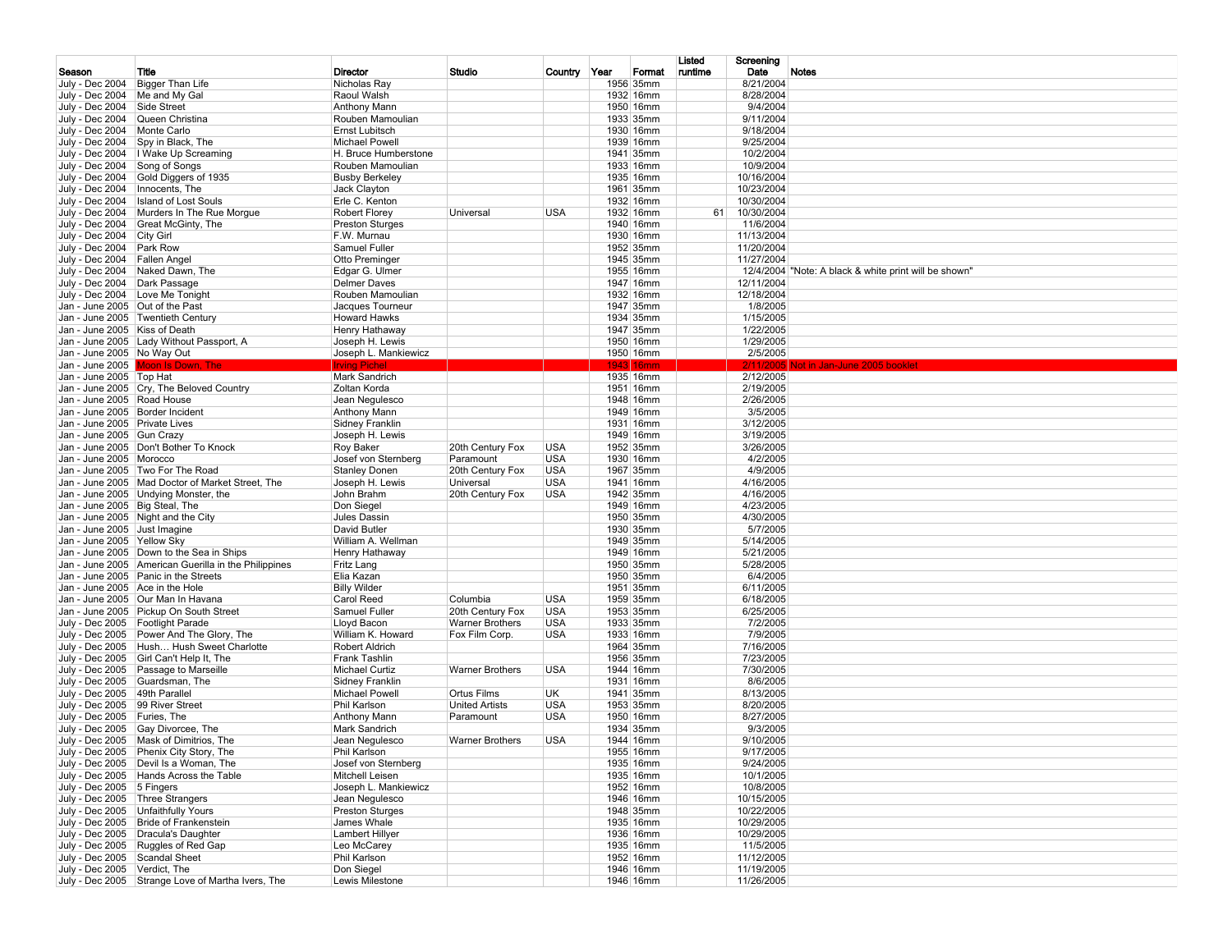|                                 |                                                                                   |                                         |                        |              |      |                        | Listed  | Screening              |                                                       |
|---------------------------------|-----------------------------------------------------------------------------------|-----------------------------------------|------------------------|--------------|------|------------------------|---------|------------------------|-------------------------------------------------------|
| Season                          | Title                                                                             | Director                                | Studio                 | Country Year |      | Format                 | runtime | Date                   | Notes                                                 |
| July - Dec 2004                 | Bigger Than Life                                                                  | Nicholas Ray                            |                        |              |      | 1956 35mm              |         | 8/21/2004              |                                                       |
| July - Dec 2004   Me and My Gal |                                                                                   | Raoul Walsh                             |                        |              |      | 1932 16mm              |         | 8/28/2004              |                                                       |
| July - Dec 2004                 | Side Street                                                                       | Anthony Mann                            |                        |              |      | 1950 16mm              |         | 9/4/2004               |                                                       |
|                                 | July - Dec 2004 Queen Christina                                                   | Rouben Mamoulian                        |                        |              |      | 1933 35mm              |         | 9/11/2004              |                                                       |
| July - Dec 2004                 | Monte Carlo<br>July - Dec 2004 Spy in Black, The                                  | Ernst Lubitsch<br><b>Michael Powell</b> |                        |              |      | 1930 16mm<br>1939 16mm |         | 9/18/2004<br>9/25/2004 |                                                       |
|                                 | July - Dec 2004   Wake Up Screaming                                               | H. Bruce Humberstone                    |                        |              |      | 1941 35mm              |         | 10/2/2004              |                                                       |
| July - Dec 2004 Song of Songs   |                                                                                   | Rouben Mamoulian                        |                        |              |      | 1933 16mm              |         | 10/9/2004              |                                                       |
| July - Dec 2004                 | Gold Diggers of 1935                                                              | <b>Busby Berkeley</b>                   |                        |              |      | 1935 16mm              |         | 10/16/2004             |                                                       |
| July - Dec 2004                 | Innocents, The                                                                    | Jack Clayton                            |                        |              |      | 1961 35mm              |         | 10/23/2004             |                                                       |
| July - Dec 2004                 | <b>Island of Lost Souls</b>                                                       | Erle C. Kenton                          |                        |              |      | 1932 16mm              |         | 10/30/2004             |                                                       |
| July - Dec 2004                 | Murders In The Rue Morgue                                                         | Robert Florey                           | Universal              | <b>USA</b>   |      | 1932 16mm              | 61      | 10/30/2004             |                                                       |
| July - Dec 2004                 | Great McGinty, The                                                                | <b>Preston Sturges</b>                  |                        |              |      | 1940 16mm              |         | 11/6/2004              |                                                       |
| July - Dec 2004 City Girl       |                                                                                   | F.W. Murnau                             |                        |              |      | 1930 16mm              |         | 11/13/2004             |                                                       |
| July - Dec 2004 Park Row        |                                                                                   | Samuel Fuller                           |                        |              |      | 1952 35mm              |         | 11/20/2004             |                                                       |
| July - Dec 2004 Fallen Angel    |                                                                                   | Otto Preminger                          |                        |              |      | 1945 35mm              |         | 11/27/2004             |                                                       |
|                                 | July - Dec 2004 Naked Dawn, The                                                   | Edgar G. Ulmer                          |                        |              |      | 1955 16mm              |         |                        | 12/4/2004 "Note: A black & white print will be shown" |
| July - Dec 2004  Dark Passage   |                                                                                   | Delmer Daves                            |                        |              |      | 1947 16mm              |         | 12/11/2004             |                                                       |
|                                 | July - Dec 2004   Love Me Tonight                                                 | Rouben Mamoulian                        |                        |              |      | 1932 16mm              |         | 12/18/2004             |                                                       |
| Jan - June 2005 Out of the Past |                                                                                   | Jacques Tourneur                        |                        |              |      | 1947 35mm              |         | 1/8/2005               |                                                       |
|                                 | Jan - June 2005 Twentieth Century                                                 | <b>Howard Hawks</b>                     |                        |              |      | 1934 35mm              |         | 1/15/2005              |                                                       |
| Jan - June 2005   Kiss of Death |                                                                                   | Henry Hathaway                          |                        |              |      | 1947 35mm              |         | 1/22/2005              |                                                       |
|                                 | Jan - June 2005   Lady Without Passport, A                                        | Joseph H. Lewis<br>Joseph L. Mankiewicz |                        |              |      | 1950 16mm<br>1950 16mm |         | 1/29/2005<br>2/5/2005  |                                                       |
| Jan - June 2005 No Way Out      | Jan - June 2005 Moon Is Down, The                                                 | Irvina Pichel                           |                        |              | 1943 |                        |         | 2/11                   | pt in Jan-June 2005 bookk                             |
| Jan - June 2005   Top Hat       |                                                                                   | Mark Sandrich                           |                        |              |      | 1935 16mm              |         | 2/12/2005              |                                                       |
|                                 | Jan - June 2005 Cry, The Beloved Country                                          | Zoltan Korda                            |                        |              |      | 1951 16mm              |         | 2/19/2005              |                                                       |
| Jan - June 2005 Road House      |                                                                                   | Jean Negulesco                          |                        |              |      | 1948 16mm              |         | 2/26/2005              |                                                       |
| Jan - June 2005 Border Incident |                                                                                   | Anthony Mann                            |                        |              |      | 1949 16mm              |         | 3/5/2005               |                                                       |
| Jan - June 2005 Private Lives   |                                                                                   | Sidney Franklin                         |                        |              |      | 1931 16mm              |         | 3/12/2005              |                                                       |
| Jan - June 2005 Gun Crazy       |                                                                                   | Joseph H. Lewis                         |                        |              |      | 1949 16mm              |         | 3/19/2005              |                                                       |
|                                 | Jan - June 2005   Don't Bother To Knock                                           | Roy Baker                               | 20th Century Fox       | <b>USA</b>   |      | 1952 35mm              |         | 3/26/2005              |                                                       |
| Jan - June 2005   Morocco       |                                                                                   | Josef von Sternberg                     | Paramount              | <b>USA</b>   |      | 1930 16mm              |         | 4/2/2005               |                                                       |
|                                 | Jan - June 2005 Two For The Road                                                  | <b>Stanley Donen</b>                    | 20th Century Fox       | <b>USA</b>   |      | 1967 35mm              |         | 4/9/2005               |                                                       |
|                                 | Jan - June 2005   Mad Doctor of Market Street, The                                | Joseph H. Lewis                         | Universal              | <b>USA</b>   |      | 1941 16mm              |         | 4/16/2005              |                                                       |
|                                 | Jan - June 2005   Undying Monster, the                                            | John Brahm                              | 20th Century Fox       | <b>USA</b>   |      | 1942 35mm              |         | 4/16/2005              |                                                       |
| Jan - June 2005 Big Steal, The  |                                                                                   | Don Siegel                              |                        |              |      | 1949 16mm              |         | 4/23/2005              |                                                       |
|                                 | Jan - June 2005 Night and the City                                                | Jules Dassin                            |                        |              |      | 1950 35mm              |         | 4/30/2005              |                                                       |
| Jan - June 2005 Just Imagine    |                                                                                   | David Butler                            |                        |              |      | 1930 35mm<br>1949 35mm |         | 5/7/2005               |                                                       |
| Jan - June 2005 Yellow Sky      | Jan - June 2005 Down to the Sea in Ships                                          | William A. Wellman<br>Henry Hathaway    |                        |              |      | 1949 16mm              |         | 5/14/2005<br>5/21/2005 |                                                       |
|                                 | Jan - June 2005 American Guerilla in the Philippines                              | Fritz Lang                              |                        |              |      | 1950 35mm              |         | 5/28/2005              |                                                       |
|                                 | Jan - June 2005 Panic in the Streets                                              | Elia Kazan                              |                        |              |      | 1950 35mm              |         | 6/4/2005               |                                                       |
| Jan - June 2005 Ace in the Hole |                                                                                   | <b>Billy Wilder</b>                     |                        |              |      | 1951 35mm              |         | 6/11/2005              |                                                       |
|                                 | Jan - June 2005   Our Man In Havana                                               | Carol Reed                              | Columbia               | <b>USA</b>   |      | 1959 35mm              |         | 6/18/2005              |                                                       |
|                                 | Jan - June 2005   Pickup On South Street                                          | Samuel Fuller                           | 20th Century Fox       | <b>USA</b>   |      | 1953 35mm              |         | 6/25/2005              |                                                       |
|                                 | July - Dec 2005 Footlight Parade                                                  | Lloyd Bacon                             | <b>Warner Brothers</b> | <b>USA</b>   |      | 1933 35mm              |         | 7/2/2005               |                                                       |
|                                 | July - Dec 2005 Power And The Glory, The                                          | William K. Howard                       | Fox Film Corp.         | USA          |      | 1933 16mm              |         | 7/9/2005               |                                                       |
|                                 | July - Dec 2005   Hush Hush Sweet Charlotte                                       | Robert Aldrich                          |                        |              |      | 1964 35mm              |         | 7/16/2005              |                                                       |
|                                 | July - Dec 2005 Girl Can't Help It, The                                           | Frank Tashlin                           |                        |              |      | 1956 35mm              |         | 7/23/2005              |                                                       |
|                                 | July - Dec 2005   Passage to Marseille                                            | Michael Curtiz                          | Warner Brothers        | <b>USA</b>   |      | 1944 16mm              |         | 7/30/2005              |                                                       |
|                                 | July - Dec 2005 Guardsman, The                                                    | <b>Sidney Franklin</b>                  |                        |              |      | 1931 16mm              |         | 8/6/2005               |                                                       |
| July - Dec 2005 49th Parallel   |                                                                                   | Michael Powell                          | Ortus Films            | UK           |      | 1941 35mm              |         | 8/13/2005              |                                                       |
| July - Dec 2005 99 River Street |                                                                                   | Phil Karlson                            | <b>United Artists</b>  | <b>USA</b>   |      | 1953 35mm              |         | 8/20/2005              |                                                       |
| July - Dec 2005 Furies, The     |                                                                                   | Anthony Mann                            | Paramount              | <b>USA</b>   |      | 1950 16mm              |         | 8/27/2005              |                                                       |
|                                 | July - Dec 2005 Gay Divorcee, The                                                 | Mark Sandrich                           |                        |              |      | 1934 35mm              |         | 9/3/2005               |                                                       |
|                                 | July - Dec 2005   Mask of Dimitrios, The                                          | Jean Negulesco                          | <b>Warner Brothers</b> | <b>USA</b>   |      | 1944 16mm              |         | 9/10/2005              |                                                       |
|                                 | July - Dec 2005 Phenix City Story, The<br>July - Dec 2005   Devil Is a Woman, The | Phil Karlson<br>Josef von Sternberg     |                        |              |      | 1955 16mm<br>1935 16mm |         | 9/17/2005<br>9/24/2005 |                                                       |
|                                 | July - Dec 2005   Hands Across the Table                                          | Mitchell Leisen                         |                        |              |      | 1935 16mm              |         | 10/1/2005              |                                                       |
| July - Dec 2005 5 Fingers       |                                                                                   | Joseph L. Mankiewicz                    |                        |              |      | 1952 16mm              |         | 10/8/2005              |                                                       |
|                                 | July - Dec 2005 Three Strangers                                                   | Jean Negulesco                          |                        |              |      | 1946 16mm              |         | 10/15/2005             |                                                       |
|                                 | July - Dec 2005   Unfaithfully Yours                                              | <b>Preston Sturges</b>                  |                        |              |      | 1948 35mm              |         | 10/22/2005             |                                                       |
|                                 | July - Dec 2005 Bride of Frankenstein                                             | James Whale                             |                        |              |      | 1935 16mm              |         | 10/29/2005             |                                                       |
|                                 | July - Dec 2005   Dracula's Daughter                                              | Lambert Hillyer                         |                        |              |      | 1936 16mm              |         | 10/29/2005             |                                                       |
|                                 | July - Dec 2005 Ruggles of Red Gap                                                | Leo McCarey                             |                        |              |      | 1935 16mm              |         | 11/5/2005              |                                                       |
| July - Dec 2005 Scandal Sheet   |                                                                                   | Phil Karlson                            |                        |              |      | 1952 16mm              |         | 11/12/2005             |                                                       |
| July - Dec 2005 Verdict, The    |                                                                                   | Don Siegel                              |                        |              |      | 1946 16mm              |         | 11/19/2005             |                                                       |
|                                 | July - Dec 2005 Strange Love of Martha Ivers, The                                 | Lewis Milestone                         |                        |              |      | 1946 16mm              |         | 11/26/2005             |                                                       |
|                                 |                                                                                   |                                         |                        |              |      |                        |         |                        |                                                       |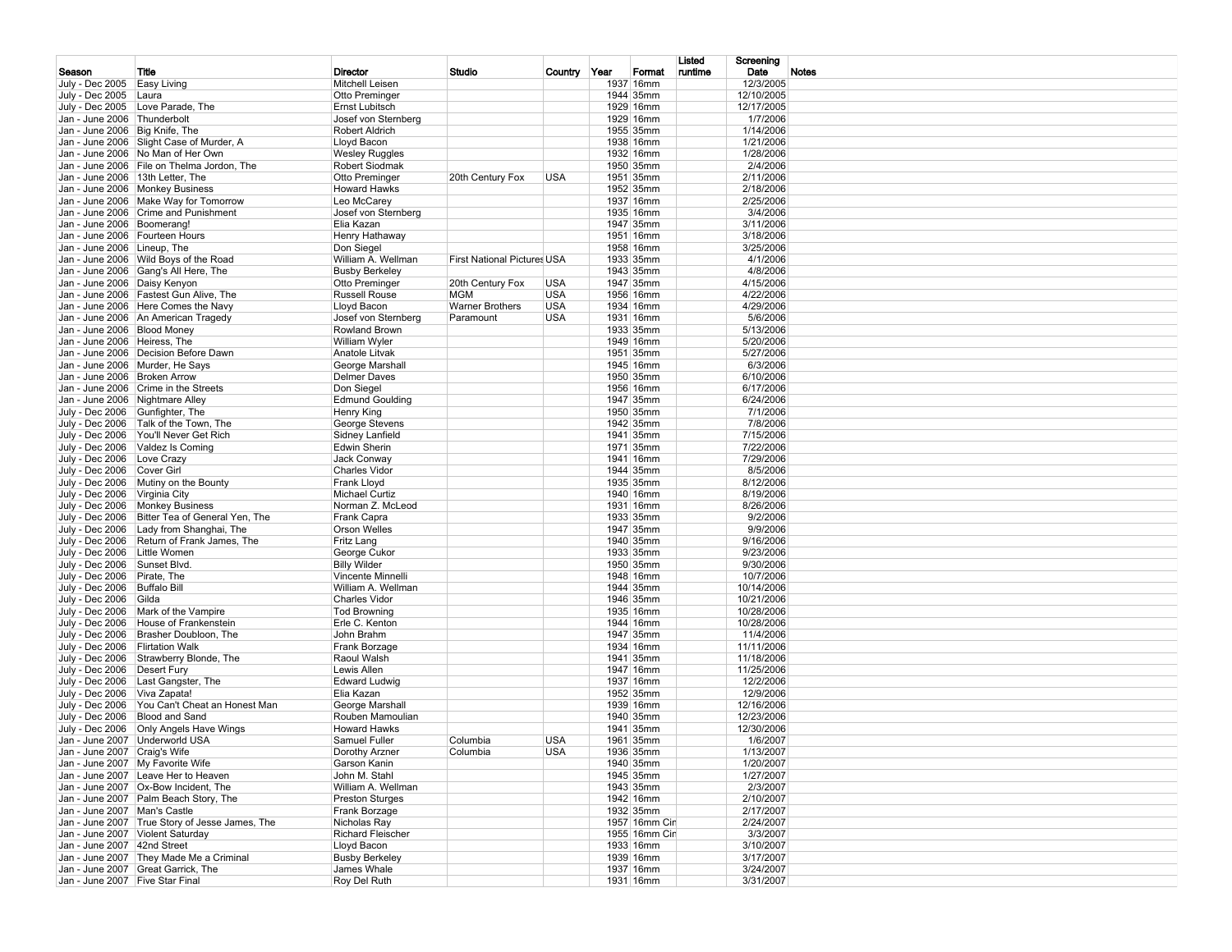|                                                                  |                                                |                              |                                    |              |                        | Listed  | Screening               |       |
|------------------------------------------------------------------|------------------------------------------------|------------------------------|------------------------------------|--------------|------------------------|---------|-------------------------|-------|
| Season                                                           | Title                                          | Director                     | Studio                             | Country Year | Format                 | runtime | Date                    | Notes |
| July - Dec 2005 Easy Living                                      |                                                | Mitchell Leisen              |                                    |              | 1937 16mm              |         | 12/3/2005               |       |
| July - Dec 2005 Laura                                            |                                                | Otto Preminger               |                                    |              | 1944 35mm              |         | 12/10/2005              |       |
|                                                                  | July - Dec 2005 Love Parade, The               | Ernst Lubitsch               |                                    |              | 1929 16mm              |         | 12/17/2005              |       |
| Jan - June 2006 Thunderbolt                                      |                                                | Josef von Sternberg          |                                    |              | 1929 16mm              |         | 1/7/2006                |       |
| Jan - June 2006 Big Knife, The                                   |                                                | Robert Aldrich               |                                    |              | 1955 35mm              |         | 1/14/2006               |       |
|                                                                  | Jan - June 2006 Slight Case of Murder, A       | Lloyd Bacon                  |                                    |              | 1938 16mm              |         | 1/21/2006               |       |
|                                                                  | Jan - June 2006 No Man of Her Own              | <b>Wesley Ruggles</b>        |                                    |              | 1932 16mm              |         | 1/28/2006               |       |
|                                                                  | Jan - June 2006 File on Thelma Jordon, The     | Robert Siodmak               |                                    |              | 1950 35mm              |         | 2/4/2006                |       |
| Jan - June 2006   13th Letter, The                               |                                                | Otto Preminger               | 20th Century Fox                   | USA          | 1951 35mm              |         | 2/11/2006               |       |
|                                                                  | Jan - June 2006 Monkey Business                | <b>Howard Hawks</b>          |                                    |              | 1952 35mm              |         | 2/18/2006               |       |
|                                                                  | Jan - June 2006   Make Way for Tomorrow        | Leo McCarey                  |                                    |              | 1937 16mm              |         | 2/25/2006               |       |
|                                                                  | Jan - June 2006 Crime and Punishment           | Josef von Sternberg          |                                    |              | 1935 16mm              |         | 3/4/2006                |       |
| Jan - June 2006   Boomerang!<br>Jan - June 2006   Fourteen Hours |                                                | Elia Kazan                   |                                    |              | 1947 35mm<br>1951 16mm |         | 3/11/2006<br>3/18/2006  |       |
| Jan - June 2006 Lineup, The                                      |                                                | Henry Hathaway<br>Don Siegel |                                    |              | 1958 16mm              |         | 3/25/2006               |       |
|                                                                  | Jan - June 2006 Wild Boys of the Road          | William A. Wellman           | <b>First National Pictures USA</b> |              | 1933 35mm              |         | 4/1/2006                |       |
|                                                                  | Jan - June 2006 Gang's All Here, The           | <b>Busby Berkeley</b>        |                                    |              | 1943 35mm              |         | 4/8/2006                |       |
| Jan - June 2006 Daisy Kenyon                                     |                                                | Otto Preminger               | 20th Century Fox                   | <b>USA</b>   | 1947 35mm              |         | 4/15/2006               |       |
|                                                                  | Jan - June 2006 Fastest Gun Alive, The         | <b>Russell Rouse</b>         | <b>MGM</b>                         | <b>USA</b>   | 1956 16mm              |         | 4/22/2006               |       |
|                                                                  | Jan - June 2006   Here Comes the Navy          | Lloyd Bacon                  | <b>Warner Brothers</b>             | <b>USA</b>   | 1934 16mm              |         | 4/29/2006               |       |
|                                                                  | Jan - June 2006 An American Tragedy            | Josef von Sternberg          | Paramount                          | USA          | 1931 16mm              |         | 5/6/2006                |       |
| Jan - June 2006 Blood Money                                      |                                                | Rowland Brown                |                                    |              | 1933 35mm              |         | 5/13/2006               |       |
| Jan - June 2006 Heiress, The                                     |                                                | William Wyler                |                                    |              | 1949 16mm              |         | 5/20/2006               |       |
|                                                                  | Jan - June 2006 Decision Before Dawn           | Anatole Litvak               |                                    |              | 1951 35mm              |         | 5/27/2006               |       |
|                                                                  | Jan - June 2006 Murder, He Says                | George Marshall              |                                    |              | 1945 16mm              |         | 6/3/2006                |       |
| Jan - June 2006 Broken Arrow                                     |                                                | Delmer Daves                 |                                    |              | 1950 35mm              |         | 6/10/2006               |       |
|                                                                  | Jan - June 2006 Crime in the Streets           | Don Siegel                   |                                    |              | 1956 16mm              |         | 6/17/2006               |       |
| Jan - June 2006 Nightmare Alley                                  |                                                | <b>Edmund Goulding</b>       |                                    |              | 1947 35mm              |         | 6/24/2006               |       |
| July - Dec 2006 Gunfighter, The                                  |                                                | Henry King                   |                                    |              | 1950 35mm              |         | 7/1/2006                |       |
|                                                                  | July - Dec 2006 Talk of the Town, The          | George Stevens               |                                    |              | 1942 35mm              |         | 7/8/2006                |       |
|                                                                  | July - Dec 2006 You'll Never Get Rich          | Sidney Lanfield              |                                    |              | 1941 35mm              |         | 7/15/2006               |       |
|                                                                  | July - Dec 2006   Valdez Is Coming             | Edwin Sherin                 |                                    |              | 1971 35mm              |         | 7/22/2006               |       |
| July - Dec 2006   Love Crazy                                     |                                                | Jack Conway                  |                                    |              | 1941 16mm              |         | 7/29/2006               |       |
| July - Dec 2006 Cover Girl                                       |                                                | <b>Charles Vidor</b>         |                                    |              | 1944 35mm              |         | 8/5/2006                |       |
|                                                                  | July - Dec 2006   Mutiny on the Bounty         | Frank Lloyd                  |                                    |              | 1935 35mm              |         | 8/12/2006               |       |
| July - Dec 2006 Virginia City                                    |                                                | <b>Michael Curtiz</b>        |                                    |              | 1940 16mm              |         | 8/19/2006               |       |
|                                                                  | July - Dec 2006 Monkey Business                | Norman Z. McLeod             |                                    |              | 1931 16mm              |         | 8/26/2006               |       |
|                                                                  | July - Dec 2006 Bitter Tea of General Yen, The | Frank Capra                  |                                    |              | 1933 35mm              |         | 9/2/2006                |       |
|                                                                  | July - Dec 2006 Lady from Shanghai, The        | Orson Welles                 |                                    |              | 1947 35mm              |         | 9/9/2006                |       |
|                                                                  | July - Dec 2006 Return of Frank James, The     | Fritz Lang                   |                                    |              | 1940 35mm              |         | 9/16/2006               |       |
| July - Dec 2006 Little Women                                     |                                                | George Cukor                 |                                    |              | 1933 35mm              |         | 9/23/2006               |       |
| July - Dec 2006 Sunset Blvd.                                     |                                                | <b>Billy Wilder</b>          |                                    |              | 1950 35mm              |         | 9/30/2006               |       |
| July - Dec 2006 Pirate, The                                      |                                                | Vincente Minnelli            |                                    |              | 1948 16mm              |         | 10/7/2006               |       |
| July - Dec 2006 Buffalo Bill                                     |                                                | William A. Wellman           |                                    |              | 1944 35mm              |         | 10/14/2006              |       |
| July - Dec 2006 Gilda                                            |                                                | <b>Charles Vidor</b>         |                                    |              | 1946 35mm              |         | 10/21/2006              |       |
|                                                                  | July - Dec 2006   Mark of the Vampire          | <b>Tod Browning</b>          |                                    |              | 1935 16mm              |         | 10/28/2006              |       |
|                                                                  | July - Dec 2006   House of Frankenstein        | Erle C. Kenton               |                                    |              | 1944 16mm<br>1947 35mm |         | 10/28/2006<br>11/4/2006 |       |
| July - Dec 2006 Flirtation Walk                                  | July - Dec 2006 Brasher Doubloon, The          | John Brahm<br>Frank Borzage  |                                    |              | 1934 16mm              |         | 11/11/2006              |       |
|                                                                  | July - Dec 2006 Strawberry Blonde, The         | Raoul Walsh                  |                                    |              | 1941 35mm              |         | 11/18/2006              |       |
| July - Dec 2006 Desert Fury                                      |                                                | Lewis Allen                  |                                    |              | 1947 16mm              |         | 11/25/2006              |       |
|                                                                  | July - Dec 2006   Last Gangster, The           | <b>Edward Ludwig</b>         |                                    |              | 1937 16mm              |         | 12/2/2006               |       |
| July - Dec 2006 Viva Zapata!                                     |                                                | Elia Kazan                   |                                    |              | 1952 35mm              |         | 12/9/2006               |       |
|                                                                  | July - Dec 2006 You Can't Cheat an Honest Man  | George Marshall              |                                    |              | 1939 16mm              |         | 12/16/2006              |       |
| July - Dec 2006   Blood and Sand                                 |                                                | Rouben Mamoulian             |                                    |              | 1940 35mm              |         | 12/23/2006              |       |
|                                                                  | July - Dec 2006 Only Angels Have Wings         | <b>Howard Hawks</b>          |                                    |              | 1941 35mm              |         | 12/30/2006              |       |
|                                                                  | Jan - June 2007 Underworld USA                 | Samuel Fuller                | Columbia                           | <b>USA</b>   | 1961 35mm              |         | 1/6/2007                |       |
| Jan - June 2007 Craig's Wife                                     |                                                | Dorothy Arzner               | Columbia                           | <b>USA</b>   | 1936 35mm              |         | 1/13/2007               |       |
|                                                                  | Jan - June 2007 My Favorite Wife               | Garson Kanin                 |                                    |              | 1940 35mm              |         | 1/20/2007               |       |
|                                                                  | Jan - June 2007   Leave Her to Heaven          | John M. Stahl                |                                    |              | 1945 35mm              |         | 1/27/2007               |       |
|                                                                  | Jan - June 2007   Ox-Bow Incident, The         | William A. Wellman           |                                    |              | 1943 35mm              |         | 2/3/2007                |       |
|                                                                  | Jan - June 2007 Palm Beach Story, The          | <b>Preston Sturges</b>       |                                    |              | 1942 16mm              |         | 2/10/2007               |       |
| Jan - June 2007   Man's Castle                                   |                                                | Frank Borzage                |                                    |              | 1932 35mm              |         | 2/17/2007               |       |
|                                                                  | Jan - June 2007 True Story of Jesse James, The | Nicholas Ray                 |                                    |              | 1957 16mm Cin          |         | 2/24/2007               |       |
|                                                                  | Jan - June 2007 Violent Saturday               | Richard Fleischer            |                                    |              | 1955 16mm Cin          |         | 3/3/2007                |       |
| Jan - June 2007 42nd Street                                      |                                                | Lloyd Bacon                  |                                    |              | 1933 16mm              |         | 3/10/2007               |       |
|                                                                  | Jan - June 2007 They Made Me a Criminal        | <b>Busby Berkeley</b>        |                                    |              | 1939 16mm              |         | 3/17/2007               |       |
|                                                                  | Jan - June 2007 Great Garrick, The             | James Whale                  |                                    |              | 1937 16mm              |         | 3/24/2007               |       |
| Jan - June 2007 Five Star Final                                  |                                                | Roy Del Ruth                 |                                    |              | 1931 16mm              |         | 3/31/2007               |       |
|                                                                  |                                                |                              |                                    |              |                        |         |                         |       |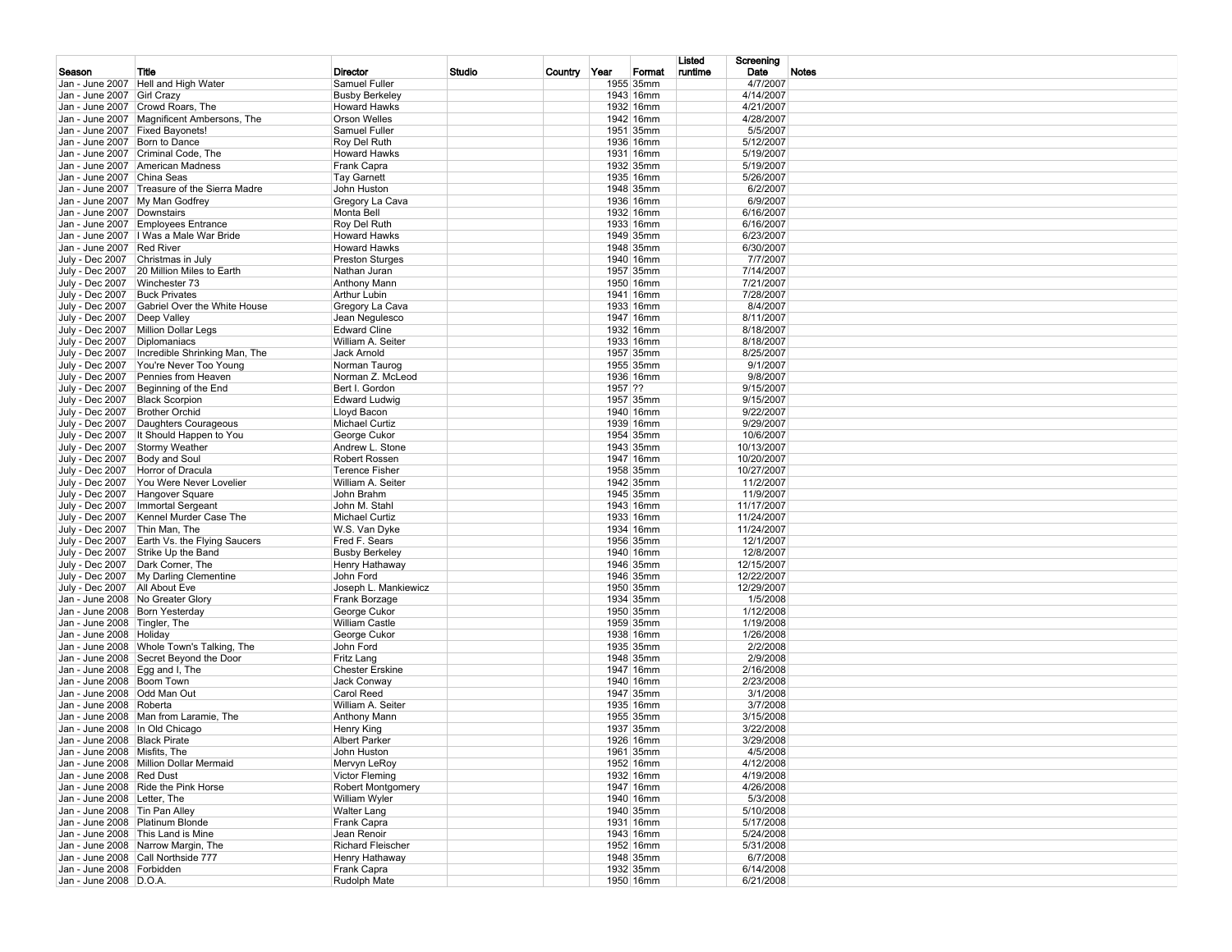|                                  |                                                                                |                                            |        |              |                        | Listed  | Screening                |       |
|----------------------------------|--------------------------------------------------------------------------------|--------------------------------------------|--------|--------------|------------------------|---------|--------------------------|-------|
| Season                           | Title                                                                          | Director                                   | Studio | Country Year | Format                 | runtime | Date                     | Notes |
|                                  | Jan - June 2007 Hell and High Water                                            | Samuel Fuller                              |        |              | 1955 35mm              |         | 4/7/2007                 |       |
| Jan - June 2007 Girl Crazy       |                                                                                | <b>Busby Berkeley</b>                      |        |              | 1943 16mm              |         | 4/14/2007                |       |
|                                  | Jan - June 2007 Crowd Roars, The<br>Jan - June 2007 Magnificent Ambersons, The | <b>Howard Hawks</b><br>Orson Welles        |        |              | 1932 16mm<br>1942 16mm |         | 4/21/2007<br>4/28/2007   |       |
|                                  | Jan - June 2007 Fixed Bayonets!                                                | Samuel Fuller                              |        |              | 1951 35mm              |         | 5/5/2007                 |       |
| Jan - June 2007 Born to Dance    |                                                                                | Roy Del Ruth                               |        |              | 1936 16mm              |         | 5/12/2007                |       |
|                                  | Jan - June 2007 Criminal Code, The                                             | <b>Howard Hawks</b>                        |        |              | 1931 16mm              |         | 5/19/2007                |       |
|                                  | Jan - June 2007 American Madness                                               | Frank Capra                                |        |              | 1932 35mm              |         | 5/19/2007                |       |
| Jan - June 2007 China Seas       |                                                                                | <b>Tay Garnett</b>                         |        |              | 1935 16mm              |         | 5/26/2007                |       |
|                                  | Jan - June 2007 Treasure of the Sierra Madre                                   | John Huston                                |        |              | 1948 35mm              |         | 6/2/2007                 |       |
|                                  | Jan - June 2007 My Man Godfrey                                                 | Gregory La Cava                            |        |              | 1936 16mm              |         | 6/9/2007                 |       |
| Jan - June 2007 Downstairs       |                                                                                | Monta Bell                                 |        |              | 1932 16mm              |         | 6/16/2007                |       |
|                                  | Jan - June 2007 Employees Entrance                                             | Roy Del Ruth                               |        |              | 1933 16mm<br>1949 35mm |         | 6/16/2007                |       |
| Jan - June 2007 Red River        | Jan - June 2007   I Was a Male War Bride                                       | <b>Howard Hawks</b><br><b>Howard Hawks</b> |        |              | 1948 35mm              |         | 6/23/2007<br>6/30/2007   |       |
|                                  | July - Dec 2007 Christmas in July                                              | <b>Preston Sturges</b>                     |        |              | 1940 16mm              |         | 7/7/2007                 |       |
|                                  | July - Dec 2007 20 Million Miles to Earth                                      | Nathan Juran                               |        |              | 1957 35mm              |         | 7/14/2007                |       |
| July - Dec 2007 Winchester 73    |                                                                                | Anthony Mann                               |        |              | 1950 16mm              |         | 7/21/2007                |       |
| July - Dec 2007 Buck Privates    |                                                                                | <b>Arthur Lubin</b>                        |        |              | 1941 16mm              |         | 7/28/2007                |       |
|                                  | July - Dec 2007 Gabriel Over the White House                                   | Gregory La Cava                            |        |              | 1933 16mm              |         | 8/4/2007                 |       |
| July - Dec 2007   Deep Valley    |                                                                                | Jean Negulesco                             |        |              | 1947 16mm              |         | 8/11/2007                |       |
|                                  | July - Dec 2007   Million Dollar Legs                                          | <b>Edward Cline</b>                        |        |              | 1932 16mm              |         | 8/18/2007                |       |
| July - Dec 2007   Diplomaniacs   |                                                                                | William A. Seiter                          |        |              | 1933 16mm              |         | 8/18/2007                |       |
|                                  | July - Dec 2007   Incredible Shrinking Man, The                                | Jack Arnold                                |        |              | 1957 35mm              |         | 8/25/2007                |       |
|                                  | July - Dec 2007 You're Never Too Young                                         | Norman Taurog                              |        |              | 1955 35mm              |         | 9/1/2007                 |       |
|                                  | July - Dec 2007 Pennies from Heaven                                            | Norman Z. McLeod<br>Bert I. Gordon         |        | 1957 ??      | 1936 16mm              |         | 9/8/2007                 |       |
| July - Dec 2007   Black Scorpion | July - Dec 2007 Beginning of the End                                           | <b>Edward Ludwig</b>                       |        |              | 1957 35mm              |         | 9/15/2007<br>9/15/2007   |       |
| July - Dec 2007 Brother Orchid   |                                                                                | Lloyd Bacon                                |        |              | 1940 16mm              |         | 9/22/2007                |       |
|                                  | July - Dec 2007  Daughters Courageous                                          | Michael Curtiz                             |        |              | 1939 16mm              |         | 9/29/2007                |       |
|                                  | July - Dec 2007   It Should Happen to You                                      | George Cukor                               |        |              | 1954 35mm              |         | 10/6/2007                |       |
|                                  | July - Dec 2007 Stormy Weather                                                 | Andrew L. Stone                            |        |              | 1943 35mm              |         | 10/13/2007               |       |
| July - Dec 2007 Body and Soul    |                                                                                | Robert Rossen                              |        |              | 1947 16mm              |         | 10/20/2007               |       |
|                                  | July - Dec 2007 Horror of Dracula                                              | <b>Terence Fisher</b>                      |        |              | 1958 35mm              |         | 10/27/2007               |       |
|                                  | July - Dec 2007 You Were Never Lovelier                                        | William A. Seiter                          |        |              | 1942 35mm              |         | 11/2/2007                |       |
|                                  | July - Dec 2007 Hangover Square                                                | John Brahm                                 |        |              | 1945 35mm              |         | 11/9/2007                |       |
|                                  | July - Dec 2007   Immortal Sergeant                                            | John M. Stahl                              |        |              | 1943 16mm<br>1933 16mm |         | 11/17/2007               |       |
| July - Dec 2007 Thin Man, The    | July - Dec 2007   Kennel Murder Case The                                       | Michael Curtiz<br>W.S. Van Dyke            |        |              | 1934 16mm              |         | 11/24/2007<br>11/24/2007 |       |
|                                  | July - Dec 2007 Earth Vs. the Flying Saucers                                   | Fred F. Sears                              |        |              | 1956 35mm              |         | 12/1/2007                |       |
|                                  | July - Dec 2007 Strike Up the Band                                             | <b>Busby Berkeley</b>                      |        |              | 1940 16mm              |         | 12/8/2007                |       |
|                                  | July - Dec 2007   Dark Corner, The                                             | Henry Hathaway                             |        |              | 1946 35mm              |         | 12/15/2007               |       |
|                                  | July - Dec 2007 My Darling Clementine                                          | John Ford                                  |        |              | 1946 35mm              |         | 12/22/2007               |       |
| July - Dec 2007   All About Eve  |                                                                                | Joseph L. Mankiewicz                       |        |              | 1950 35mm              |         | 12/29/2007               |       |
|                                  | Jan - June 2008 No Greater Glory                                               | Frank Borzage                              |        |              | 1934 35mm              |         | 1/5/2008                 |       |
| Jan - June 2008 Born Yesterday   |                                                                                | George Cukor                               |        |              | 1950 35mm              |         | 1/12/2008                |       |
| Jan - June 2008 Tingler, The     |                                                                                | <b>William Castle</b>                      |        |              | 1959 35mm<br>1938 16mm |         | 1/19/2008                |       |
| Jan - June 2008 Holiday          | Jan - June 2008   Whole Town's Talking, The                                    | George Cukor<br>John Ford                  |        |              | 1935 35mm              |         | 1/26/2008<br>2/2/2008    |       |
|                                  | Jan - June 2008 Secret Beyond the Door                                         | Fritz Lang                                 |        |              | 1948 35mm              |         | 2/9/2008                 |       |
| Jan - June 2008 Egg and I, The   |                                                                                | <b>Chester Erskine</b>                     |        |              | 1947 16mm              |         | 2/16/2008                |       |
| Jan - June 2008 Boom Town        |                                                                                | Jack Conway                                |        |              | 1940 16mm              |         | 2/23/2008                |       |
| Jan - June 2008 Odd Man Out      |                                                                                | Carol Reed                                 |        |              | 1947 35mm              |         | 3/1/2008                 |       |
| Jan - June 2008 Roberta          |                                                                                | William A. Seiter                          |        |              | 1935 16mm              |         | 3/7/2008                 |       |
|                                  | Jan - June 2008   Man from Laramie, The                                        | Anthony Mann                               |        |              | 1955 35mm              |         | 3/15/2008                |       |
| Jan - June 2008   In Old Chicago |                                                                                | Henry King                                 |        |              | 1937 35mm              |         | 3/22/2008                |       |
| Jan - June 2008 Black Pirate     |                                                                                | <b>Albert Parker</b>                       |        |              | 1926 16mm              |         | 3/29/2008                |       |
| Jan - June 2008 Misfits, The     | Jan - June 2008   Million Dollar Mermaid                                       | John Huston                                |        |              | 1961 35mm              |         | 4/5/2008                 |       |
| Jan - June 2008 Red Dust         |                                                                                | Mervyn LeRoy<br><b>Victor Fleming</b>      |        |              | 1952 16mm<br>1932 16mm |         | 4/12/2008<br>4/19/2008   |       |
|                                  | Jan - June 2008 Ride the Pink Horse                                            | Robert Montgomery                          |        |              | 1947 16mm              |         | 4/26/2008                |       |
| Jan - June 2008 Letter, The      |                                                                                | William Wyler                              |        |              | 1940 16mm              |         | 5/3/2008                 |       |
| Jan - June 2008 Tin Pan Alley    |                                                                                | <b>Walter Lang</b>                         |        |              | 1940 35mm              |         | 5/10/2008                |       |
|                                  | Jan - June 2008 Platinum Blonde                                                | Frank Capra                                |        |              | 1931 16mm              |         | 5/17/2008                |       |
|                                  | Jan - June 2008 This Land is Mine                                              | Jean Renoir                                |        |              | 1943 16mm              |         | 5/24/2008                |       |
|                                  | Jan - June 2008 Narrow Margin, The                                             | Richard Fleischer                          |        |              | 1952 16mm              |         | 5/31/2008                |       |
|                                  | Jan - June 2008 Call Northside 777                                             | Henry Hathaway                             |        |              | 1948 35mm              |         | 6/7/2008                 |       |
| Jan - June 2008 Forbidden        |                                                                                | Frank Capra                                |        |              | 1932 35mm              |         | 6/14/2008                |       |
| Jan - June 2008 D.O.A.           |                                                                                | Rudolph Mate                               |        |              | 1950 16mm              |         | 6/21/2008                |       |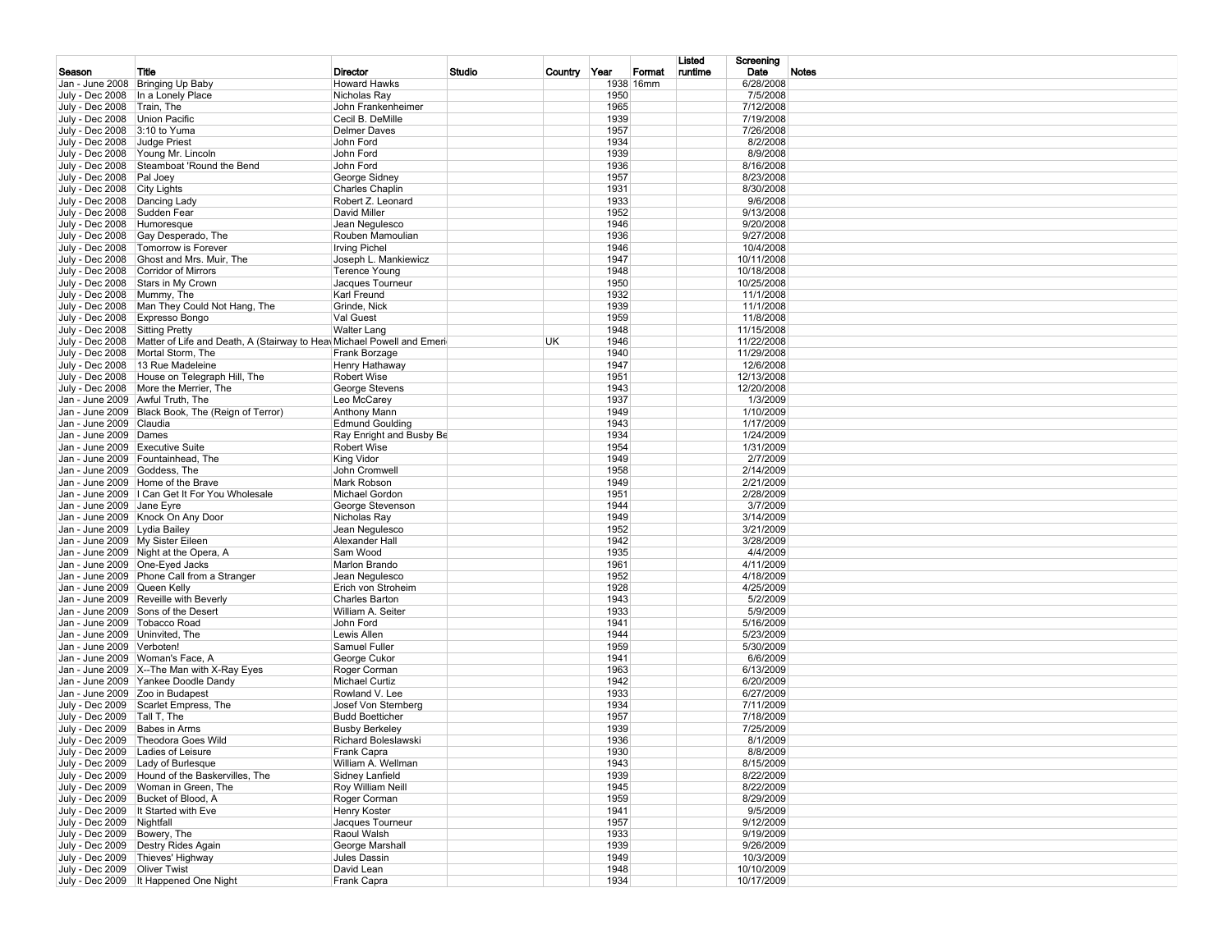|                                                 |                                                                                         |                                              |        |              |              |           | Listed  | Screening                |       |
|-------------------------------------------------|-----------------------------------------------------------------------------------------|----------------------------------------------|--------|--------------|--------------|-----------|---------|--------------------------|-------|
| Season                                          | Title                                                                                   | Director                                     | Studio | Country Year |              | Format    | runtime | Date                     | Notes |
|                                                 | Jan - June 2008   Bringing Up Baby                                                      | <b>Howard Hawks</b>                          |        |              |              | 1938 16mm |         | 6/28/2008                |       |
|                                                 | July - Dec 2008   In a Lonely Place                                                     | Nicholas Ray                                 |        |              | 1950         |           |         | 7/5/2008                 |       |
| July - Dec 2008 Train, The                      |                                                                                         | John Frankenheimer                           |        |              | 1965         |           |         | 7/12/2008                |       |
| July - Dec 2008   Union Pacific                 |                                                                                         | Cecil B. DeMille                             |        |              | 1939         |           |         | 7/19/2008                |       |
| July - Dec 2008 3:10 to Yuma<br>July - Dec 2008 | Judge Priest                                                                            | Delmer Daves<br>John Ford                    |        |              | 1957<br>1934 |           |         | 7/26/2008<br>8/2/2008    |       |
|                                                 | July - Dec 2008 Young Mr. Lincoln                                                       | John Ford                                    |        |              | 1939         |           |         | 8/9/2008                 |       |
|                                                 | July - Dec 2008 Steamboat 'Round the Bend                                               | John Ford                                    |        |              | 1936         |           |         | 8/16/2008                |       |
| July - Dec 2008   Pal Joey                      |                                                                                         | George Sidney                                |        |              | 1957         |           |         | 8/23/2008                |       |
| July - Dec 2008 City Lights                     |                                                                                         | <b>Charles Chaplin</b>                       |        |              | 1931         |           |         | 8/30/2008                |       |
| July - Dec 2008   Dancing Lady                  |                                                                                         | Robert Z. Leonard                            |        |              | 1933         |           |         | 9/6/2008                 |       |
| July - Dec 2008 Sudden Fear                     |                                                                                         | David Miller                                 |        |              | 1952         |           |         | 9/13/2008                |       |
| July - Dec 2008 Humoresque                      |                                                                                         | Jean Negulesco                               |        |              | 1946         |           |         | 9/20/2008                |       |
|                                                 | July - Dec 2008 Gay Desperado, The                                                      | Rouben Mamoulian                             |        |              | 1936         |           |         | 9/27/2008                |       |
|                                                 | July - Dec 2008   Tomorrow is Forever                                                   | <b>Irving Pichel</b>                         |        |              | 1946         |           |         | 10/4/2008                |       |
|                                                 | July - Dec 2008 Ghost and Mrs. Muir, The                                                | Joseph L. Mankiewicz                         |        |              | 1947         |           |         | 10/11/2008               |       |
|                                                 | July - Dec 2008 Corridor of Mirrors                                                     | <b>Terence Young</b>                         |        |              | 1948         |           |         | 10/18/2008               |       |
| July - Dec 2008 Mummy, The                      | July - Dec 2008 Stars in My Crown                                                       | Jacques Tourneur<br>Karl Freund              |        |              | 1950<br>1932 |           |         | 10/25/2008<br>11/1/2008  |       |
|                                                 | July - Dec 2008   Man They Could Not Hang, The                                          | Grinde, Nick                                 |        |              | 1939         |           |         | 11/1/2008                |       |
|                                                 | July - Dec 2008 Expresso Bongo                                                          | Val Guest                                    |        |              | 1959         |           |         | 11/8/2008                |       |
| July - Dec 2008 Sitting Pretty                  |                                                                                         | <b>Walter Lang</b>                           |        |              | 1948         |           |         | 11/15/2008               |       |
|                                                 | July - Dec 2008   Matter of Life and Death, A (Stairway to Hea Michael Powell and Emeri |                                              |        | UK.          | 1946         |           |         | 11/22/2008               |       |
|                                                 | July - Dec 2008   Mortal Storm, The                                                     | Frank Borzage                                |        |              | 1940         |           |         | 11/29/2008               |       |
|                                                 | July - Dec 2008   13 Rue Madeleine                                                      | Henry Hathaway                               |        |              | 1947         |           |         | 12/6/2008                |       |
|                                                 | July - Dec 2008   House on Telegraph Hill, The                                          | Robert Wise                                  |        |              | 1951         |           |         | 12/13/2008               |       |
|                                                 | July - Dec 2008   More the Merrier, The                                                 | George Stevens                               |        |              | 1943         |           |         | 12/20/2008               |       |
|                                                 | Jan - June 2009 Awful Truth, The                                                        | Leo McCarey                                  |        |              | 1937         |           |         | 1/3/2009                 |       |
|                                                 | Jan - June 2009 Black Book, The (Reign of Terror)                                       | Anthony Mann                                 |        |              | 1949         |           |         | 1/10/2009                |       |
| Jan - June 2009 Claudia                         |                                                                                         | <b>Edmund Goulding</b>                       |        |              | 1943         |           |         | 1/17/2009                |       |
| Jan - June 2009 Dames                           |                                                                                         | Ray Enright and Busby Be<br>Robert Wise      |        |              | 1934<br>1954 |           |         | 1/24/2009<br>1/31/2009   |       |
| Jan - June 2009 Executive Suite                 | Jan - June 2009 Fountainhead, The                                                       | King Vidor                                   |        |              | 1949         |           |         | 2/7/2009                 |       |
| Jan - June 2009 Goddess, The                    |                                                                                         | John Cromwell                                |        |              | 1958         |           |         | 2/14/2009                |       |
|                                                 | Jan - June 2009 Home of the Brave                                                       | Mark Robson                                  |        |              | 1949         |           |         | 2/21/2009                |       |
|                                                 | Jan - June 2009   I Can Get It For You Wholesale                                        | Michael Gordon                               |        |              | 1951         |           |         | 2/28/2009                |       |
| Jan - June 2009 Jane Eyre                       |                                                                                         | George Stevenson                             |        |              | 1944         |           |         | 3/7/2009                 |       |
|                                                 | Jan - June 2009   Knock On Any Door                                                     | Nicholas Ray                                 |        |              | 1949         |           |         | 3/14/2009                |       |
| Jan - June 2009 Lydia Bailey                    |                                                                                         | Jean Negulesco                               |        |              | 1952         |           |         | 3/21/2009                |       |
| Jan - June 2009   My Sister Eileen              |                                                                                         | Alexander Hall                               |        |              | 1942         |           |         | 3/28/2009                |       |
|                                                 | Jan - June 2009 Night at the Opera, A                                                   | Sam Wood                                     |        |              | 1935         |           |         | 4/4/2009                 |       |
| Jan - June 2009   One-Eyed Jacks                |                                                                                         | Marlon Brando                                |        |              | 1961         |           |         | 4/11/2009                |       |
|                                                 | Jan - June 2009 Phone Call from a Stranger                                              | Jean Negulesco                               |        |              | 1952         |           |         | 4/18/2009                |       |
| Jan - June 2009 Queen Kelly                     |                                                                                         | Erich von Stroheim<br><b>Charles Barton</b>  |        |              | 1928<br>1943 |           |         | 4/25/2009<br>5/2/2009    |       |
|                                                 | Jan - June 2009 Reveille with Beverly<br>Jan - June 2009 Sons of the Desert             | William A. Seiter                            |        |              | 1933         |           |         | 5/9/2009                 |       |
| Jan - June 2009   Tobacco Road                  |                                                                                         | John Ford                                    |        |              | 1941         |           |         | 5/16/2009                |       |
| Jan - June 2009   Uninvited, The                |                                                                                         | Lewis Allen                                  |        |              | 1944         |           |         | 5/23/2009                |       |
| Jan - June 2009   Verboten!                     |                                                                                         | Samuel Fuller                                |        |              | 1959         |           |         | 5/30/2009                |       |
|                                                 | Jan - June 2009   Woman's Face, A                                                       | George Cukor                                 |        |              | 1941         |           |         | 6/6/2009                 |       |
|                                                 | Jan - June 2009 X--The Man with X-Ray Eyes                                              | Roger Corman                                 |        |              | 1963         |           |         | 6/13/2009                |       |
|                                                 | Jan - June 2009 Yankee Doodle Dandy                                                     | Michael Curtiz                               |        |              | 1942         |           |         | 6/20/2009                |       |
|                                                 | Jan - June 2009 Zoo in Budapest                                                         | Rowland V. Lee                               |        |              | 1933         |           |         | 6/27/2009                |       |
|                                                 | July - Dec 2009 Scarlet Empress, The                                                    | Josef Von Sternberg                          |        |              | 1934         |           |         | 7/11/2009                |       |
| July - Dec 2009   Tall T, The                   |                                                                                         | <b>Budd Boetticher</b>                       |        |              | 1957         |           |         | 7/18/2009                |       |
| July - Dec 2009 Babes in Arms                   | July - Dec 2009 Theodora Goes Wild                                                      | <b>Busby Berkeley</b><br>Richard Boleslawski |        |              | 1939<br>1936 |           |         | 7/25/2009<br>8/1/2009    |       |
|                                                 | July - Dec 2009   Ladies of Leisure                                                     | Frank Capra                                  |        |              | 1930         |           |         | 8/8/2009                 |       |
|                                                 | July - Dec 2009   Lady of Burlesque                                                     | William A. Wellman                           |        |              | 1943         |           |         | 8/15/2009                |       |
|                                                 | July - Dec 2009 Hound of the Baskervilles, The                                          | Sidney Lanfield                              |        |              | 1939         |           |         | 8/22/2009                |       |
|                                                 | July - Dec 2009 Woman in Green, The                                                     | Roy William Neill                            |        |              | 1945         |           |         | 8/22/2009                |       |
|                                                 | July - Dec 2009 Bucket of Blood, A                                                      | Roger Corman                                 |        |              | 1959         |           |         | 8/29/2009                |       |
|                                                 | July - Dec 2009   It Started with Eve                                                   | Henry Koster                                 |        |              | 1941         |           |         | 9/5/2009                 |       |
| July - Dec 2009 Nightfall                       |                                                                                         | Jacques Tourneur                             |        |              | 1957         |           |         | 9/12/2009                |       |
| July - Dec 2009 Bowery, The                     |                                                                                         | Raoul Walsh                                  |        |              | 1933         |           |         | 9/19/2009                |       |
|                                                 | July - Dec 2009 Destry Rides Again                                                      | George Marshall                              |        |              | 1939         |           |         | 9/26/2009                |       |
|                                                 | July - Dec 2009 Thieves' Highway                                                        | Jules Dassin<br>David Lean                   |        |              | 1949         |           |         | 10/3/2009                |       |
| July - Dec 2009   Oliver Twist                  | July - Dec 2009   It Happened One Night                                                 | Frank Capra                                  |        |              | 1948<br>1934 |           |         | 10/10/2009<br>10/17/2009 |       |
|                                                 |                                                                                         |                                              |        |              |              |           |         |                          |       |